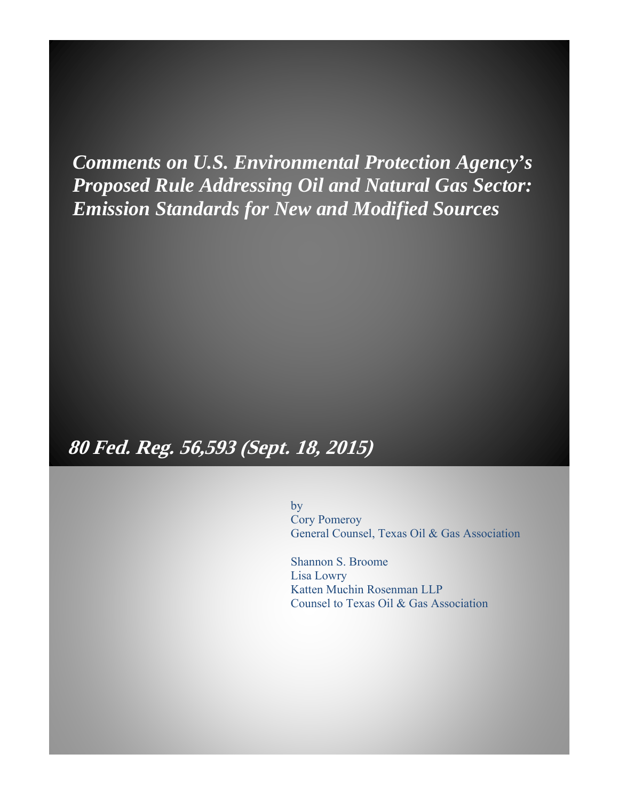*Comments on U.S. Environmental Protection Agency's Proposed Rule Addressing Oil and Natural Gas Sector: Emission Standards for New and Modified Sources*

# **80 Fed. Reg. 56,593 (Sept. 18, 2015)**

by

Cory Pomeroy General Counsel, Texas Oil & Gas Association

Shannon S. Broome Lisa Lowry Katten Muchin Rosenman LLP Counsel to Texas Oil & Gas Association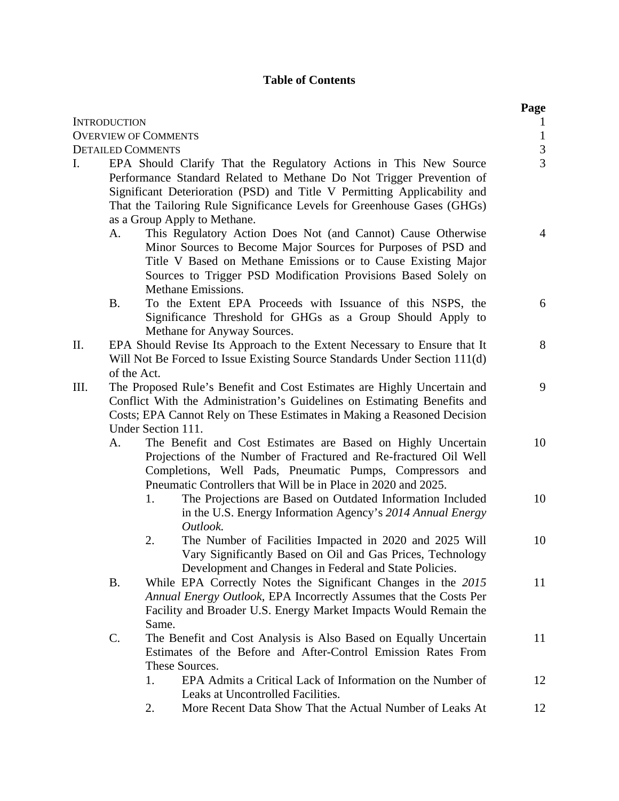## **Table of Contents**

|    |                     |                                                                                                                                                                                                                                                                                                                                  | Page                         |
|----|---------------------|----------------------------------------------------------------------------------------------------------------------------------------------------------------------------------------------------------------------------------------------------------------------------------------------------------------------------------|------------------------------|
|    | <b>INTRODUCTION</b> | <b>OVERVIEW OF COMMENTS</b>                                                                                                                                                                                                                                                                                                      | $\mathbf{1}$<br>$\mathbf{1}$ |
|    |                     | <b>DETAILED COMMENTS</b>                                                                                                                                                                                                                                                                                                         |                              |
| I. |                     | EPA Should Clarify That the Regulatory Actions in This New Source<br>Performance Standard Related to Methane Do Not Trigger Prevention of<br>Significant Deterioration (PSD) and Title V Permitting Applicability and<br>That the Tailoring Rule Significance Levels for Greenhouse Gases (GHGs)<br>as a Group Apply to Methane. | $\frac{3}{3}$                |
|    | А.                  | This Regulatory Action Does Not (and Cannot) Cause Otherwise<br>Minor Sources to Become Major Sources for Purposes of PSD and<br>Title V Based on Methane Emissions or to Cause Existing Major<br>Sources to Trigger PSD Modification Provisions Based Solely on<br>Methane Emissions.                                           | $\overline{4}$               |
|    | <b>B.</b>           | To the Extent EPA Proceeds with Issuance of this NSPS, the<br>Significance Threshold for GHGs as a Group Should Apply to<br>Methane for Anyway Sources.                                                                                                                                                                          | 6                            |
| П. | of the Act.         | EPA Should Revise Its Approach to the Extent Necessary to Ensure that It<br>Will Not Be Forced to Issue Existing Source Standards Under Section 111(d)                                                                                                                                                                           | 8                            |
| Ш. |                     | The Proposed Rule's Benefit and Cost Estimates are Highly Uncertain and<br>Conflict With the Administration's Guidelines on Estimating Benefits and<br>Costs; EPA Cannot Rely on These Estimates in Making a Reasoned Decision<br>Under Section 111.                                                                             | 9                            |
|    | A.                  | The Benefit and Cost Estimates are Based on Highly Uncertain<br>Projections of the Number of Fractured and Re-fractured Oil Well<br>Completions, Well Pads, Pneumatic Pumps, Compressors and<br>Pneumatic Controllers that Will be in Place in 2020 and 2025.                                                                    | 10                           |
|    |                     | The Projections are Based on Outdated Information Included<br>1.<br>in the U.S. Energy Information Agency's 2014 Annual Energy<br>Outlook.                                                                                                                                                                                       | 10                           |
|    |                     | The Number of Facilities Impacted in 2020 and 2025 Will<br>2.<br>Vary Significantly Based on Oil and Gas Prices, Technology<br>Development and Changes in Federal and State Policies.                                                                                                                                            | 10                           |
|    | <b>B.</b>           | While EPA Correctly Notes the Significant Changes in the 2015<br>Annual Energy Outlook, EPA Incorrectly Assumes that the Costs Per<br>Facility and Broader U.S. Energy Market Impacts Would Remain the<br>Same.                                                                                                                  | 11                           |
|    | $\mathcal{C}$ .     | The Benefit and Cost Analysis is Also Based on Equally Uncertain<br>Estimates of the Before and After-Control Emission Rates From<br>These Sources.                                                                                                                                                                              | 11                           |
|    |                     | EPA Admits a Critical Lack of Information on the Number of<br>1.<br>Leaks at Uncontrolled Facilities.                                                                                                                                                                                                                            | 12                           |
|    |                     | More Recent Data Show That the Actual Number of Leaks At<br>2.                                                                                                                                                                                                                                                                   | 12                           |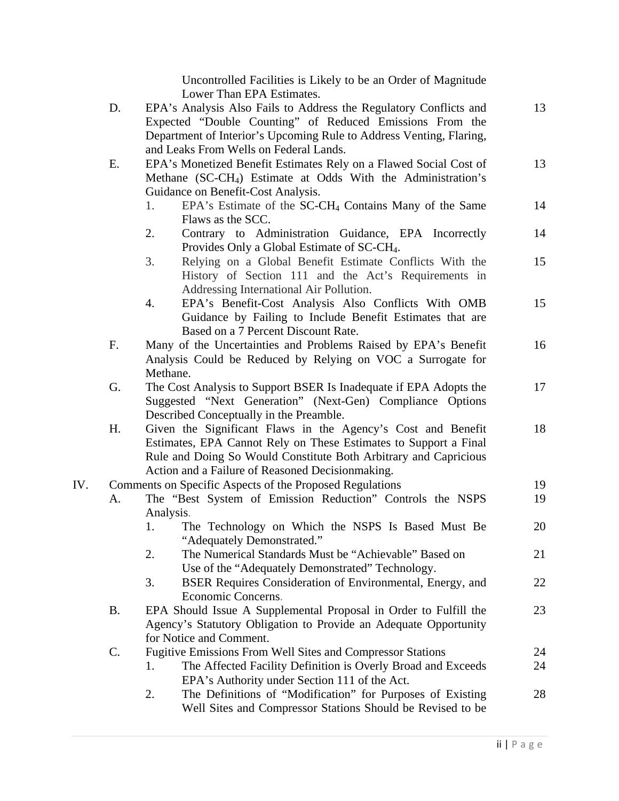Uncontrolled Facilities is Likely to be an Order of Magnitude Lower Than EPA Estimates.

|     | D. | EPA's Analysis Also Fails to Address the Regulatory Conflicts and<br>Expected "Double Counting" of Reduced Emissions From the                                                                                                                   | 13       |
|-----|----|-------------------------------------------------------------------------------------------------------------------------------------------------------------------------------------------------------------------------------------------------|----------|
|     |    | Department of Interior's Upcoming Rule to Address Venting, Flaring,<br>and Leaks From Wells on Federal Lands.                                                                                                                                   |          |
|     | Е. | EPA's Monetized Benefit Estimates Rely on a Flawed Social Cost of<br>Methane (SC-CH <sub>4</sub> ) Estimate at Odds With the Administration's                                                                                                   | 13       |
|     |    | Guidance on Benefit-Cost Analysis.                                                                                                                                                                                                              |          |
|     |    | EPA's Estimate of the SC-CH <sub>4</sub> Contains Many of the Same<br>1.<br>Flaws as the SCC.                                                                                                                                                   | 14       |
|     |    | 2.<br>Contrary to Administration Guidance, EPA Incorrectly<br>Provides Only a Global Estimate of SC-CH <sub>4</sub> .                                                                                                                           | 14       |
|     |    | 3.<br>Relying on a Global Benefit Estimate Conflicts With the<br>History of Section 111 and the Act's Requirements in                                                                                                                           | 15       |
|     |    | Addressing International Air Pollution.<br>EPA's Benefit-Cost Analysis Also Conflicts With OMB<br>4.<br>Guidance by Failing to Include Benefit Estimates that are                                                                               | 15       |
|     | F. | Based on a 7 Percent Discount Rate.<br>Many of the Uncertainties and Problems Raised by EPA's Benefit<br>Analysis Could be Reduced by Relying on VOC a Surrogate for<br>Methane.                                                                | 16       |
|     | G. | The Cost Analysis to Support BSER Is Inadequate if EPA Adopts the<br>Suggested "Next Generation" (Next-Gen) Compliance Options                                                                                                                  | 17       |
|     | Η. | Described Conceptually in the Preamble.<br>Given the Significant Flaws in the Agency's Cost and Benefit<br>Estimates, EPA Cannot Rely on These Estimates to Support a Final<br>Rule and Doing So Would Constitute Both Arbitrary and Capricious | 18       |
|     |    | Action and a Failure of Reasoned Decisionmaking.                                                                                                                                                                                                |          |
| IV. | А. | Comments on Specific Aspects of the Proposed Regulations<br>The "Best System of Emission Reduction" Controls the NSPS                                                                                                                           | 19<br>19 |
|     |    | Analysis.<br>The Technology on Which the NSPS Is Based Must Be<br>1.                                                                                                                                                                            | 20       |
|     |    | "Adequately Demonstrated."<br>The Numerical Standards Must be "Achievable" Based on<br>2.                                                                                                                                                       | 21       |
|     |    | Use of the "Adequately Demonstrated" Technology.<br>3.<br>BSER Requires Consideration of Environmental, Energy, and                                                                                                                             | 22       |
|     | Β. | Economic Concerns.<br>EPA Should Issue A Supplemental Proposal in Order to Fulfill the<br>Agency's Statutory Obligation to Provide an Adequate Opportunity<br>for Notice and Comment.                                                           | 23       |
|     | C. | <b>Fugitive Emissions From Well Sites and Compressor Stations</b>                                                                                                                                                                               | 24       |
|     |    | The Affected Facility Definition is Overly Broad and Exceeds<br>1.<br>EPA's Authority under Section 111 of the Act.                                                                                                                             | 24       |
|     |    | The Definitions of "Modification" for Purposes of Existing<br>2.<br>Well Sites and Compressor Stations Should be Revised to be                                                                                                                  | 28       |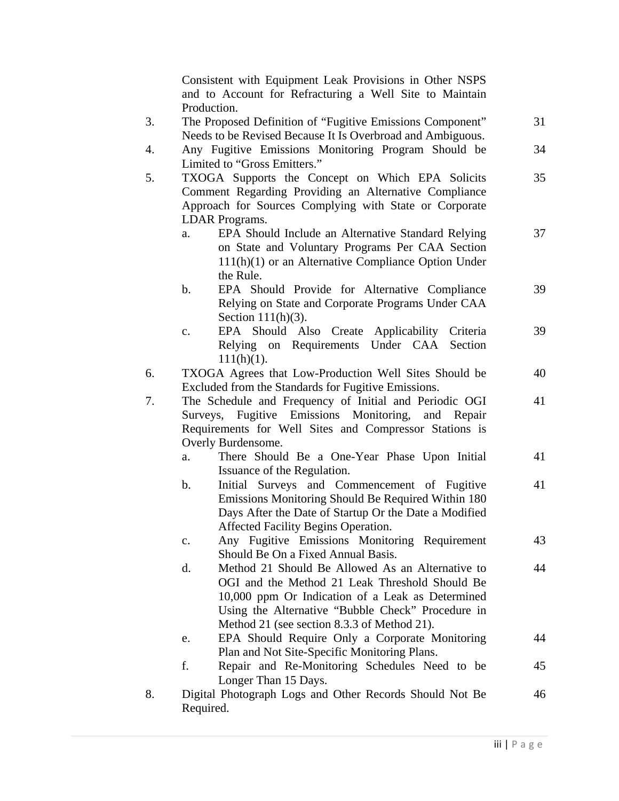Consistent with Equipment Leak Provisions in Other NSPS and to Account for Refracturing a Well Site to Maintain Production. 3. The Proposed Definition of "Fugitive Emissions Component" Needs to be Revised Because It Is Overbroad and Ambiguous. 31 4. Any Fugitive Emissions Monitoring Program Should be Limited to "Gross Emitters." 34 5. TXOGA Supports the Concept on Which EPA Solicits Comment Regarding Providing an Alternative Compliance Approach for Sources Complying with State or Corporate LDAR Programs. 35 a. EPA Should Include an Alternative Standard Relying on State and Voluntary Programs Per CAA Section 111(h)(1) or an Alternative Compliance Option Under the Rule. 37 b. EPA Should Provide for Alternative Compliance Relying on State and Corporate Programs Under CAA Section 111(h)(3). 39 c. EPA Should Also Create Applicability Criteria Relying on Requirements Under CAA Section  $111(h)(1)$ . 39 6. TXOGA Agrees that Low-Production Well Sites Should be Excluded from the Standards for Fugitive Emissions. 40 7. The Schedule and Frequency of Initial and Periodic OGI Surveys, Fugitive Emissions Monitoring, and Repair Requirements for Well Sites and Compressor Stations is Overly Burdensome. 41 a. There Should Be a One-Year Phase Upon Initial Issuance of the Regulation. 41 b. Initial Surveys and Commencement of Fugitive Emissions Monitoring Should Be Required Within 180 Days After the Date of Startup Or the Date a Modified Affected Facility Begins Operation. 41 c. Any Fugitive Emissions Monitoring Requirement Should Be On a Fixed Annual Basis. 43 d. Method 21 Should Be Allowed As an Alternative to OGI and the Method 21 Leak Threshold Should Be 10,000 ppm Or Indication of a Leak as Determined Using the Alternative "Bubble Check" Procedure in Method 21 (see section 8.3.3 of Method 21). 44 e. EPA Should Require Only a Corporate Monitoring Plan and Not Site-Specific Monitoring Plans. 44 f. Repair and Re-Monitoring Schedules Need to be Longer Than 15 Days. 45 8. Digital Photograph Logs and Other Records Should Not Be Required. 46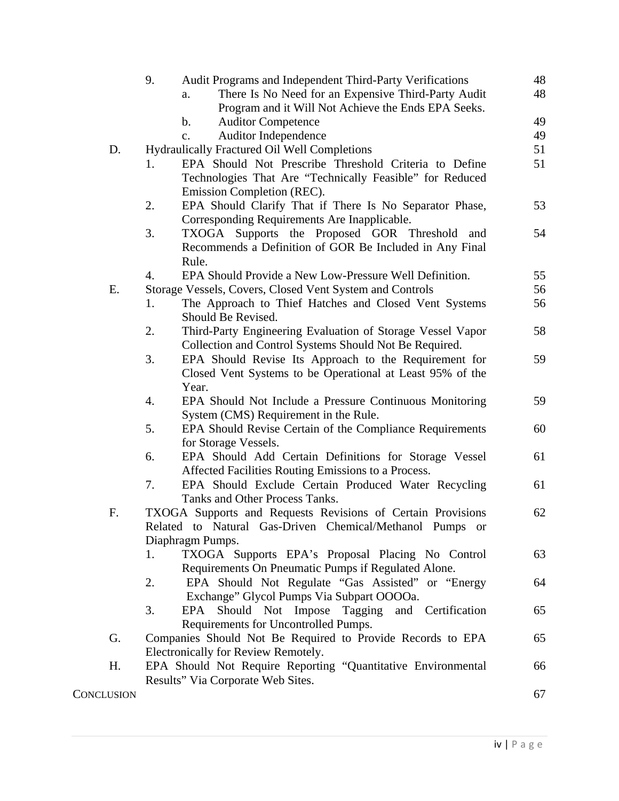|            | 9.<br>Audit Programs and Independent Third-Party Verifications   | 48 |
|------------|------------------------------------------------------------------|----|
|            | There Is No Need for an Expensive Third-Party Audit<br>a.        | 48 |
|            | Program and it Will Not Achieve the Ends EPA Seeks.              |    |
|            | b.<br><b>Auditor Competence</b>                                  | 49 |
|            | <b>Auditor Independence</b><br>$\mathbf{c}$ .                    | 49 |
| D.         | Hydraulically Fractured Oil Well Completions                     | 51 |
|            | EPA Should Not Prescribe Threshold Criteria to Define<br>1.      | 51 |
|            | Technologies That Are "Technically Feasible" for Reduced         |    |
|            | Emission Completion (REC).                                       |    |
|            | EPA Should Clarify That if There Is No Separator Phase,<br>2.    | 53 |
|            | Corresponding Requirements Are Inapplicable.                     |    |
|            | 3.<br>TXOGA Supports the Proposed GOR Threshold<br>and           | 54 |
|            | Recommends a Definition of GOR Be Included in Any Final          |    |
|            | Rule.                                                            |    |
|            | EPA Should Provide a New Low-Pressure Well Definition.<br>4.     | 55 |
| Ε.         | Storage Vessels, Covers, Closed Vent System and Controls         | 56 |
|            | The Approach to Thief Hatches and Closed Vent Systems<br>1.      | 56 |
|            | Should Be Revised.                                               |    |
|            | 2.<br>Third-Party Engineering Evaluation of Storage Vessel Vapor | 58 |
|            | Collection and Control Systems Should Not Be Required.           |    |
|            | 3.<br>EPA Should Revise Its Approach to the Requirement for      | 59 |
|            | Closed Vent Systems to be Operational at Least 95% of the        |    |
|            | Year.                                                            |    |
|            | 4.<br>EPA Should Not Include a Pressure Continuous Monitoring    | 59 |
|            | System (CMS) Requirement in the Rule.                            |    |
|            | 5.<br>EPA Should Revise Certain of the Compliance Requirements   | 60 |
|            | for Storage Vessels.                                             |    |
|            | EPA Should Add Certain Definitions for Storage Vessel<br>6.      | 61 |
|            | Affected Facilities Routing Emissions to a Process.              |    |
|            | 7.<br>EPA Should Exclude Certain Produced Water Recycling        | 61 |
|            | Tanks and Other Process Tanks.                                   |    |
| F.         | TXOGA Supports and Requests Revisions of Certain Provisions      | 62 |
|            | Related to Natural Gas-Driven Chemical/Methanol Pumps or         |    |
|            | Diaphragm Pumps.                                                 |    |
|            | TXOGA Supports EPA's Proposal Placing No Control<br>1.           | 63 |
|            | Requirements On Pneumatic Pumps if Regulated Alone.              |    |
|            | EPA Should Not Regulate "Gas Assisted" or "Energy<br>2.          | 64 |
|            | Exchange" Glycol Pumps Via Subpart OOOOa.                        |    |
|            | EPA Should Not Impose Tagging<br>3.<br>and Certification         | 65 |
|            | Requirements for Uncontrolled Pumps.                             |    |
| G.         | Companies Should Not Be Required to Provide Records to EPA       | 65 |
|            | Electronically for Review Remotely.                              |    |
| Η.         | EPA Should Not Require Reporting "Quantitative Environmental     | 66 |
|            | Results" Via Corporate Web Sites.                                |    |
| CONCLUSION |                                                                  | 67 |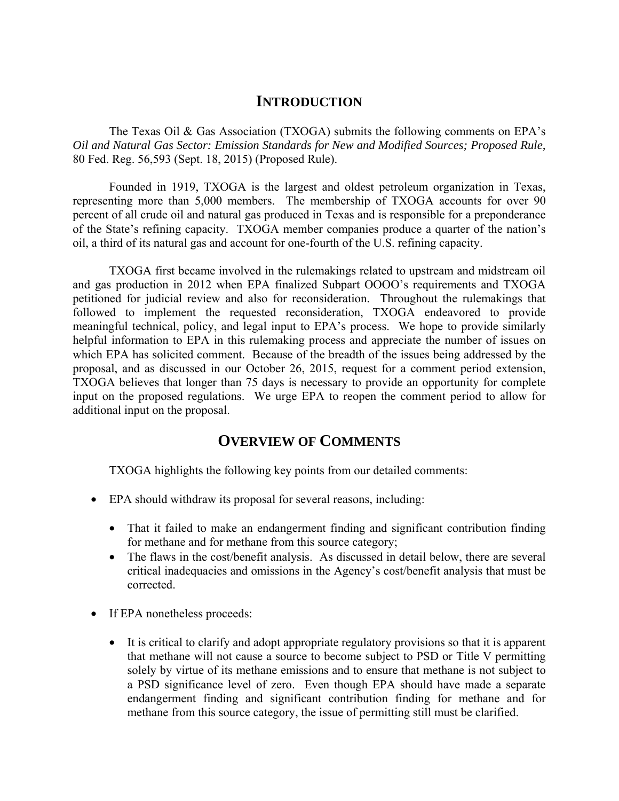# **INTRODUCTION**

 The Texas Oil & Gas Association (TXOGA) submits the following comments on EPA's *Oil and Natural Gas Sector: Emission Standards for New and Modified Sources; Proposed Rule,*  80 Fed. Reg. 56,593 (Sept. 18, 2015) (Proposed Rule).

 Founded in 1919, TXOGA is the largest and oldest petroleum organization in Texas, representing more than 5,000 members. The membership of TXOGA accounts for over 90 percent of all crude oil and natural gas produced in Texas and is responsible for a preponderance of the State's refining capacity. TXOGA member companies produce a quarter of the nation's oil, a third of its natural gas and account for one-fourth of the U.S. refining capacity.

 TXOGA first became involved in the rulemakings related to upstream and midstream oil and gas production in 2012 when EPA finalized Subpart OOOO's requirements and TXOGA petitioned for judicial review and also for reconsideration. Throughout the rulemakings that followed to implement the requested reconsideration, TXOGA endeavored to provide meaningful technical, policy, and legal input to EPA's process. We hope to provide similarly helpful information to EPA in this rulemaking process and appreciate the number of issues on which EPA has solicited comment. Because of the breadth of the issues being addressed by the proposal, and as discussed in our October 26, 2015, request for a comment period extension, TXOGA believes that longer than 75 days is necessary to provide an opportunity for complete input on the proposed regulations. We urge EPA to reopen the comment period to allow for additional input on the proposal.

# **OVERVIEW OF COMMENTS**

TXOGA highlights the following key points from our detailed comments:

- EPA should withdraw its proposal for several reasons, including:
	- That it failed to make an endangerment finding and significant contribution finding for methane and for methane from this source category;
	- The flaws in the cost/benefit analysis. As discussed in detail below, there are several critical inadequacies and omissions in the Agency's cost/benefit analysis that must be corrected.
- If EPA nonetheless proceeds:
	- It is critical to clarify and adopt appropriate regulatory provisions so that it is apparent that methane will not cause a source to become subject to PSD or Title V permitting solely by virtue of its methane emissions and to ensure that methane is not subject to a PSD significance level of zero. Even though EPA should have made a separate endangerment finding and significant contribution finding for methane and for methane from this source category, the issue of permitting still must be clarified.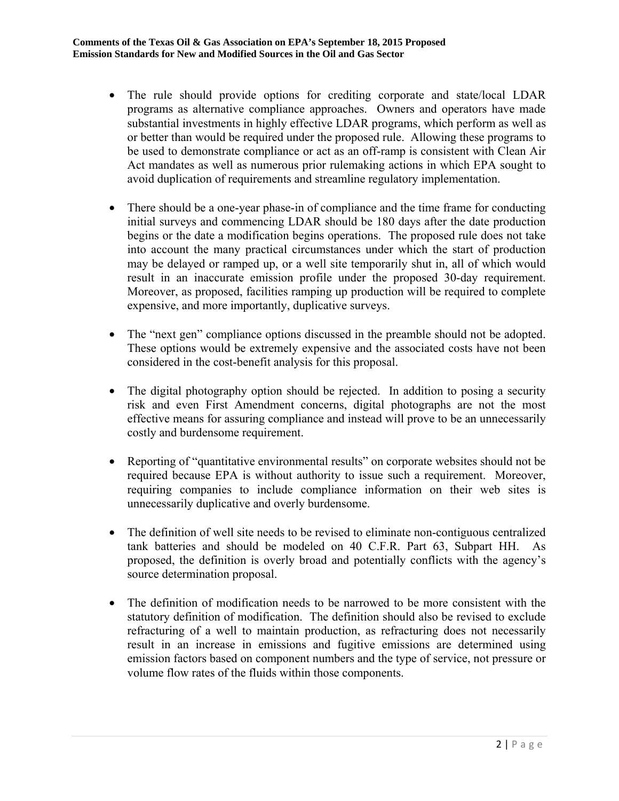- The rule should provide options for crediting corporate and state/local LDAR programs as alternative compliance approaches. Owners and operators have made substantial investments in highly effective LDAR programs, which perform as well as or better than would be required under the proposed rule. Allowing these programs to be used to demonstrate compliance or act as an off-ramp is consistent with Clean Air Act mandates as well as numerous prior rulemaking actions in which EPA sought to avoid duplication of requirements and streamline regulatory implementation.
- There should be a one-year phase-in of compliance and the time frame for conducting initial surveys and commencing LDAR should be 180 days after the date production begins or the date a modification begins operations. The proposed rule does not take into account the many practical circumstances under which the start of production may be delayed or ramped up, or a well site temporarily shut in, all of which would result in an inaccurate emission profile under the proposed 30-day requirement. Moreover, as proposed, facilities ramping up production will be required to complete expensive, and more importantly, duplicative surveys.
- The "next gen" compliance options discussed in the preamble should not be adopted. These options would be extremely expensive and the associated costs have not been considered in the cost-benefit analysis for this proposal.
- The digital photography option should be rejected. In addition to posing a security risk and even First Amendment concerns, digital photographs are not the most effective means for assuring compliance and instead will prove to be an unnecessarily costly and burdensome requirement.
- Reporting of "quantitative environmental results" on corporate websites should not be required because EPA is without authority to issue such a requirement. Moreover, requiring companies to include compliance information on their web sites is unnecessarily duplicative and overly burdensome.
- The definition of well site needs to be revised to eliminate non-contiguous centralized tank batteries and should be modeled on 40 C.F.R. Part 63, Subpart HH. As proposed, the definition is overly broad and potentially conflicts with the agency's source determination proposal.
- The definition of modification needs to be narrowed to be more consistent with the statutory definition of modification. The definition should also be revised to exclude refracturing of a well to maintain production, as refracturing does not necessarily result in an increase in emissions and fugitive emissions are determined using emission factors based on component numbers and the type of service, not pressure or volume flow rates of the fluids within those components.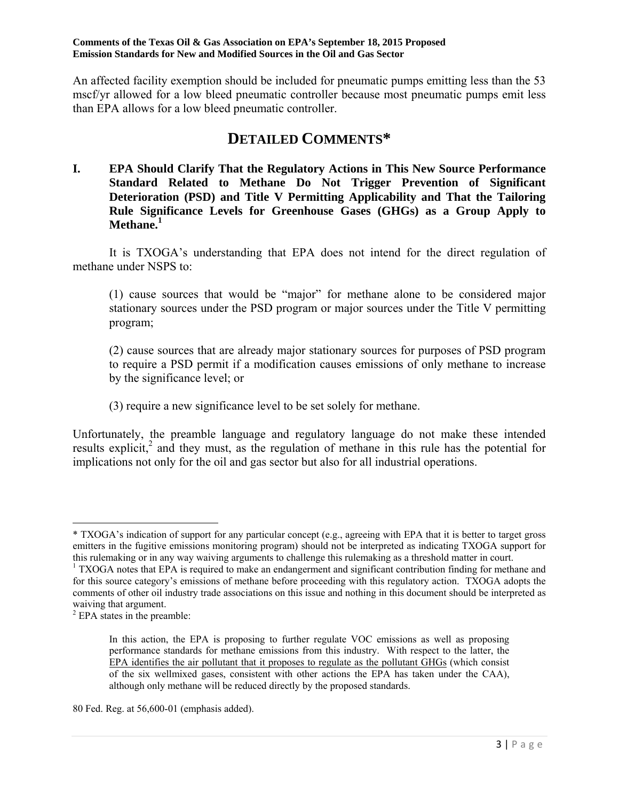An affected facility exemption should be included for pneumatic pumps emitting less than the 53 mscf/yr allowed for a low bleed pneumatic controller because most pneumatic pumps emit less than EPA allows for a low bleed pneumatic controller.

# **DETAILED COMMENTS\***

**I. EPA Should Clarify That the Regulatory Actions in This New Source Performance Standard Related to Methane Do Not Trigger Prevention of Significant Deterioration (PSD) and Title V Permitting Applicability and That the Tailoring Rule Significance Levels for Greenhouse Gases (GHGs) as a Group Apply to Methane.1**

 It is TXOGA's understanding that EPA does not intend for the direct regulation of methane under NSPS to:

(1) cause sources that would be "major" for methane alone to be considered major stationary sources under the PSD program or major sources under the Title V permitting program;

(2) cause sources that are already major stationary sources for purposes of PSD program to require a PSD permit if a modification causes emissions of only methane to increase by the significance level; or

(3) require a new significance level to be set solely for methane.

Unfortunately, the preamble language and regulatory language do not make these intended results explicit,<sup>2</sup> and they must, as the regulation of methane in this rule has the potential for implications not only for the oil and gas sector but also for all industrial operations.

<sup>\*</sup> TXOGA's indication of support for any particular concept (e.g., agreeing with EPA that it is better to target gross emitters in the fugitive emissions monitoring program) should not be interpreted as indicating TXOGA support for this rulemaking or in any way waiving arguments to challenge this rulemaking as a threshold matter in court. 1

<sup>&</sup>lt;sup>1</sup> TXOGA notes that EPA is required to make an endangerment and significant contribution finding for methane and for this source category's emissions of methane before proceeding with this regulatory action. TXOGA adopts the comments of other oil industry trade associations on this issue and nothing in this document should be interpreted as waiving that argument.

<sup>2</sup> EPA states in the preamble:

In this action, the EPA is proposing to further regulate VOC emissions as well as proposing performance standards for methane emissions from this industry. With respect to the latter, the EPA identifies the air pollutant that it proposes to regulate as the pollutant GHGs (which consist of the six wellmixed gases, consistent with other actions the EPA has taken under the CAA), although only methane will be reduced directly by the proposed standards.

<sup>80</sup> Fed. Reg. at 56,600-01 (emphasis added).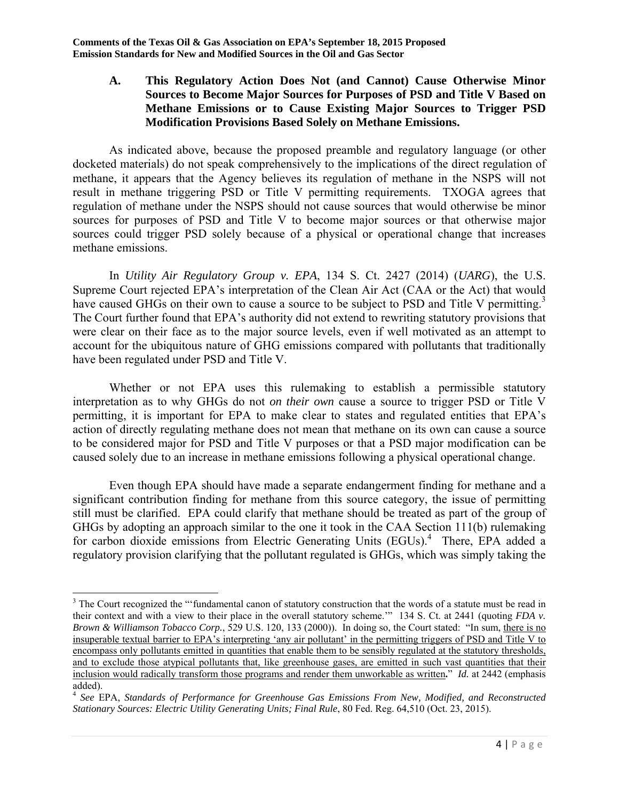#### **A. This Regulatory Action Does Not (and Cannot) Cause Otherwise Minor Sources to Become Major Sources for Purposes of PSD and Title V Based on Methane Emissions or to Cause Existing Major Sources to Trigger PSD Modification Provisions Based Solely on Methane Emissions.**

 As indicated above, because the proposed preamble and regulatory language (or other docketed materials) do not speak comprehensively to the implications of the direct regulation of methane, it appears that the Agency believes its regulation of methane in the NSPS will not result in methane triggering PSD or Title V permitting requirements. TXOGA agrees that regulation of methane under the NSPS should not cause sources that would otherwise be minor sources for purposes of PSD and Title V to become major sources or that otherwise major sources could trigger PSD solely because of a physical or operational change that increases methane emissions.

 In *Utility Air Regulatory Group v. EPA*, 134 S. Ct. 2427 (2014) (*UARG*), the U.S. Supreme Court rejected EPA's interpretation of the Clean Air Act (CAA or the Act) that would have caused GHGs on their own to cause a source to be subject to PSD and Title V permitting.<sup>3</sup> The Court further found that EPA's authority did not extend to rewriting statutory provisions that were clear on their face as to the major source levels, even if well motivated as an attempt to account for the ubiquitous nature of GHG emissions compared with pollutants that traditionally have been regulated under PSD and Title V.

Whether or not EPA uses this rulemaking to establish a permissible statutory interpretation as to why GHGs do not *on their own* cause a source to trigger PSD or Title V permitting, it is important for EPA to make clear to states and regulated entities that EPA's action of directly regulating methane does not mean that methane on its own can cause a source to be considered major for PSD and Title V purposes or that a PSD major modification can be caused solely due to an increase in methane emissions following a physical operational change.

 Even though EPA should have made a separate endangerment finding for methane and a significant contribution finding for methane from this source category, the issue of permitting still must be clarified. EPA could clarify that methane should be treated as part of the group of GHGs by adopting an approach similar to the one it took in the CAA Section 111(b) rulemaking for carbon dioxide emissions from Electric Generating Units (EGUs).<sup>4</sup> There, EPA added a regulatory provision clarifying that the pollutant regulated is GHGs, which was simply taking the

 $\overline{\phantom{a}}$ <sup>3</sup> The Court recognized the "'fundamental canon of statutory construction that the words of a statute must be read in their context and with a view to their place in the overall statutory scheme.'" 134 S. Ct. at 2441 (quoting *FDA v. Brown & Williamson Tobacco Corp.*, 529 U.S. 120, 133 (2000)). In doing so, the Court stated: "In sum, there is no insuperable textual barrier to EPA's interpreting 'any air pollutant' in the permitting triggers of PSD and Title V to encompass only pollutants emitted in quantities that enable them to be sensibly regulated at the statutory thresholds, and to exclude those atypical pollutants that, like greenhouse gases, are emitted in such vast quantities that their inclusion would radically transform those programs and render them unworkable as written**.**" *Id.* at 2442 (emphasis added).

<sup>4</sup> *See* EPA, *Standards of Performance for Greenhouse Gas Emissions From New, Modified, and Reconstructed Stationary Sources: Electric Utility Generating Units; Final Rule*, 80 Fed. Reg. 64,510 (Oct. 23, 2015).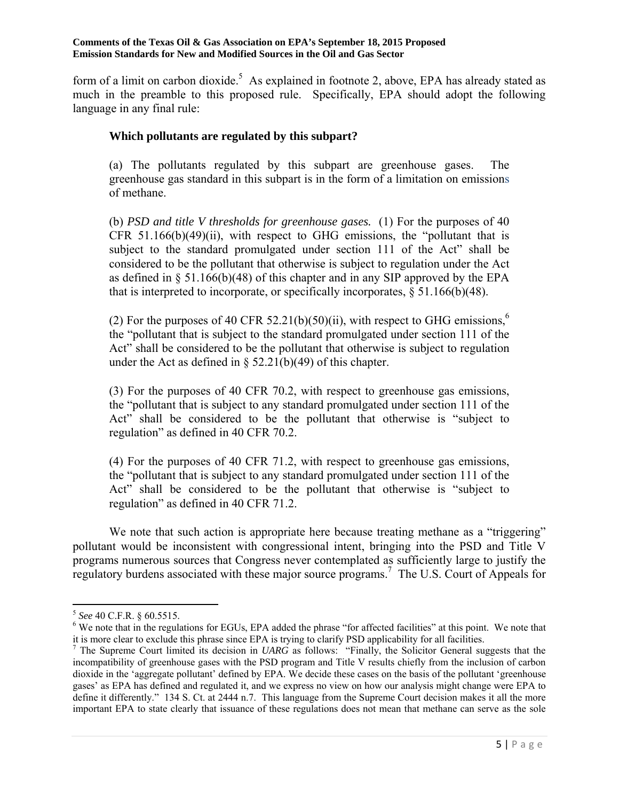form of a limit on carbon dioxide.<sup>5</sup> As explained in footnote 2, above, EPA has already stated as much in the preamble to this proposed rule. Specifically, EPA should adopt the following language in any final rule:

#### **Which pollutants are regulated by this subpart?**

(a) The pollutants regulated by this subpart are greenhouse gases. The greenhouse gas standard in this subpart is in the form of a limitation on emissions of methane.

(b) *PSD and title V thresholds for greenhouse gases.* (1) For the purposes of 40 CFR  $51.166(b)(49)(ii)$ , with respect to GHG emissions, the "pollutant that is subject to the standard promulgated under section 111 of the Act" shall be considered to be the pollutant that otherwise is subject to regulation under the Act as defined in § 51.166(b)(48) of this chapter and in any SIP approved by the EPA that is interpreted to incorporate, or specifically incorporates, § 51.166(b)(48).

(2) For the purposes of 40 CFR 52.21(b)(50)(ii), with respect to GHG emissions,<sup>6</sup> the "pollutant that is subject to the standard promulgated under section 111 of the Act" shall be considered to be the pollutant that otherwise is subject to regulation under the Act as defined in  $\S$  52.21(b)(49) of this chapter.

(3) For the purposes of 40 CFR 70.2, with respect to greenhouse gas emissions, the "pollutant that is subject to any standard promulgated under section 111 of the Act" shall be considered to be the pollutant that otherwise is "subject to regulation" as defined in 40 CFR 70.2.

(4) For the purposes of 40 CFR 71.2, with respect to greenhouse gas emissions, the "pollutant that is subject to any standard promulgated under section 111 of the Act" shall be considered to be the pollutant that otherwise is "subject to regulation" as defined in 40 CFR 71.2.

We note that such action is appropriate here because treating methane as a "triggering" pollutant would be inconsistent with congressional intent, bringing into the PSD and Title V programs numerous sources that Congress never contemplated as sufficiently large to justify the regulatory burdens associated with these major source programs.<sup>7</sup> The U.S. Court of Appeals for

<sup>5</sup> *See* 40 C.F.R. § 60.5515. 6

<sup>&</sup>lt;sup>6</sup> We note that in the regulations for EGUs, EPA added the phrase "for affected facilities" at this point. We note that it is more clear to exclude this phrase since EPA is trying to clarify PSD applicability for all facilities. 7

<sup>&</sup>lt;sup>7</sup> The Supreme Court limited its decision in *UARG* as follows: "Finally, the Solicitor General suggests that the incompatibility of greenhouse gases with the PSD program and Title V results chiefly from the inclusion of carbon dioxide in the 'aggregate pollutant' defined by EPA. We decide these cases on the basis of the pollutant 'greenhouse gases' as EPA has defined and regulated it, and we express no view on how our analysis might change were EPA to define it differently." 134 S. Ct. at 2444 n.7. This language from the Supreme Court decision makes it all the more important EPA to state clearly that issuance of these regulations does not mean that methane can serve as the sole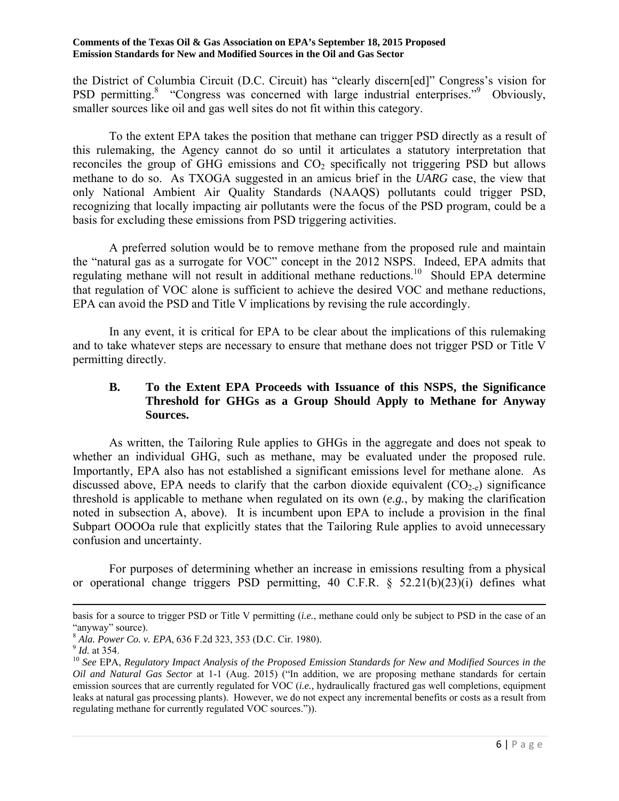the District of Columbia Circuit (D.C. Circuit) has "clearly discern[ed]" Congress's vision for PSD permitting.<sup>8</sup> "Congress was concerned with large industrial enterprises."<sup>9</sup> Obviously, smaller sources like oil and gas well sites do not fit within this category.

 To the extent EPA takes the position that methane can trigger PSD directly as a result of this rulemaking, the Agency cannot do so until it articulates a statutory interpretation that reconciles the group of GHG emissions and  $CO<sub>2</sub>$  specifically not triggering PSD but allows methane to do so. As TXOGA suggested in an amicus brief in the *UARG* case, the view that only National Ambient Air Quality Standards (NAAQS) pollutants could trigger PSD, recognizing that locally impacting air pollutants were the focus of the PSD program, could be a basis for excluding these emissions from PSD triggering activities.

 A preferred solution would be to remove methane from the proposed rule and maintain the "natural gas as a surrogate for VOC" concept in the 2012 NSPS. Indeed, EPA admits that regulating methane will not result in additional methane reductions.<sup>10</sup> Should EPA determine that regulation of VOC alone is sufficient to achieve the desired VOC and methane reductions, EPA can avoid the PSD and Title V implications by revising the rule accordingly.

 In any event, it is critical for EPA to be clear about the implications of this rulemaking and to take whatever steps are necessary to ensure that methane does not trigger PSD or Title V permitting directly.

### **B. To the Extent EPA Proceeds with Issuance of this NSPS, the Significance Threshold for GHGs as a Group Should Apply to Methane for Anyway Sources.**

 As written, the Tailoring Rule applies to GHGs in the aggregate and does not speak to whether an individual GHG, such as methane, may be evaluated under the proposed rule. Importantly, EPA also has not established a significant emissions level for methane alone. As discussed above, EPA needs to clarify that the carbon dioxide equivalent  $(CO_{2-e})$  significance threshold is applicable to methane when regulated on its own (*e.g.*, by making the clarification noted in subsection A, above). It is incumbent upon EPA to include a provision in the final Subpart OOOOa rule that explicitly states that the Tailoring Rule applies to avoid unnecessary confusion and uncertainty.

 For purposes of determining whether an increase in emissions resulting from a physical or operational change triggers PSD permitting, 40 C.F.R. § 52.21(b)(23)(i) defines what

basis for a source to trigger PSD or Title V permitting (*i.e.*, methane could only be subject to PSD in the case of an

<sup>&</sup>quot;anyway" source).<br><sup>8</sup> Ala. Power Co. v. EPA, 636 F.2d 323, 353 (D.C. Cir. 1980).

<sup>8</sup> *Ala. Power Co. v. EPA*, 636 F.2d 323, 353 (2012). 2013 1990).<br><sup>9</sup> *Id.* at 354.<br><sup>10</sup> See EPA, *Regulatory Impact Analysis of the Proposed Emission Standards for New and Modified Sources in the Oil and Natural Gas Sector* at 1-1 (Aug. 2015) ("In addition, we are proposing methane standards for certain emission sources that are currently regulated for VOC (*i.e.,* hydraulically fractured gas well completions, equipment leaks at natural gas processing plants). However, we do not expect any incremental benefits or costs as a result from regulating methane for currently regulated VOC sources.")).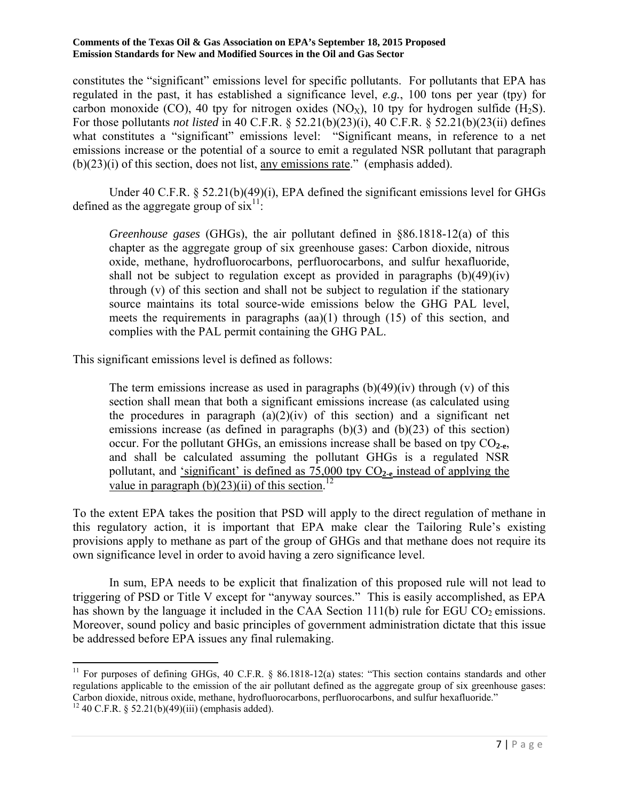constitutes the "significant" emissions level for specific pollutants. For pollutants that EPA has regulated in the past, it has established a significance level, *e.g.*, 100 tons per year (tpy) for carbon monoxide (CO), 40 tpy for nitrogen oxides (NO<sub>x</sub>), 10 tpy for hydrogen sulfide (H<sub>2</sub>S). For those pollutants *not listed* in 40 C.F.R. § 52.21(b)(23)(i), 40 C.F.R. § 52.21(b)(23(ii) defines what constitutes a "significant" emissions level: "Significant means, in reference to a net emissions increase or the potential of a source to emit a regulated NSR pollutant that paragraph (b)(23)(i) of this section, does not list, any emissions rate." (emphasis added).

Under 40 C.F.R. § 52.21(b)(49)(i), EPA defined the significant emissions level for GHGs defined as the aggregate group of  $\sin^{-1}$ :

*Greenhouse gases* (GHGs), the air pollutant defined in §86.1818-12(a) of this chapter as the aggregate group of six greenhouse gases: Carbon dioxide, nitrous oxide, methane, hydrofluorocarbons, perfluorocarbons, and sulfur hexafluoride, shall not be subject to regulation except as provided in paragraphs  $(b)(49)(iv)$ through (v) of this section and shall not be subject to regulation if the stationary source maintains its total source-wide emissions below the GHG PAL level, meets the requirements in paragraphs (aa)(1) through (15) of this section, and complies with the PAL permit containing the GHG PAL.

This significant emissions level is defined as follows:

**.** 

The term emissions increase as used in paragraphs  $(b)(49)(iv)$  through (v) of this section shall mean that both a significant emissions increase (as calculated using the procedures in paragraph  $(a)(2)(iv)$  of this section) and a significant net emissions increase (as defined in paragraphs  $(b)(3)$  and  $(b)(23)$  of this section) occur. For the pollutant GHGs, an emissions increase shall be based on tpy CO**2-e**, and shall be calculated assuming the pollutant GHGs is a regulated NSR pollutant, and 'significant' is defined as 75,000 tpy CO**2-e** instead of applying the value in paragraph (b)(23)(ii) of this section.<sup>12</sup>

To the extent EPA takes the position that PSD will apply to the direct regulation of methane in this regulatory action, it is important that EPA make clear the Tailoring Rule's existing provisions apply to methane as part of the group of GHGs and that methane does not require its own significance level in order to avoid having a zero significance level.

 In sum, EPA needs to be explicit that finalization of this proposed rule will not lead to triggering of PSD or Title V except for "anyway sources." This is easily accomplished, as EPA has shown by the language it included in the CAA Section  $111(b)$  rule for EGU CO<sub>2</sub> emissions. Moreover, sound policy and basic principles of government administration dictate that this issue be addressed before EPA issues any final rulemaking.

<sup>&</sup>lt;sup>11</sup> For purposes of defining GHGs, 40 C.F.R.  $\S$  86.1818-12(a) states: "This section contains standards and other regulations applicable to the emission of the air pollutant defined as the aggregate group of six greenhouse gases: Carbon dioxide, nitrous oxide, methane, hydrofluorocarbons, perfluorocarbons, and sulfur hexafluoride."  $12$  40 C.F.R. § 52.21(b)(49)(iii) (emphasis added).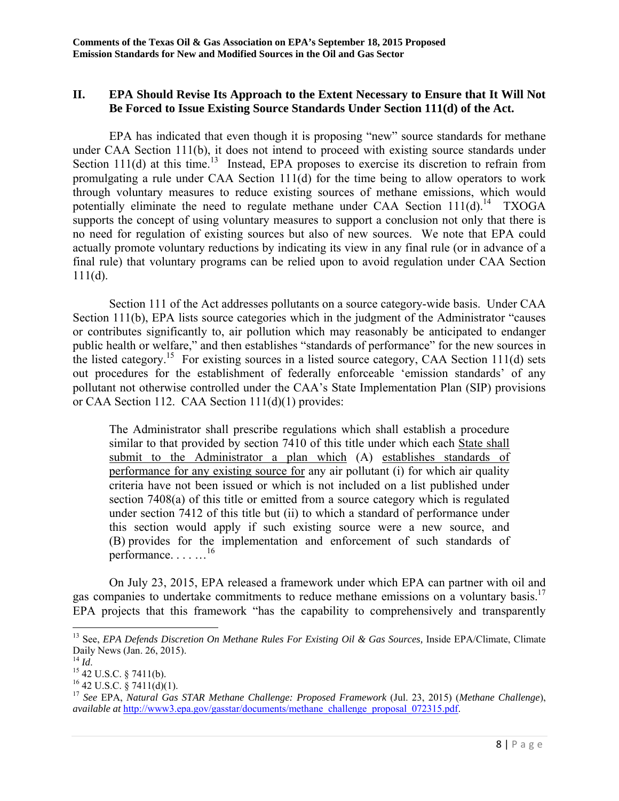#### **II. EPA Should Revise Its Approach to the Extent Necessary to Ensure that It Will Not Be Forced to Issue Existing Source Standards Under Section 111(d) of the Act.**

 EPA has indicated that even though it is proposing "new" source standards for methane under CAA Section 111(b), it does not intend to proceed with existing source standards under Section 111(d) at this time.<sup>13</sup> Instead, EPA proposes to exercise its discretion to refrain from promulgating a rule under CAA Section 111(d) for the time being to allow operators to work through voluntary measures to reduce existing sources of methane emissions, which would potentially eliminate the need to regulate methane under CAA Section  $111(d)$ .<sup>14</sup> TXOGA supports the concept of using voluntary measures to support a conclusion not only that there is no need for regulation of existing sources but also of new sources. We note that EPA could actually promote voluntary reductions by indicating its view in any final rule (or in advance of a final rule) that voluntary programs can be relied upon to avoid regulation under CAA Section  $111(d)$ .

 Section 111 of the Act addresses pollutants on a source category-wide basis. Under CAA Section 111(b), EPA lists source categories which in the judgment of the Administrator "causes" or contributes significantly to, air pollution which may reasonably be anticipated to endanger public health or welfare," and then establishes "standards of performance" for the new sources in the listed category.<sup>15</sup> For existing sources in a listed source category, CAA Section 111(d) sets out procedures for the establishment of federally enforceable 'emission standards' of any pollutant not otherwise controlled under the CAA's State Implementation Plan (SIP) provisions or CAA Section 112. CAA Section 111(d)(1) provides:

The Administrator shall prescribe regulations which shall establish a procedure similar to that provided by section 7410 of this title under which each State shall submit to the Administrator a plan which (A) establishes standards of performance for any existing source for any air pollutant (i) for which air quality criteria have not been issued or which is not included on a list published under section 7408(a) of this title or emitted from a source category which is regulated under section 7412 of this title but (ii) to which a standard of performance under this section would apply if such existing source were a new source, and (B) provides for the implementation and enforcement of such standards of performance. . . . …16

 On July 23, 2015, EPA released a framework under which EPA can partner with oil and gas companies to undertake commitments to reduce methane emissions on a voluntary basis.<sup>17</sup> EPA projects that this framework "has the capability to comprehensively and transparently

<sup>&</sup>lt;sup>13</sup> See, *EPA Defends Discretion On Methane Rules For Existing Oil & Gas Sources*, Inside EPA/Climate, Climate Daily News (Jan. 26, 2015).<br><sup>14</sup> *Id.* 

<sup>&</sup>lt;sup>15</sup> 42 U.S.C. § 7411(b).

 $^{16}$  42 U.S.C.  $\frac{8}{9}$  7411(d)(1).

<sup>17</sup> *See* EPA, *Natural Gas STAR Methane Challenge: Proposed Framework* (Jul. 23, 2015) (*Methane Challenge*), *available at* http://www3.epa.gov/gasstar/documents/methane\_challenge\_proposal\_072315.pdf.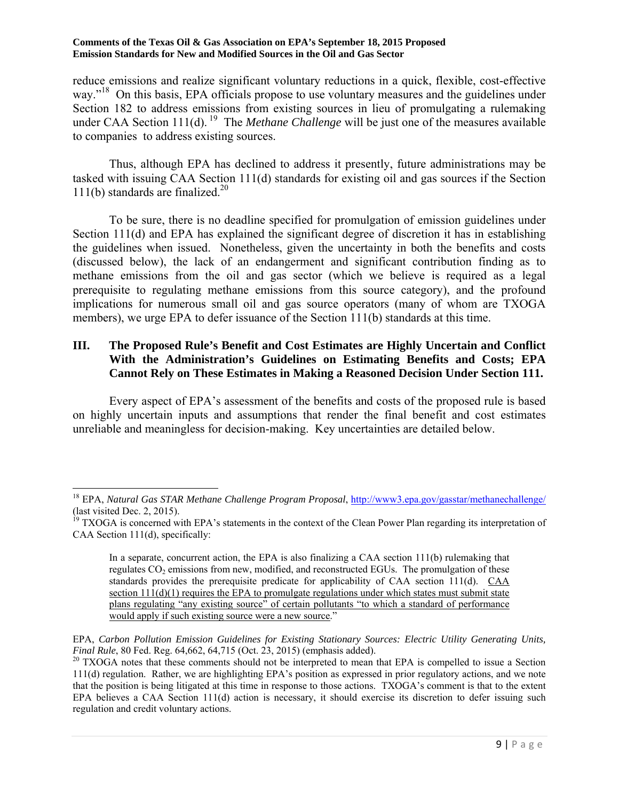reduce emissions and realize significant voluntary reductions in a quick, flexible, cost-effective way."<sup>18</sup> On this basis, EPA officials propose to use voluntary measures and the guidelines under Section 182 to address emissions from existing sources in lieu of promulgating a rulemaking under CAA Section 111(d). <sup>19</sup> The *Methane Challenge* will be just one of the measures available to companies to address existing sources.

 Thus, although EPA has declined to address it presently, future administrations may be tasked with issuing CAA Section 111(d) standards for existing oil and gas sources if the Section 111(b) standards are finalized.<sup>20</sup>

 To be sure, there is no deadline specified for promulgation of emission guidelines under Section 111(d) and EPA has explained the significant degree of discretion it has in establishing the guidelines when issued. Nonetheless, given the uncertainty in both the benefits and costs (discussed below), the lack of an endangerment and significant contribution finding as to methane emissions from the oil and gas sector (which we believe is required as a legal prerequisite to regulating methane emissions from this source category), and the profound implications for numerous small oil and gas source operators (many of whom are TXOGA members), we urge EPA to defer issuance of the Section 111(b) standards at this time.

### **III. The Proposed Rule's Benefit and Cost Estimates are Highly Uncertain and Conflict With the Administration's Guidelines on Estimating Benefits and Costs; EPA Cannot Rely on These Estimates in Making a Reasoned Decision Under Section 111.**

 Every aspect of EPA's assessment of the benefits and costs of the proposed rule is based on highly uncertain inputs and assumptions that render the final benefit and cost estimates unreliable and meaningless for decision-making. Key uncertainties are detailed below.

 $\overline{\phantom{a}}$ 

EPA, *Carbon Pollution Emission Guidelines for Existing Stationary Sources: Electric Utility Generating Units,* 

<sup>&</sup>lt;sup>18</sup> EPA, *Natural Gas STAR Methane Challenge Program Proposal*, http://www3.epa.gov/gasstar/methanechallenge/ (last visited Dec. 2, 2015).

 $19$  TXOGA is concerned with EPA's statements in the context of the Clean Power Plan regarding its interpretation of CAA Section 111(d), specifically:

In a separate, concurrent action, the EPA is also finalizing a CAA section 111(b) rulemaking that regulates  $CO<sub>2</sub>$  emissions from new, modified, and reconstructed EGUs. The promulgation of these standards provides the prerequisite predicate for applicability of CAA section  $111(d)$ . CAA section  $11(1)(1)$  requires the EPA to promulgate regulations under which states must submit state plans regulating "any existing source" of certain pollutants "to which a standard of performance would apply if such existing source were a new source."

<sup>&</sup>lt;sup>20</sup> TXOGA notes that these comments should not be interpreted to mean that EPA is compelled to issue a Section 111(d) regulation. Rather, we are highlighting EPA's position as expressed in prior regulatory actions, and we note that the position is being litigated at this time in response to those actions. TXOGA's comment is that to the extent EPA believes a CAA Section 111(d) action is necessary, it should exercise its discretion to defer issuing such regulation and credit voluntary actions.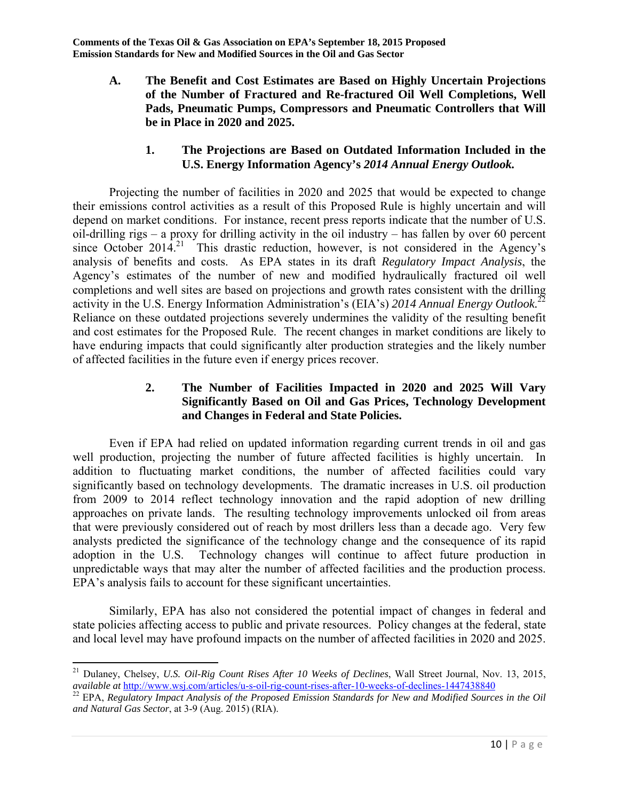**A. The Benefit and Cost Estimates are Based on Highly Uncertain Projections of the Number of Fractured and Re-fractured Oil Well Completions, Well Pads, Pneumatic Pumps, Compressors and Pneumatic Controllers that Will be in Place in 2020 and 2025.** 

### **1. The Projections are Based on Outdated Information Included in the U.S. Energy Information Agency's** *2014 Annual Energy Outlook.*

 Projecting the number of facilities in 2020 and 2025 that would be expected to change their emissions control activities as a result of this Proposed Rule is highly uncertain and will depend on market conditions. For instance, recent press reports indicate that the number of U.S. oil-drilling rigs – a proxy for drilling activity in the oil industry – has fallen by over 60 percent since October 2014.<sup>21</sup> This drastic reduction, however, is not considered in the Agency's analysis of benefits and costs. As EPA states in its draft *Regulatory Impact Analysis*, the Agency's estimates of the number of new and modified hydraulically fractured oil well completions and well sites are based on projections and growth rates consistent with the drilling activity in the U.S. Energy Information Administration's (EIA's) *2014 Annual Energy Outlook.*<sup>22</sup> Reliance on these outdated projections severely undermines the validity of the resulting benefit and cost estimates for the Proposed Rule. The recent changes in market conditions are likely to have enduring impacts that could significantly alter production strategies and the likely number of affected facilities in the future even if energy prices recover.

### **2. The Number of Facilities Impacted in 2020 and 2025 Will Vary Significantly Based on Oil and Gas Prices, Technology Development and Changes in Federal and State Policies.**

 Even if EPA had relied on updated information regarding current trends in oil and gas well production, projecting the number of future affected facilities is highly uncertain. In addition to fluctuating market conditions, the number of affected facilities could vary significantly based on technology developments. The dramatic increases in U.S. oil production from 2009 to 2014 reflect technology innovation and the rapid adoption of new drilling approaches on private lands. The resulting technology improvements unlocked oil from areas that were previously considered out of reach by most drillers less than a decade ago. Very few analysts predicted the significance of the technology change and the consequence of its rapid adoption in the U.S. Technology changes will continue to affect future production in unpredictable ways that may alter the number of affected facilities and the production process. EPA's analysis fails to account for these significant uncertainties.

 Similarly, EPA has also not considered the potential impact of changes in federal and state policies affecting access to public and private resources. Policy changes at the federal, state and local level may have profound impacts on the number of affected facilities in 2020 and 2025.

 $\overline{\phantom{a}}$ 21 Dulaney, Chelsey, *U.S. Oil-Rig Count Rises After 10 Weeks of Declines*, Wall Street Journal, Nov. 13, 2015, available at http://www.wsj.com/articles/u-s-oil-rig-count-rises-after-10-weeks-of-declines-1447438840<br><sup>22</sup> EPA, Regulatory Impact Analysis of the Proposed Emission Standards for New and Modified Sources in the Oil

*and Natural Gas Sector*, at 3-9 (Aug. 2015) (RIA).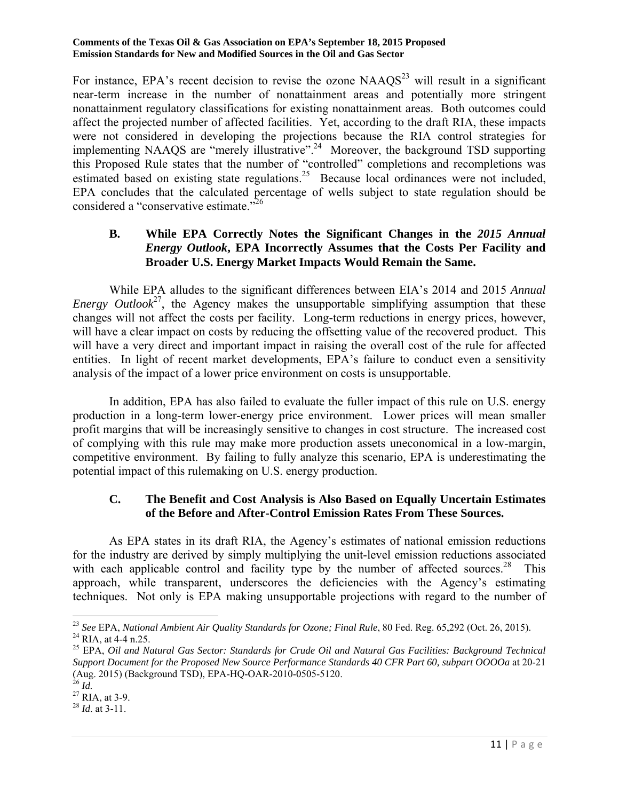For instance, EPA's recent decision to revise the ozone  $NAAOS<sup>23</sup>$  will result in a significant near-term increase in the number of nonattainment areas and potentially more stringent nonattainment regulatory classifications for existing nonattainment areas. Both outcomes could affect the projected number of affected facilities. Yet, according to the draft RIA, these impacts were not considered in developing the projections because the RIA control strategies for implementing NAAQS are "merely illustrative".24 Moreover, the background TSD supporting this Proposed Rule states that the number of "controlled" completions and recompletions was estimated based on existing state regulations.<sup>25</sup> Because local ordinances were not included, EPA concludes that the calculated percentage of wells subject to state regulation should be considered a "conservative estimate."<sup>26</sup>

### **B. While EPA Correctly Notes the Significant Changes in the** *2015 Annual Energy Outlook***, EPA Incorrectly Assumes that the Costs Per Facility and Broader U.S. Energy Market Impacts Would Remain the Same.**

 While EPA alludes to the significant differences between EIA's 2014 and 2015 *Annual Energy Outlook*<sup>27</sup>, the Agency makes the unsupportable simplifying assumption that these changes will not affect the costs per facility. Long-term reductions in energy prices, however, will have a clear impact on costs by reducing the offsetting value of the recovered product. This will have a very direct and important impact in raising the overall cost of the rule for affected entities. In light of recent market developments, EPA's failure to conduct even a sensitivity analysis of the impact of a lower price environment on costs is unsupportable.

 In addition, EPA has also failed to evaluate the fuller impact of this rule on U.S. energy production in a long-term lower-energy price environment. Lower prices will mean smaller profit margins that will be increasingly sensitive to changes in cost structure. The increased cost of complying with this rule may make more production assets uneconomical in a low-margin, competitive environment. By failing to fully analyze this scenario, EPA is underestimating the potential impact of this rulemaking on U.S. energy production.

### **C. The Benefit and Cost Analysis is Also Based on Equally Uncertain Estimates of the Before and After-Control Emission Rates From These Sources.**

 As EPA states in its draft RIA, the Agency's estimates of national emission reductions for the industry are derived by simply multiplying the unit-level emission reductions associated with each applicable control and facility type by the number of affected sources.<sup>28</sup> This approach, while transparent, underscores the deficiencies with the Agency's estimating techniques. Not only is EPA making unsupportable projections with regard to the number of

 $\overline{a}$ <sup>23</sup> See EPA, *National Ambient Air Quality Standards for Ozone; Final Rule*, 80 Fed. Reg. 65,292 (Oct. 26, 2015).<br><sup>24</sup> RIA, at 4-4 n.25.

<sup>&</sup>lt;sup>24</sup> RIA, at 4-4 n.25.<br><sup>25</sup> EPA, *Oil and Natural Gas Sector: Standards for Crude Oil and Natural Gas Facilities: Background Technical Support Document for the Proposed New Source Performance Standards 40 CFR Part 60, subpart OOOOa* at 20-21 (Aug. 2015) (Background TSD), EPA-HQ-OAR-2010-0505-5120.

<sup>&</sup>lt;sup>26</sup> *Id.* 27 RIA, at 3-9.

<sup>28</sup> *Id*. at 3-11.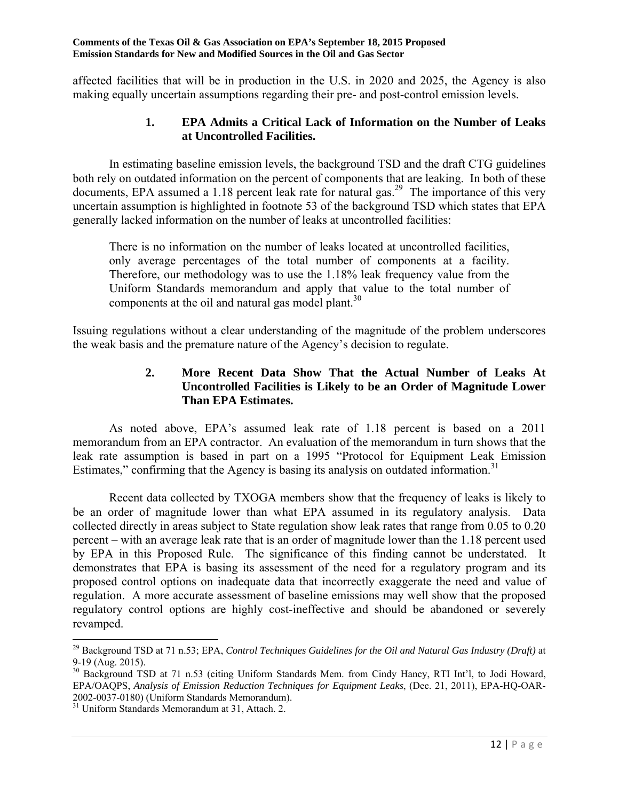affected facilities that will be in production in the U.S. in 2020 and 2025, the Agency is also making equally uncertain assumptions regarding their pre- and post-control emission levels.

#### **1. EPA Admits a Critical Lack of Information on the Number of Leaks at Uncontrolled Facilities.**

 In estimating baseline emission levels, the background TSD and the draft CTG guidelines both rely on outdated information on the percent of components that are leaking. In both of these documents, EPA assumed a 1.18 percent leak rate for natural gas.<sup>29</sup> The importance of this very uncertain assumption is highlighted in footnote 53 of the background TSD which states that EPA generally lacked information on the number of leaks at uncontrolled facilities:

There is no information on the number of leaks located at uncontrolled facilities, only average percentages of the total number of components at a facility. Therefore, our methodology was to use the 1.18% leak frequency value from the Uniform Standards memorandum and apply that value to the total number of components at the oil and natural gas model plant. $30<sup>30</sup>$ 

Issuing regulations without a clear understanding of the magnitude of the problem underscores the weak basis and the premature nature of the Agency's decision to regulate.

### **2. More Recent Data Show That the Actual Number of Leaks At Uncontrolled Facilities is Likely to be an Order of Magnitude Lower Than EPA Estimates.**

 As noted above, EPA's assumed leak rate of 1.18 percent is based on a 2011 memorandum from an EPA contractor. An evaluation of the memorandum in turn shows that the leak rate assumption is based in part on a 1995 "Protocol for Equipment Leak Emission Estimates," confirming that the Agency is basing its analysis on outdated information.<sup>31</sup>

 Recent data collected by TXOGA members show that the frequency of leaks is likely to be an order of magnitude lower than what EPA assumed in its regulatory analysis. Data collected directly in areas subject to State regulation show leak rates that range from 0.05 to 0.20 percent – with an average leak rate that is an order of magnitude lower than the 1.18 percent used by EPA in this Proposed Rule. The significance of this finding cannot be understated. It demonstrates that EPA is basing its assessment of the need for a regulatory program and its proposed control options on inadequate data that incorrectly exaggerate the need and value of regulation. A more accurate assessment of baseline emissions may well show that the proposed regulatory control options are highly cost-ineffective and should be abandoned or severely revamped.

 $\overline{\phantom{a}}$ 29 Background TSD at 71 n.53; EPA, *Control Techniques Guidelines for the Oil and Natural Gas Industry (Draft)* at 9-19 (Aug. 2015).

<sup>&</sup>lt;sup>30</sup> Background TSD at 71 n.53 (citing Uniform Standards Mem. from Cindy Hancy, RTI Int'l, to Jodi Howard, EPA/OAQPS, *Analysis of Emission Reduction Techniques for Equipment Leaks*, (Dec. 21, 2011), EPA-HQ-OAR-2002-0037-0180) (Uniform Standards Memorandum).

<sup>&</sup>lt;sup>31</sup> Uniform Standards Memorandum at 31, Attach. 2.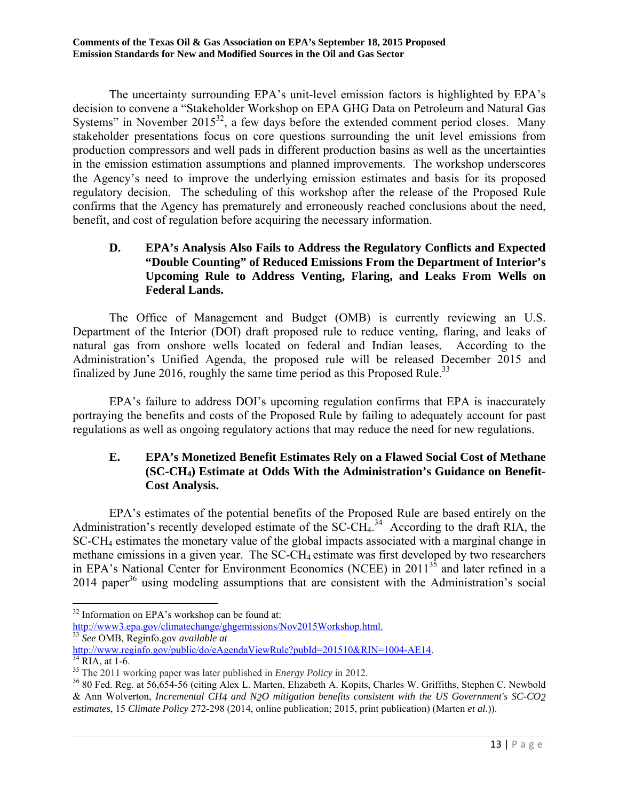The uncertainty surrounding EPA's unit-level emission factors is highlighted by EPA's decision to convene a "Stakeholder Workshop on EPA GHG Data on Petroleum and Natural Gas Systems" in November  $2015^{32}$ , a few days before the extended comment period closes. Many stakeholder presentations focus on core questions surrounding the unit level emissions from production compressors and well pads in different production basins as well as the uncertainties in the emission estimation assumptions and planned improvements. The workshop underscores the Agency's need to improve the underlying emission estimates and basis for its proposed regulatory decision. The scheduling of this workshop after the release of the Proposed Rule confirms that the Agency has prematurely and erroneously reached conclusions about the need, benefit, and cost of regulation before acquiring the necessary information.

### **D. EPA's Analysis Also Fails to Address the Regulatory Conflicts and Expected "Double Counting" of Reduced Emissions From the Department of Interior's Upcoming Rule to Address Venting, Flaring, and Leaks From Wells on Federal Lands.**

 The Office of Management and Budget (OMB) is currently reviewing an U.S. Department of the Interior (DOI) draft proposed rule to reduce venting, flaring, and leaks of natural gas from onshore wells located on federal and Indian leases. According to the Administration's Unified Agenda, the proposed rule will be released December 2015 and finalized by June 2016, roughly the same time period as this Proposed Rule.<sup>33</sup>

 EPA's failure to address DOI's upcoming regulation confirms that EPA is inaccurately portraying the benefits and costs of the Proposed Rule by failing to adequately account for past regulations as well as ongoing regulatory actions that may reduce the need for new regulations.

### **E. EPA's Monetized Benefit Estimates Rely on a Flawed Social Cost of Methane (SC-CH4) Estimate at Odds With the Administration's Guidance on Benefit-Cost Analysis.**

 EPA's estimates of the potential benefits of the Proposed Rule are based entirely on the Administration's recently developed estimate of the  $SC-CH<sub>4</sub>$ <sup>34</sup> According to the draft RIA, the SC-CH4 estimates the monetary value of the global impacts associated with a marginal change in methane emissions in a given year. The SC-CH<sub>4</sub> estimate was first developed by two researchers in EPA's National Center for Environment Economics (NCEE) in 201135 and later refined in a  $2014$  paper<sup>36</sup> using modeling assumptions that are consistent with the Administration's social

http://www3.epa.gov/climatechange/ghgemissions/Nov2015Workshop.html.

 $\overline{\phantom{a}}$  $32$  Information on EPA's workshop can be found at:

<sup>33</sup> *See* OMB, Reginfo.gov *available at*

http://www.reginfo.gov/public/do/eAgendaViewRule?pubId=201510&RIN=1004-AE14.<br><sup>34</sup> RIA, at 1-6.<br><sup>35</sup> The 2011 working paper was later published in *Energy Policy* in 2012.

<sup>&</sup>lt;sup>36</sup> 80 Fed. Reg. at 56,654-56 (citing Alex L. Marten, Elizabeth A. Kopits, Charles W. Griffiths, Stephen C. Newbold & Ann Wolverton, *Incremental CH4 and N2O mitigation benefits consistent with the US Government's SC-CO2 estimates*, 15 *Climate Policy* 272-298 (2014, online publication; 2015, print publication) (Marten *et al*.)).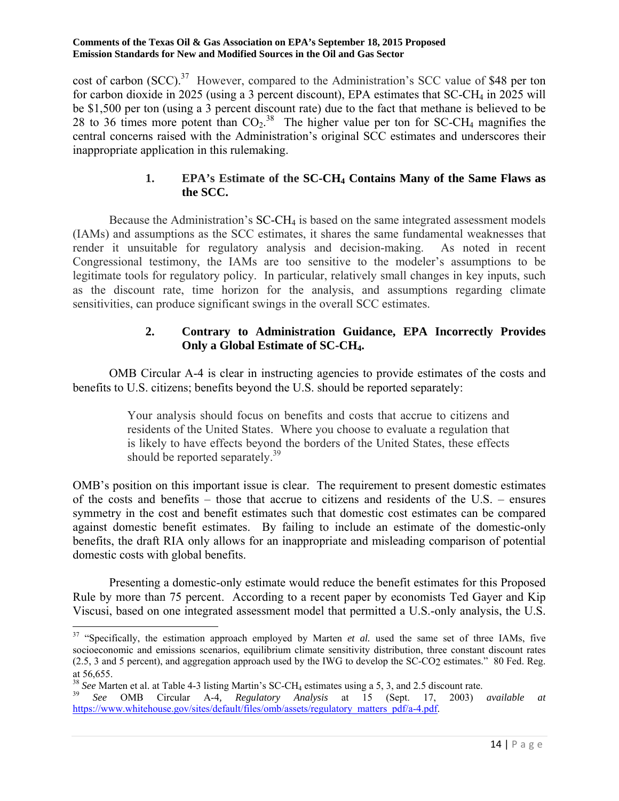cost of carbon (SCC).<sup>37</sup> However, compared to the Administration's SCC value of \$48 per ton for carbon dioxide in 2025 (using a 3 percent discount), EPA estimates that SC-CH<sub>4</sub> in 2025 will be \$1,500 per ton (using a 3 percent discount rate) due to the fact that methane is believed to be 28 to 36 times more potent than  $CO_2$ .<sup>38</sup> The higher value per ton for SC-CH<sub>4</sub> magnifies the central concerns raised with the Administration's original SCC estimates and underscores their inappropriate application in this rulemaking.

### **1. EPA's Estimate of the SC-CH4 Contains Many of the Same Flaws as the SCC.**

Because the Administration's  $SC-CH<sub>4</sub>$  is based on the same integrated assessment models (IAMs) and assumptions as the SCC estimates, it shares the same fundamental weaknesses that render it unsuitable for regulatory analysis and decision-making. As noted in recent Congressional testimony, the IAMs are too sensitive to the modeler's assumptions to be legitimate tools for regulatory policy. In particular, relatively small changes in key inputs, such as the discount rate, time horizon for the analysis, and assumptions regarding climate sensitivities, can produce significant swings in the overall SCC estimates.

### **2. Contrary to Administration Guidance, EPA Incorrectly Provides Only a Global Estimate of SC-CH4.**

 OMB Circular A-4 is clear in instructing agencies to provide estimates of the costs and benefits to U.S. citizens; benefits beyond the U.S. should be reported separately:

> Your analysis should focus on benefits and costs that accrue to citizens and residents of the United States. Where you choose to evaluate a regulation that is likely to have effects beyond the borders of the United States, these effects should be reported separately.<sup>39</sup>

OMB's position on this important issue is clear. The requirement to present domestic estimates of the costs and benefits – those that accrue to citizens and residents of the U.S. – ensures symmetry in the cost and benefit estimates such that domestic cost estimates can be compared against domestic benefit estimates. By failing to include an estimate of the domestic-only benefits, the draft RIA only allows for an inappropriate and misleading comparison of potential domestic costs with global benefits.

 Presenting a domestic-only estimate would reduce the benefit estimates for this Proposed Rule by more than 75 percent. According to a recent paper by economists Ted Gayer and Kip Viscusi, based on one integrated assessment model that permitted a U.S.-only analysis, the U.S.

 $\overline{a}$ 

<sup>&</sup>lt;sup>37</sup> "Specifically, the estimation approach employed by Marten *et al.* used the same set of three IAMs, five socioeconomic and emissions scenarios, equilibrium climate sensitivity distribution, three constant discount rates (2.5, 3 and 5 percent), and aggregation approach used by the IWG to develop the SC-CO2 estimates." 80 Fed. Reg. at 56,655.

<sup>38</sup> *See* Marten et al. at Table 4-3 listing Martin's SC-CH4 estimates using a 5, 3, and 2.5 discount rate. 39 *See* OMB Circular A-4*, Regulatory Analysis* at 15 (Sept. 17, 2003) *available at*

https://www.whitehouse.gov/sites/default/files/omb/assets/regulatory\_matters\_pdf/a-4.pdf.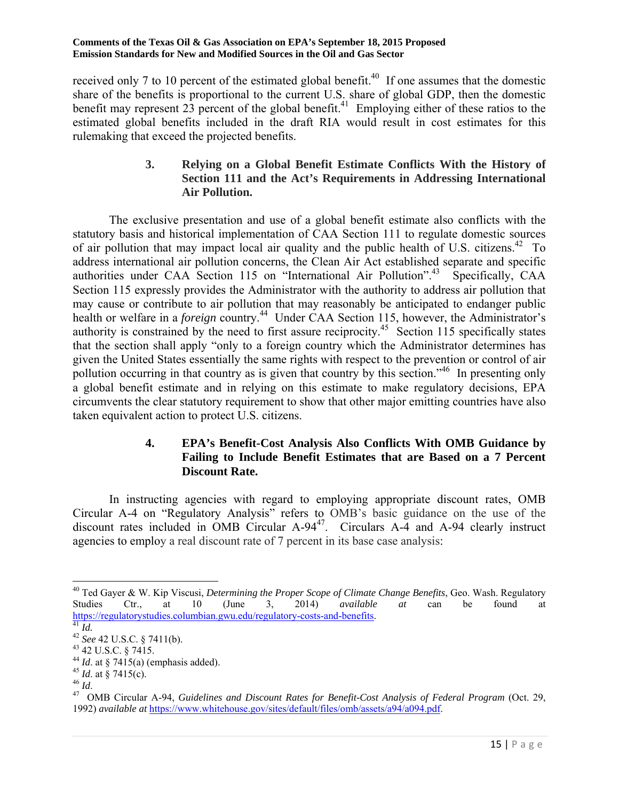received only 7 to 10 percent of the estimated global benefit.<sup>40</sup> If one assumes that the domestic share of the benefits is proportional to the current U.S. share of global GDP, then the domestic benefit may represent  $23$  percent of the global benefit.<sup>41</sup> Employing either of these ratios to the estimated global benefits included in the draft RIA would result in cost estimates for this rulemaking that exceed the projected benefits.

### **3. Relying on a Global Benefit Estimate Conflicts With the History of Section 111 and the Act's Requirements in Addressing International Air Pollution.**

 The exclusive presentation and use of a global benefit estimate also conflicts with the statutory basis and historical implementation of CAA Section 111 to regulate domestic sources of air pollution that may impact local air quality and the public health of U.S. citizens.<sup>42</sup> To address international air pollution concerns, the Clean Air Act established separate and specific authorities under CAA Section 115 on "International Air Pollution".<sup>43</sup> Specifically, CAA Section 115 expressly provides the Administrator with the authority to address air pollution that may cause or contribute to air pollution that may reasonably be anticipated to endanger public health or welfare in a *foreign* country.<sup>44</sup> Under CAA Section 115, however, the Administrator's authority is constrained by the need to first assure reciprocity.<sup>45</sup> Section 115 specifically states that the section shall apply "only to a foreign country which the Administrator determines has given the United States essentially the same rights with respect to the prevention or control of air pollution occurring in that country as is given that country by this section.<sup>346</sup> In presenting only a global benefit estimate and in relying on this estimate to make regulatory decisions, EPA circumvents the clear statutory requirement to show that other major emitting countries have also taken equivalent action to protect U.S. citizens.

### **4. EPA's Benefit-Cost Analysis Also Conflicts With OMB Guidance by Failing to Include Benefit Estimates that are Based on a 7 Percent Discount Rate.**

 In instructing agencies with regard to employing appropriate discount rates, OMB Circular A-4 on "Regulatory Analysis" refers to OMB's basic guidance on the use of the discount rates included in OMB Circular A-94<sup>47</sup>. Circulars A-4 and A-94 clearly instruct agencies to employ a real discount rate of 7 percent in its base case analysis:

 $\overline{a}$ 

<sup>40</sup> Ted Gayer & W. Kip Viscusi, *Determining the Proper Scope of Climate Change Benefits*, Geo. Wash. Regulatory Studies Ctr., at 10 (June 3, 2014) *available at* can be found at https://regulatorystudies.columbian.gwu.edu/regulatory-costs-and-benefits.<br><sup>42</sup> *See* 42 U.S.C. § 7411(b).<br><sup>43</sup> 42 U.S.C. § 7415.<br><sup>44</sup> *Id.* at § 7415(a) (emphasis added).

<sup>&</sup>lt;sup>45</sup> *Id.* at § 7415(c).<br><sup>46</sup> *Id.* <br><sup>47</sup> OMB Circular A-94, *Guidelines and Discount Rates for Benefit-Cost Analysis of Federal Program (Oct. 29,* 1992) *available at* https://www.whitehouse.gov/sites/default/files/omb/assets/a94/a094.pdf.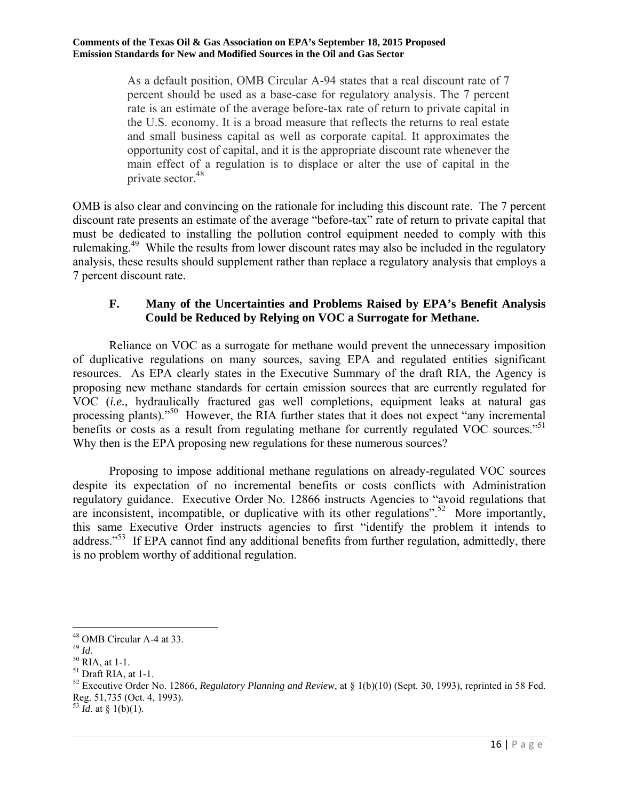As a default position, OMB Circular A-94 states that a real discount rate of 7 percent should be used as a base-case for regulatory analysis. The 7 percent rate is an estimate of the average before-tax rate of return to private capital in the U.S. economy. It is a broad measure that reflects the returns to real estate and small business capital as well as corporate capital. It approximates the opportunity cost of capital, and it is the appropriate discount rate whenever the main effect of a regulation is to displace or alter the use of capital in the private sector.<sup>48</sup>

OMB is also clear and convincing on the rationale for including this discount rate. The 7 percent discount rate presents an estimate of the average "before-tax" rate of return to private capital that must be dedicated to installing the pollution control equipment needed to comply with this rulemaking.<sup>49</sup> While the results from lower discount rates may also be included in the regulatory analysis, these results should supplement rather than replace a regulatory analysis that employs a 7 percent discount rate.

#### **F. Many of the Uncertainties and Problems Raised by EPA's Benefit Analysis Could be Reduced by Relying on VOC a Surrogate for Methane.**

 Reliance on VOC as a surrogate for methane would prevent the unnecessary imposition of duplicative regulations on many sources, saving EPA and regulated entities significant resources. As EPA clearly states in the Executive Summary of the draft RIA, the Agency is proposing new methane standards for certain emission sources that are currently regulated for VOC (*i.e.*, hydraulically fractured gas well completions, equipment leaks at natural gas processing plants).<sup>"50</sup> However, the RIA further states that it does not expect "any incremental" benefits or costs as a result from regulating methane for currently regulated VOC sources."<sup>51</sup> Why then is the EPA proposing new regulations for these numerous sources?

 Proposing to impose additional methane regulations on already-regulated VOC sources despite its expectation of no incremental benefits or costs conflicts with Administration regulatory guidance. Executive Order No. 12866 instructs Agencies to "avoid regulations that are inconsistent, incompatible, or duplicative with its other regulations".<sup>52</sup> More importantly, this same Executive Order instructs agencies to first "identify the problem it intends to address."<sup>53</sup> If EPA cannot find any additional benefits from further regulation, admittedly, there is no problem worthy of additional regulation.

 $\overline{\phantom{a}}$ 

 $^{53}$  *Id.* at § 1(b)(1).

<sup>&</sup>lt;sup>48</sup> OMB Circular A-4 at 33.<br><sup>49</sup>  $$ 

<sup>&</sup>lt;sup>50</sup> RIA, at 1-1.

 $51$  Draft RIA, at 1-1.

<sup>52</sup> Executive Order No. 12866, *Regulatory Planning and Review*, at § 1(b)(10) (Sept. 30, 1993), reprinted in 58 Fed. Reg. 51,735 (Oct. 4, 1993).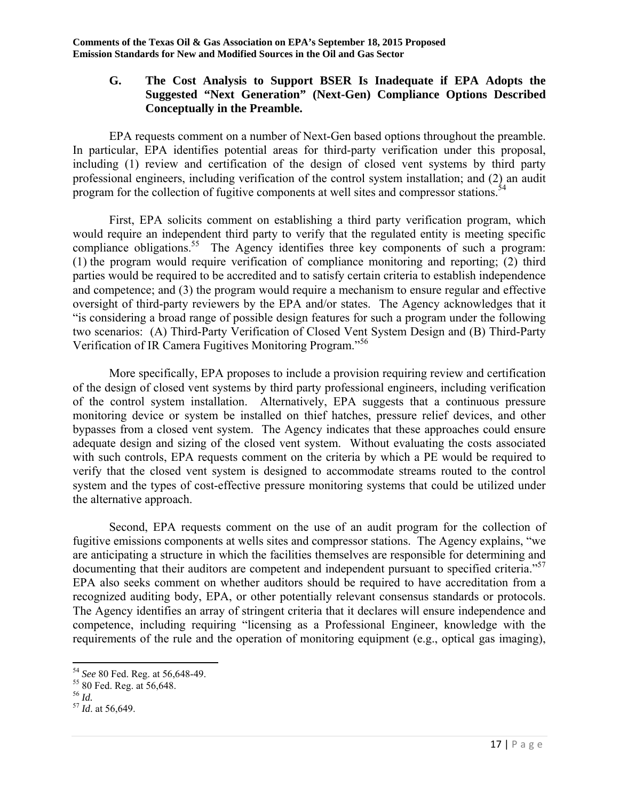#### **G. The Cost Analysis to Support BSER Is Inadequate if EPA Adopts the Suggested "Next Generation" (Next-Gen) Compliance Options Described Conceptually in the Preamble.**

 EPA requests comment on a number of Next-Gen based options throughout the preamble. In particular, EPA identifies potential areas for third-party verification under this proposal, including (1) review and certification of the design of closed vent systems by third party professional engineers, including verification of the control system installation; and (2) an audit program for the collection of fugitive components at well sites and compressor stations.<sup>54</sup>

 First, EPA solicits comment on establishing a third party verification program, which would require an independent third party to verify that the regulated entity is meeting specific compliance obligations.<sup>55</sup> The Agency identifies three key components of such a program: (1) the program would require verification of compliance monitoring and reporting; (2) third parties would be required to be accredited and to satisfy certain criteria to establish independence and competence; and (3) the program would require a mechanism to ensure regular and effective oversight of third-party reviewers by the EPA and/or states. The Agency acknowledges that it "is considering a broad range of possible design features for such a program under the following two scenarios: (A) Third-Party Verification of Closed Vent System Design and (B) Third-Party Verification of IR Camera Fugitives Monitoring Program."56

 More specifically, EPA proposes to include a provision requiring review and certification of the design of closed vent systems by third party professional engineers, including verification of the control system installation. Alternatively, EPA suggests that a continuous pressure monitoring device or system be installed on thief hatches, pressure relief devices, and other bypasses from a closed vent system. The Agency indicates that these approaches could ensure adequate design and sizing of the closed vent system. Without evaluating the costs associated with such controls, EPA requests comment on the criteria by which a PE would be required to verify that the closed vent system is designed to accommodate streams routed to the control system and the types of cost-effective pressure monitoring systems that could be utilized under the alternative approach.

 Second, EPA requests comment on the use of an audit program for the collection of fugitive emissions components at wells sites and compressor stations. The Agency explains, "we are anticipating a structure in which the facilities themselves are responsible for determining and documenting that their auditors are competent and independent pursuant to specified criteria."<sup>57</sup> EPA also seeks comment on whether auditors should be required to have accreditation from a recognized auditing body, EPA, or other potentially relevant consensus standards or protocols. The Agency identifies an array of stringent criteria that it declares will ensure independence and competence, including requiring "licensing as a Professional Engineer, knowledge with the requirements of the rule and the operation of monitoring equipment (e.g., optical gas imaging),

 $\overline{\phantom{a}}$ <sup>54</sup> *See* 80 Fed. Reg. at 56,648-49.<br><sup>55</sup> 80 Fed. Reg. at 56,648.

<sup>&</sup>lt;sup>55</sup> 80 Fed. Reg. at 56,648.<br><sup>56</sup> *Id.*<br><sup>57</sup> *Id.* at 56.649.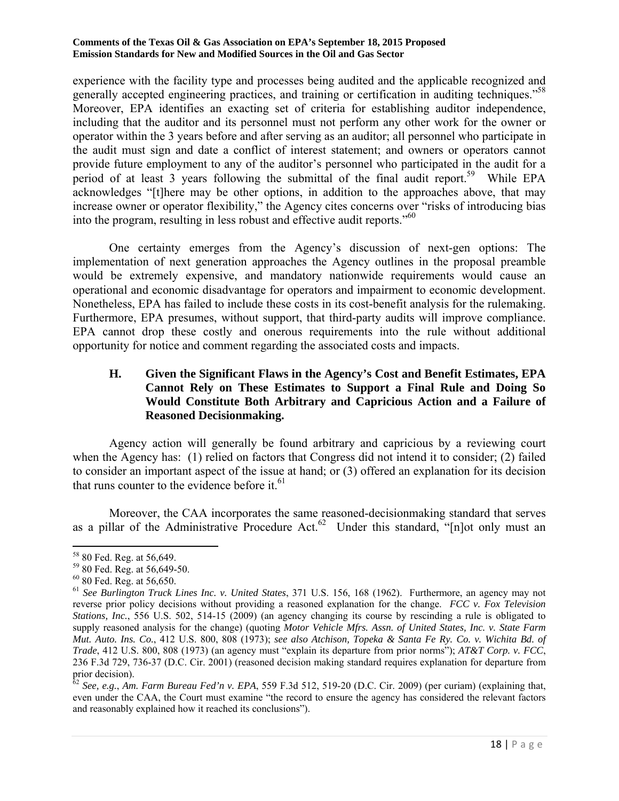experience with the facility type and processes being audited and the applicable recognized and generally accepted engineering practices, and training or certification in auditing techniques."<sup>58</sup> Moreover, EPA identifies an exacting set of criteria for establishing auditor independence, including that the auditor and its personnel must not perform any other work for the owner or operator within the 3 years before and after serving as an auditor; all personnel who participate in the audit must sign and date a conflict of interest statement; and owners or operators cannot provide future employment to any of the auditor's personnel who participated in the audit for a period of at least 3 years following the submittal of the final audit report.<sup>59</sup> While EPA acknowledges "[t]here may be other options, in addition to the approaches above, that may increase owner or operator flexibility," the Agency cites concerns over "risks of introducing bias into the program, resulting in less robust and effective audit reports.<sup>50</sup>

 One certainty emerges from the Agency's discussion of next-gen options: The implementation of next generation approaches the Agency outlines in the proposal preamble would be extremely expensive, and mandatory nationwide requirements would cause an operational and economic disadvantage for operators and impairment to economic development. Nonetheless, EPA has failed to include these costs in its cost-benefit analysis for the rulemaking. Furthermore, EPA presumes, without support, that third-party audits will improve compliance. EPA cannot drop these costly and onerous requirements into the rule without additional opportunity for notice and comment regarding the associated costs and impacts.

### **H. Given the Significant Flaws in the Agency's Cost and Benefit Estimates, EPA Cannot Rely on These Estimates to Support a Final Rule and Doing So Would Constitute Both Arbitrary and Capricious Action and a Failure of Reasoned Decisionmaking.**

 Agency action will generally be found arbitrary and capricious by a reviewing court when the Agency has: (1) relied on factors that Congress did not intend it to consider; (2) failed to consider an important aspect of the issue at hand; or (3) offered an explanation for its decision that runs counter to the evidence before it.<sup>61</sup>

 Moreover, the CAA incorporates the same reasoned-decisionmaking standard that serves as a pillar of the Administrative Procedure Act.<sup>62</sup> Under this standard, "[n]ot only must an

 $\overline{a}$ 

<sup>58 80</sup> Fed. Reg. at 56,649.

<sup>59 80</sup> Fed. Reg. at 56,649-50.

<sup>60 80</sup> Fed. Reg. at 56,650.

<sup>61</sup> *See Burlington Truck Lines Inc. v. United States*, 371 U.S. 156, 168 (1962). Furthermore, an agency may not reverse prior policy decisions without providing a reasoned explanation for the change. *FCC v. Fox Television Stations, Inc.*, 556 U.S. 502, 514-15 (2009) (an agency changing its course by rescinding a rule is obligated to supply reasoned analysis for the change) (quoting *Motor Vehicle Mfrs. Assn. of United States, Inc. v. State Farm Mut. Auto. Ins. Co.*, 412 U.S. 800, 808 (1973); *see also Atchison, Topeka & Santa Fe Ry. Co. v. Wichita Bd. of Trade*, 412 U.S. 800, 808 (1973) (an agency must "explain its departure from prior norms"); *AT&T Corp. v. FCC*, 236 F.3d 729, 736-37 (D.C. Cir. 2001) (reasoned decision making standard requires explanation for departure from prior decision).

<sup>62</sup> *See, e.g.*, *Am. Farm Bureau Fed'n v. EPA*, 559 F.3d 512, 519-20 (D.C. Cir. 2009) (per curiam) (explaining that, even under the CAA, the Court must examine "the record to ensure the agency has considered the relevant factors and reasonably explained how it reached its conclusions").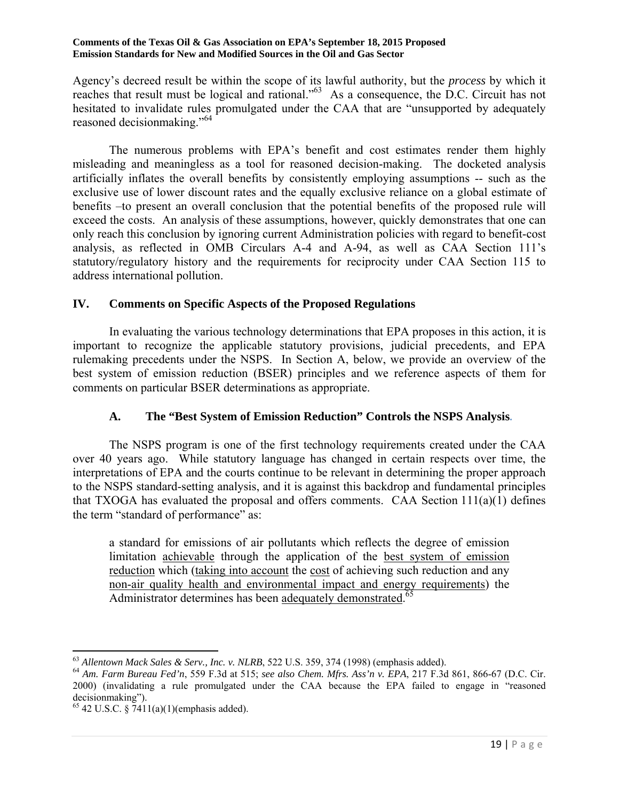Agency's decreed result be within the scope of its lawful authority, but the *process* by which it reaches that result must be logical and rational."<sup>63</sup> As a consequence, the D.C. Circuit has not hesitated to invalidate rules promulgated under the CAA that are "unsupported by adequately reasoned decisionmaking."64

 The numerous problems with EPA's benefit and cost estimates render them highly misleading and meaningless as a tool for reasoned decision-making. The docketed analysis artificially inflates the overall benefits by consistently employing assumptions -- such as the exclusive use of lower discount rates and the equally exclusive reliance on a global estimate of benefits –to present an overall conclusion that the potential benefits of the proposed rule will exceed the costs. An analysis of these assumptions, however, quickly demonstrates that one can only reach this conclusion by ignoring current Administration policies with regard to benefit-cost analysis, as reflected in OMB Circulars A-4 and A-94, as well as CAA Section 111's statutory/regulatory history and the requirements for reciprocity under CAA Section 115 to address international pollution.

### **IV. Comments on Specific Aspects of the Proposed Regulations**

 In evaluating the various technology determinations that EPA proposes in this action, it is important to recognize the applicable statutory provisions, judicial precedents, and EPA rulemaking precedents under the NSPS. In Section A, below, we provide an overview of the best system of emission reduction (BSER) principles and we reference aspects of them for comments on particular BSER determinations as appropriate.

### **A. The "Best System of Emission Reduction" Controls the NSPS Analysis**.

The NSPS program is one of the first technology requirements created under the CAA over 40 years ago. While statutory language has changed in certain respects over time, the interpretations of EPA and the courts continue to be relevant in determining the proper approach to the NSPS standard-setting analysis, and it is against this backdrop and fundamental principles that TXOGA has evaluated the proposal and offers comments. CAA Section  $111(a)(1)$  defines the term "standard of performance" as:

a standard for emissions of air pollutants which reflects the degree of emission limitation achievable through the application of the best system of emission reduction which (taking into account the cost of achieving such reduction and any non-air quality health and environmental impact and energy requirements) the Administrator determines has been adequately demonstrated.<sup>65</sup>

 $\overline{a}$ 

<sup>63</sup> *Allentown Mack Sales & Serv., Inc. v. NLRB*, 522 U.S. 359, 374 (1998) (emphasis added). 64 *Am. Farm Bureau Fed'n*, 559 F.3d at 515; *see also Chem. Mfrs. Ass'n v. EPA*, 217 F.3d 861, 866-67 (D.C. Cir. 2000) (invalidating a rule promulgated under the CAA because the EPA failed to engage in "reasoned decisionmaking").

 $65$  42 U.S.C. § 7411(a)(1)(emphasis added).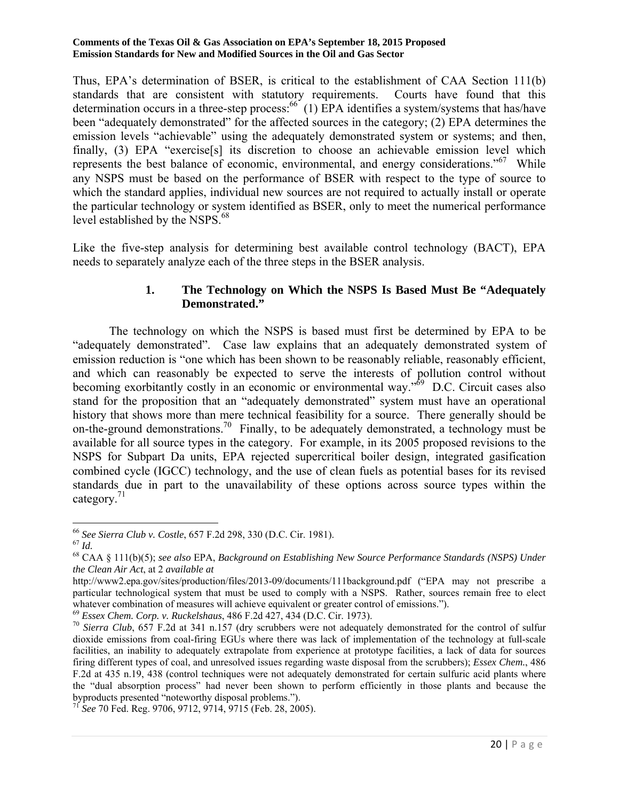Thus, EPA's determination of BSER, is critical to the establishment of CAA Section 111(b) standards that are consistent with statutory requirements. Courts have found that this determination occurs in a three-step process:  $^{66}$  (1) EPA identifies a system/systems that has/have been "adequately demonstrated" for the affected sources in the category; (2) EPA determines the emission levels "achievable" using the adequately demonstrated system or systems; and then, finally, (3) EPA "exercise[s] its discretion to choose an achievable emission level which represents the best balance of economic, environmental, and energy considerations."<sup>67</sup> While any NSPS must be based on the performance of BSER with respect to the type of source to which the standard applies, individual new sources are not required to actually install or operate the particular technology or system identified as BSER, only to meet the numerical performance level established by the NSPS.<sup>68</sup>

Like the five-step analysis for determining best available control technology (BACT), EPA needs to separately analyze each of the three steps in the BSER analysis.

### **1. The Technology on Which the NSPS Is Based Must Be "Adequately Demonstrated."**

The technology on which the NSPS is based must first be determined by EPA to be "adequately demonstrated". Case law explains that an adequately demonstrated system of emission reduction is "one which has been shown to be reasonably reliable, reasonably efficient, and which can reasonably be expected to serve the interests of pollution control without becoming exorbitantly costly in an economic or environmental way."<sup>69</sup> D.C. Circuit cases also stand for the proposition that an "adequately demonstrated" system must have an operational history that shows more than mere technical feasibility for a source. There generally should be on-the-ground demonstrations.<sup>70</sup> Finally, to be adequately demonstrated, a technology must be available for all source types in the category. For example, in its 2005 proposed revisions to the NSPS for Subpart Da units, EPA rejected supercritical boiler design, integrated gasification combined cycle (IGCC) technology, and the use of clean fuels as potential bases for its revised standards due in part to the unavailability of these options across source types within the category.<sup>71</sup>

<sup>71</sup> *See* 70 Fed. Reg. 9706, 9712, 9714, 9715 (Feb. 28, 2005).

 $\overline{\phantom{a}}$ 

<sup>&</sup>lt;sup>66</sup> *See Sierra Club v. Costle*, 657 F.2d 298, 330 (D.C. Cir. 1981).<br><sup>67</sup> *Id.* 68 CAA § 111(b)(5); *see also* EPA, *Background on Establishing New Source Performance Standards (NSPS) Under the Clean Air Act*, at 2 *available at*

http://www2.epa.gov/sites/production/files/2013-09/documents/111background.pdf ("EPA may not prescribe a particular technological system that must be used to comply with a NSPS. Rather, sources remain free to elect whatever combination of measures will achieve equivalent or greater control of emissions.").<br>
<sup>69</sup> Essex Chem. Corp. v. Ruckelshaus, 486 F.2d 427, 434 (D.C. Cir. 1973).<br>
<sup>70</sup> Sierra Club, 657 F.2d at 341 n.157 (dry scrubb

dioxide emissions from coal-firing EGUs where there was lack of implementation of the technology at full-scale facilities, an inability to adequately extrapolate from experience at prototype facilities, a lack of data for sources firing different types of coal, and unresolved issues regarding waste disposal from the scrubbers); *Essex Chem.*, 486 F.2d at 435 n.19, 438 (control techniques were not adequately demonstrated for certain sulfuric acid plants where the "dual absorption process" had never been shown to perform efficiently in those plants and because the byproducts presented "noteworthy disposal problems.").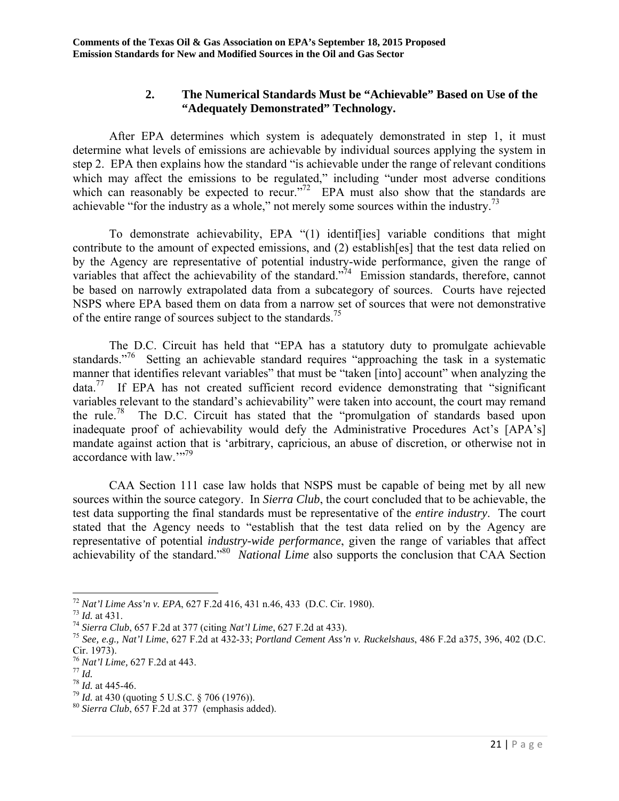### **2. The Numerical Standards Must be "Achievable" Based on Use of the "Adequately Demonstrated" Technology.**

After EPA determines which system is adequately demonstrated in step 1, it must determine what levels of emissions are achievable by individual sources applying the system in step 2. EPA then explains how the standard "is achievable under the range of relevant conditions which may affect the emissions to be regulated," including "under most adverse conditions" which can reasonably be expected to recur."<sup>72</sup> EPA must also show that the standards are achievable "for the industry as a whole," not merely some sources within the industry.73

To demonstrate achievability, EPA "(1) identif[ies] variable conditions that might contribute to the amount of expected emissions, and (2) establish[es] that the test data relied on by the Agency are representative of potential industry-wide performance, given the range of variables that affect the achievability of the standard."<sup>74</sup> Emission standards, therefore, cannot be based on narrowly extrapolated data from a subcategory of sources. Courts have rejected NSPS where EPA based them on data from a narrow set of sources that were not demonstrative of the entire range of sources subject to the standards.<sup>75</sup>

The D.C. Circuit has held that "EPA has a statutory duty to promulgate achievable standards."<sup>76</sup> Setting an achievable standard requires "approaching the task in a systematic manner that identifies relevant variables" that must be "taken [into] account" when analyzing the  $data.<sup>77</sup>$  If EPA has not created sufficient record evidence demonstrating that "significant" variables relevant to the standard's achievability" were taken into account, the court may remand the rule.<sup>78</sup> The D.C. Circuit has stated that the "promulgation of standards based upon inadequate proof of achievability would defy the Administrative Procedures Act's [APA's] mandate against action that is 'arbitrary, capricious, an abuse of discretion, or otherwise not in accordance with law."??

CAA Section 111 case law holds that NSPS must be capable of being met by all new sources within the source category. In *Sierra Club*, the court concluded that to be achievable, the test data supporting the final standards must be representative of the *entire industry*. The court stated that the Agency needs to "establish that the test data relied on by the Agency are representative of potential *industry-wide performance*, given the range of variables that affect achievability of the standard."80 *National Lime* also supports the conclusion that CAA Section

 $^{72}$  Nat'l Lime Ass'n v. EPA, 627 F.2d 416, 431 n.46, 433 (D.C. Cir. 1980).

<sup>&</sup>lt;sup>73</sup> *Id.* at 431.<br><sup>74</sup> Sierra Club, 657 F.2d at 377 (citing *Nat'l Lime*, 627 F.2d at 433).<br><sup>75</sup> See, e.g., Nat'l Lime, 627 F.2d at 432-33; Portland Cement Ass'n v. Ruckelshaus, 486 F.2d a375, 396, 402 (D.C. Cir. 1973).<br><sup>76</sup> Nat'l Lime, 627 F.2d at 443.

<sup>&</sup>lt;sup>77</sup> *Id.*<br><sup>78</sup> *Id.* at 445-46.<br><sup>79</sup> *Id.* at 430 (quoting 5 U.S.C. § 706 (1976)).<br><sup>80</sup> *Sierra Club*, 657 F.2d at 377 (emphasis added).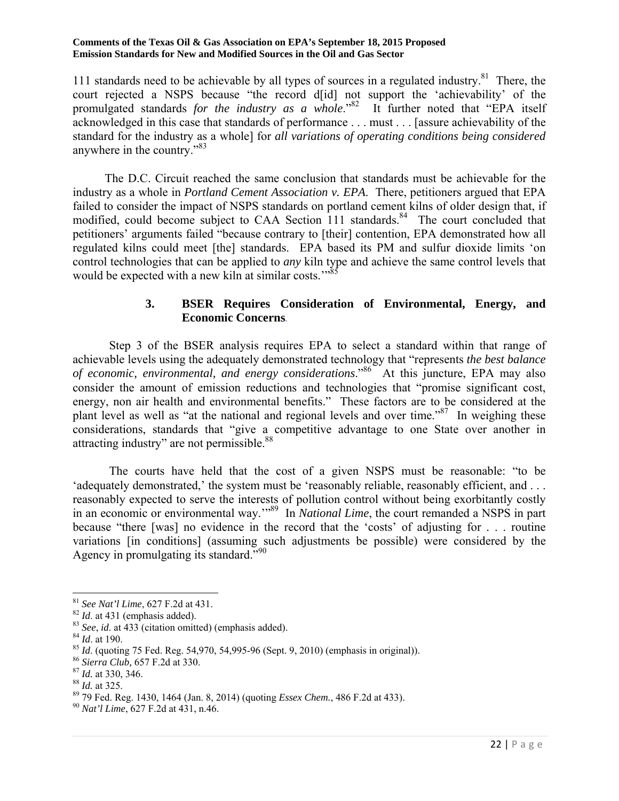111 standards need to be achievable by all types of sources in a regulated industry.<sup>81</sup> There, the court rejected a NSPS because "the record d[id] not support the 'achievability' of the promulgated standards *for the industry as a whole*."82 It further noted that "EPA itself acknowledged in this case that standards of performance . . . must . . . [assure achievability of the standard for the industry as a whole] for *all variations of operating conditions being considered* anywhere in the country."<sup>83</sup>

The D.C. Circuit reached the same conclusion that standards must be achievable for the industry as a whole in *Portland Cement Association v. EPA*. There, petitioners argued that EPA failed to consider the impact of NSPS standards on portland cement kilns of older design that, if modified, could become subject to CAA Section 111 standards.<sup>84</sup> The court concluded that petitioners' arguments failed "because contrary to [their] contention, EPA demonstrated how all regulated kilns could meet [the] standards. EPA based its PM and sulfur dioxide limits 'on control technologies that can be applied to *any* kiln type and achieve the same control levels that would be expected with a new kiln at similar costs."<sup>85</sup>

### **3. BSER Requires Consideration of Environmental, Energy, and Economic Concerns**.

 Step 3 of the BSER analysis requires EPA to select a standard within that range of achievable levels using the adequately demonstrated technology that "represents *the best balance of economic, environmental, and energy considerations*."<sup>86</sup> At this juncture, EPA may also consider the amount of emission reductions and technologies that "promise significant cost, energy, non air health and environmental benefits." These factors are to be considered at the plant level as well as "at the national and regional levels and over time."<sup>87</sup> In weighing these considerations, standards that "give a competitive advantage to one State over another in attracting industry" are not permissible.<sup>88</sup>

The courts have held that the cost of a given NSPS must be reasonable: "to be 'adequately demonstrated,' the system must be 'reasonably reliable, reasonably efficient, and . . . reasonably expected to serve the interests of pollution control without being exorbitantly costly in an economic or environmental way.<sup>"89</sup> In *National Lime*, the court remanded a NSPS in part because "there [was] no evidence in the record that the 'costs' of adjusting for . . . routine variations [in conditions] (assuming such adjustments be possible) were considered by the Agency in promulgating its standard."<sup>90</sup>

 $\overline{\phantom{a}}$ 

<sup>&</sup>lt;sup>81</sup> *See Nat'l Lime*, 627 F.2d at 431.<br><sup>82</sup> *Id.* at 431 (emphasis added).<br><sup>83</sup> *See, id.* at 433 (citation omitted) (emphasis added).<br><sup>84</sup> *Id.* at 190.<br><sup>85</sup> *Id.* (quoting 75 Fed. Reg. 54,970, 54,995-96 (Sept. 9, 2010)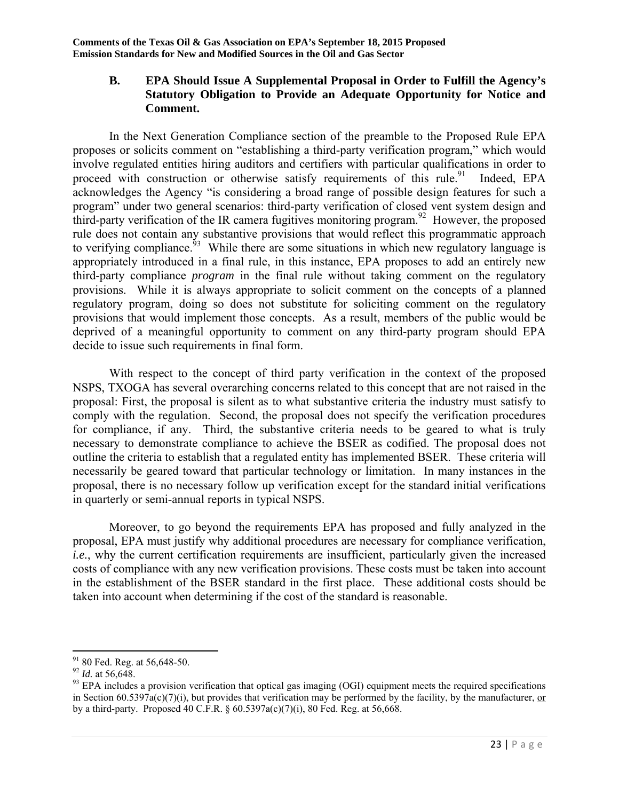### **B. EPA Should Issue A Supplemental Proposal in Order to Fulfill the Agency's Statutory Obligation to Provide an Adequate Opportunity for Notice and Comment.**

In the Next Generation Compliance section of the preamble to the Proposed Rule EPA proposes or solicits comment on "establishing a third-party verification program," which would involve regulated entities hiring auditors and certifiers with particular qualifications in order to proceed with construction or otherwise satisfy requirements of this rule.<sup>91</sup> Indeed, EPA acknowledges the Agency "is considering a broad range of possible design features for such a program" under two general scenarios: third-party verification of closed vent system design and third-party verification of the IR camera fugitives monitoring program.<sup>92</sup> However, the proposed rule does not contain any substantive provisions that would reflect this programmatic approach to verifying compliance.<sup>93</sup> While there are some situations in which new regulatory language is appropriately introduced in a final rule, in this instance, EPA proposes to add an entirely new third-party compliance *program* in the final rule without taking comment on the regulatory provisions. While it is always appropriate to solicit comment on the concepts of a planned regulatory program, doing so does not substitute for soliciting comment on the regulatory provisions that would implement those concepts. As a result, members of the public would be deprived of a meaningful opportunity to comment on any third-party program should EPA decide to issue such requirements in final form.

With respect to the concept of third party verification in the context of the proposed NSPS, TXOGA has several overarching concerns related to this concept that are not raised in the proposal: First, the proposal is silent as to what substantive criteria the industry must satisfy to comply with the regulation. Second, the proposal does not specify the verification procedures for compliance, if any. Third, the substantive criteria needs to be geared to what is truly necessary to demonstrate compliance to achieve the BSER as codified. The proposal does not outline the criteria to establish that a regulated entity has implemented BSER. These criteria will necessarily be geared toward that particular technology or limitation. In many instances in the proposal, there is no necessary follow up verification except for the standard initial verifications in quarterly or semi-annual reports in typical NSPS.

Moreover, to go beyond the requirements EPA has proposed and fully analyzed in the proposal, EPA must justify why additional procedures are necessary for compliance verification, *i.e.*, why the current certification requirements are insufficient, particularly given the increased costs of compliance with any new verification provisions. These costs must be taken into account in the establishment of the BSER standard in the first place. These additional costs should be taken into account when determining if the cost of the standard is reasonable.

 $\overline{a}$ 

 $91$  80 Fed. Reg. at 56,648-50.

<sup>&</sup>lt;sup>92</sup> *Id.* at 56,648.<br><sup>92</sup> *Id.* at 56,648.<br><sup>93</sup> EPA includes a provision verification that optical gas imaging (OGI) equipment meets the required specifications in Section  $60.5397a(c)(7)(i)$ , but provides that verification may be performed by the facility, by the manufacturer, or by a third-party. Proposed 40 C.F.R. § 60.5397a(c)(7)(i), 80 Fed. Reg. at 56,668.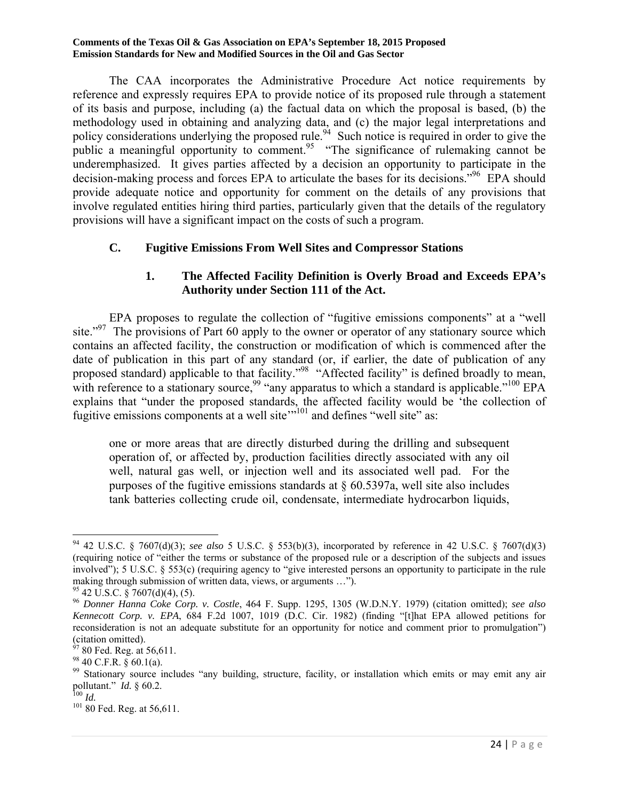The CAA incorporates the Administrative Procedure Act notice requirements by reference and expressly requires EPA to provide notice of its proposed rule through a statement of its basis and purpose, including (a) the factual data on which the proposal is based, (b) the methodology used in obtaining and analyzing data, and (c) the major legal interpretations and policy considerations underlying the proposed rule.<sup>94</sup> Such notice is required in order to give the public a meaningful opportunity to comment.<sup>95</sup> "The significance of rulemaking cannot be underemphasized. It gives parties affected by a decision an opportunity to participate in the decision-making process and forces EPA to articulate the bases for its decisions.<sup>"96</sup> EPA should provide adequate notice and opportunity for comment on the details of any provisions that involve regulated entities hiring third parties, particularly given that the details of the regulatory provisions will have a significant impact on the costs of such a program.

### **C. Fugitive Emissions From Well Sites and Compressor Stations**

### **1. The Affected Facility Definition is Overly Broad and Exceeds EPA's Authority under Section 111 of the Act.**

 EPA proposes to regulate the collection of "fugitive emissions components" at a "well site."<sup>97</sup> The provisions of Part 60 apply to the owner or operator of any stationary source which contains an affected facility, the construction or modification of which is commenced after the date of publication in this part of any standard (or, if earlier, the date of publication of any proposed standard) applicable to that facility."<sup>98</sup> "Affected facility" is defined broadly to mean, with reference to a stationary source,<sup>99</sup> "any apparatus to which a standard is applicable."<sup>100</sup> EPA explains that "under the proposed standards, the affected facility would be 'the collection of fugitive emissions components at a well site"<sup>101</sup> and defines "well site" as:

one or more areas that are directly disturbed during the drilling and subsequent operation of, or affected by, production facilities directly associated with any oil well, natural gas well, or injection well and its associated well pad. For the purposes of the fugitive emissions standards at § 60.5397a, well site also includes tank batteries collecting crude oil, condensate, intermediate hydrocarbon liquids,

 $\overline{\phantom{a}}$ <sup>94</sup> 42 U.S.C. § 7607(d)(3); *see also* 5 U.S.C. § 553(b)(3), incorporated by reference in 42 U.S.C. § 7607(d)(3) (requiring notice of "either the terms or substance of the proposed rule or a description of the subjects and issues involved"); 5 U.S.C. § 553(c) (requiring agency to "give interested persons an opportunity to participate in the rule making through submission of written data, views, or arguments …").

 $^{95}$  42 U.S.C. § 7607(d)(4), (5).

<sup>96</sup> *Donner Hanna Coke Corp. v. Costle*, 464 F. Supp. 1295, 1305 (W.D.N.Y. 1979) (citation omitted); *see also Kennecott Corp. v. EPA*, 684 F.2d 1007, 1019 (D.C. Cir. 1982) (finding "[t]hat EPA allowed petitions for reconsideration is not an adequate substitute for an opportunity for notice and comment prior to promulgation")  $\frac{1}{97}$  co.  $\frac{1}{10}$ .

 $90$  Fed. Reg. at 56,611.

 $98$  40 C.F.R.  $\overline{\$}$  60.1(a).

<sup>&</sup>lt;sup>99</sup> Stationary source includes "any building, structure, facility, or installation which emits or may emit any air pollutant." *Id.*  $\frac{60.2}{5}$ 

<sup>&</sup>lt;sup>100</sup> *Id.* <sup>101</sup> 80 Fed. Reg. at 56,611.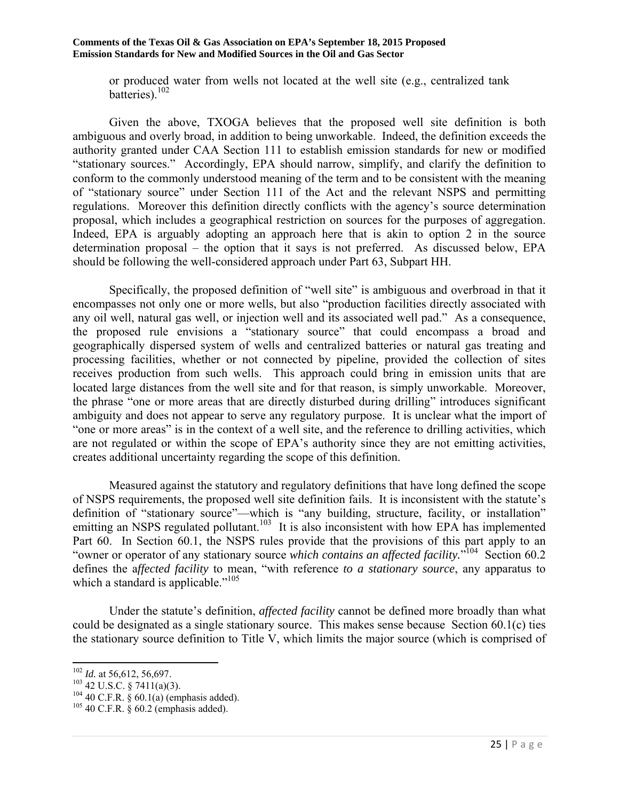or produced water from wells not located at the well site (e.g., centralized tank batteries).<sup>102</sup>

 Given the above, TXOGA believes that the proposed well site definition is both ambiguous and overly broad, in addition to being unworkable. Indeed, the definition exceeds the authority granted under CAA Section 111 to establish emission standards for new or modified "stationary sources." Accordingly, EPA should narrow, simplify, and clarify the definition to conform to the commonly understood meaning of the term and to be consistent with the meaning of "stationary source" under Section 111 of the Act and the relevant NSPS and permitting regulations. Moreover this definition directly conflicts with the agency's source determination proposal, which includes a geographical restriction on sources for the purposes of aggregation. Indeed, EPA is arguably adopting an approach here that is akin to option 2 in the source determination proposal – the option that it says is not preferred. As discussed below, EPA should be following the well-considered approach under Part 63, Subpart HH.

 Specifically, the proposed definition of "well site" is ambiguous and overbroad in that it encompasses not only one or more wells, but also "production facilities directly associated with any oil well, natural gas well, or injection well and its associated well pad." As a consequence, the proposed rule envisions a "stationary source" that could encompass a broad and geographically dispersed system of wells and centralized batteries or natural gas treating and processing facilities, whether or not connected by pipeline, provided the collection of sites receives production from such wells. This approach could bring in emission units that are located large distances from the well site and for that reason, is simply unworkable. Moreover, the phrase "one or more areas that are directly disturbed during drilling" introduces significant ambiguity and does not appear to serve any regulatory purpose. It is unclear what the import of "one or more areas" is in the context of a well site, and the reference to drilling activities, which are not regulated or within the scope of EPA's authority since they are not emitting activities, creates additional uncertainty regarding the scope of this definition.

 Measured against the statutory and regulatory definitions that have long defined the scope of NSPS requirements, the proposed well site definition fails. It is inconsistent with the statute's definition of "stationary source"—which is "any building, structure, facility, or installation" emitting an NSPS regulated pollutant.<sup>103</sup> It is also inconsistent with how EPA has implemented Part 60. In Section 60.1, the NSPS rules provide that the provisions of this part apply to an "owner or operator of any stationary source *which contains an affected facility*."<sup>104</sup> Section 60.2 defines the a*ffected facility* to mean, "with reference *to a stationary source*, any apparatus to which a standard is applicable."<sup>105</sup>

 Under the statute's definition, *affected facility* cannot be defined more broadly than what could be designated as a single stationary source. This makes sense because Section 60.1(c) ties the stationary source definition to Title V, which limits the major source (which is comprised of

 $102$  *Id.* at 56,612, 56,697.

<sup>&</sup>lt;sup>103</sup> 42 U.S.C. § 7411(a)(3).<br><sup>104</sup> 40 C.F.R. § 60.1(a) (emphasis added).<br><sup>105</sup> 40 C.F.R. § 60.2 (emphasis added).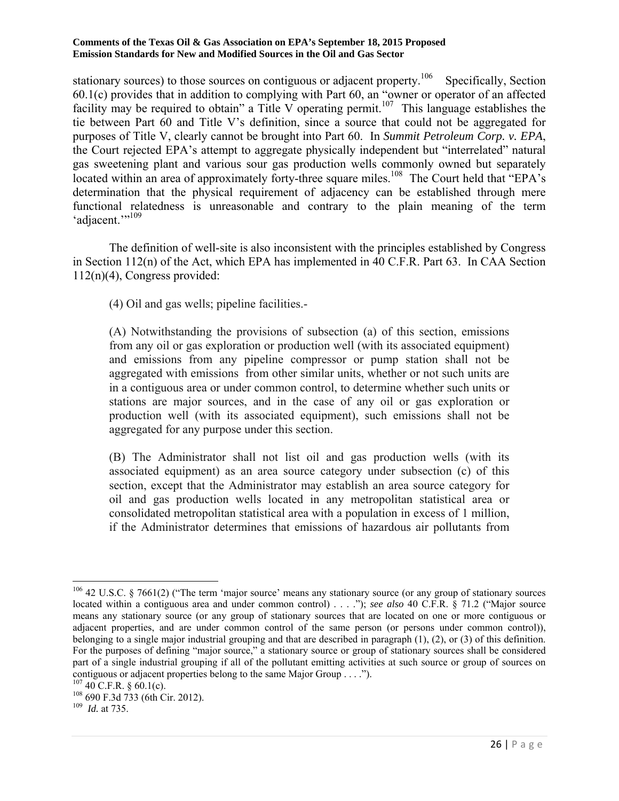stationary sources) to those sources on contiguous or adjacent property.<sup>106</sup> Specifically, Section 60.1(c) provides that in addition to complying with Part 60, an "owner or operator of an affected facility may be required to obtain" a Title V operating permit.<sup>107</sup> This language establishes the tie between Part 60 and Title V's definition, since a source that could not be aggregated for purposes of Title V, clearly cannot be brought into Part 60. In *Summit Petroleum Corp. v. EPA*, the Court rejected EPA's attempt to aggregate physically independent but "interrelated" natural gas sweetening plant and various sour gas production wells commonly owned but separately located within an area of approximately forty-three square miles.<sup>108</sup> The Court held that "EPA's determination that the physical requirement of adjacency can be established through mere functional relatedness is unreasonable and contrary to the plain meaning of the term 'adjacent."<sup>109</sup>

 The definition of well-site is also inconsistent with the principles established by Congress in Section 112(n) of the Act, which EPA has implemented in 40 C.F.R. Part 63. In CAA Section 112(n)(4), Congress provided:

(4) Oil and gas wells; pipeline facilities.-

(A) Notwithstanding the provisions of subsection (a) of this section, emissions from any oil or gas exploration or production well (with its associated equipment) and emissions from any pipeline compressor or pump station shall not be aggregated with emissions from other similar units, whether or not such units are in a contiguous area or under common control, to determine whether such units or stations are major sources, and in the case of any oil or gas exploration or production well (with its associated equipment), such emissions shall not be aggregated for any purpose under this section.

(B) The Administrator shall not list oil and gas production wells (with its associated equipment) as an area source category under subsection (c) of this section, except that the Administrator may establish an area source category for oil and gas production wells located in any metropolitan statistical area or consolidated metropolitan statistical area with a population in excess of 1 million, if the Administrator determines that emissions of hazardous air pollutants from

 $\overline{a}$ 

<sup>&</sup>lt;sup>106</sup> 42 U.S.C. § 7661(2) ("The term 'major source' means any stationary source (or any group of stationary sources located within a contiguous area and under common control) . . . ."); *see also* 40 C.F.R. § 71.2 ("Major source means any stationary source (or any group of stationary sources that are located on one or more contiguous or adjacent properties, and are under common control of the same person (or persons under common control)), belonging to a single major industrial grouping and that are described in paragraph (1), (2), or (3) of this definition. For the purposes of defining "major source," a stationary source or group of stationary sources shall be considered part of a single industrial grouping if all of the pollutant emitting activities at such source or group of sources on contiguous or adjacent properties belong to the same Major Group . . . .").<br> $^{107}$  40 C.F.R. § 60.1(c).

<sup>&</sup>lt;sup>108</sup> 690 F.3d 733 (6th Cir. 2012).<br><sup>109</sup> *Id.* at 735.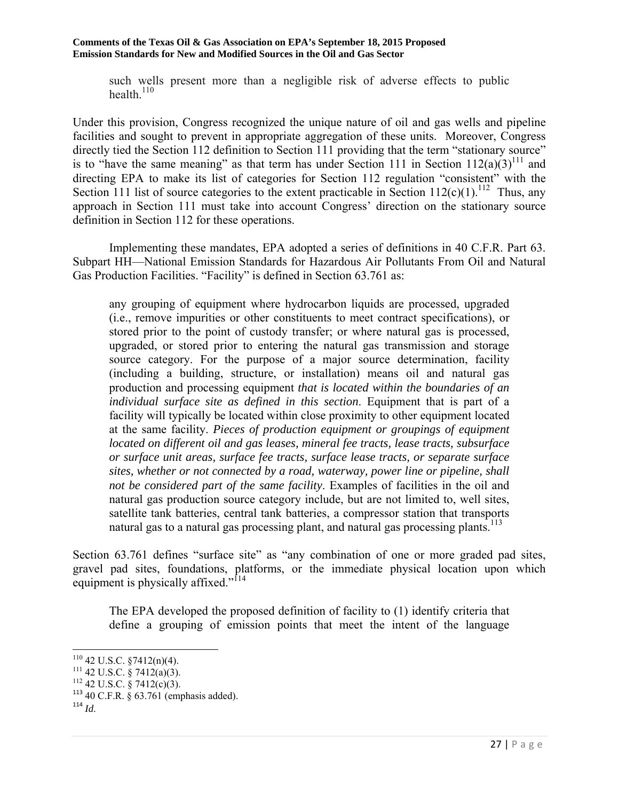such wells present more than a negligible risk of adverse effects to public health. $110$ 

Under this provision, Congress recognized the unique nature of oil and gas wells and pipeline facilities and sought to prevent in appropriate aggregation of these units. Moreover, Congress directly tied the Section 112 definition to Section 111 providing that the term "stationary source" is to "have the same meaning" as that term has under Section 111 in Section  $112(a)(3)^{111}$  and directing EPA to make its list of categories for Section 112 regulation "consistent" with the Section 111 list of source categories to the extent practicable in Section  $112(c)(1)$ .<sup>112</sup> Thus, any approach in Section 111 must take into account Congress' direction on the stationary source definition in Section 112 for these operations.

 Implementing these mandates, EPA adopted a series of definitions in 40 C.F.R. Part 63. Subpart HH—National Emission Standards for Hazardous Air Pollutants From Oil and Natural Gas Production Facilities. "Facility" is defined in Section 63.761 as:

any grouping of equipment where hydrocarbon liquids are processed, upgraded (i.e., remove impurities or other constituents to meet contract specifications), or stored prior to the point of custody transfer; or where natural gas is processed, upgraded, or stored prior to entering the natural gas transmission and storage source category. For the purpose of a major source determination, facility (including a building, structure, or installation) means oil and natural gas production and processing equipment *that is located within the boundaries of an individual surface site as defined in this section*. Equipment that is part of a facility will typically be located within close proximity to other equipment located at the same facility. *Pieces of production equipment or groupings of equipment located on different oil and gas leases, mineral fee tracts, lease tracts, subsurface or surface unit areas, surface fee tracts, surface lease tracts, or separate surface sites, whether or not connected by a road, waterway, power line or pipeline, shall not be considered part of the same facility*. Examples of facilities in the oil and natural gas production source category include, but are not limited to, well sites, satellite tank batteries, central tank batteries, a compressor station that transports natural gas to a natural gas processing plant, and natural gas processing plants.<sup>113</sup>

Section 63.761 defines "surface site" as "any combination of one or more graded pad sites, gravel pad sites, foundations, platforms, or the immediate physical location upon which equipment is physically affixed."<sup>114</sup>

The EPA developed the proposed definition of facility to (1) identify criteria that define a grouping of emission points that meet the intent of the language

<sup>&</sup>lt;sup>110</sup> 42 U.S.C. §7412(n)(4).<br><sup>111</sup> 42 U.S.C. § 7412(a)(3).<br><sup>112</sup> 42 U.S.C. § 7412(c)(3).<br><sup>113</sup> 40 C.F.R. § 63.761 (emphasis added).

 $114$  *Id.*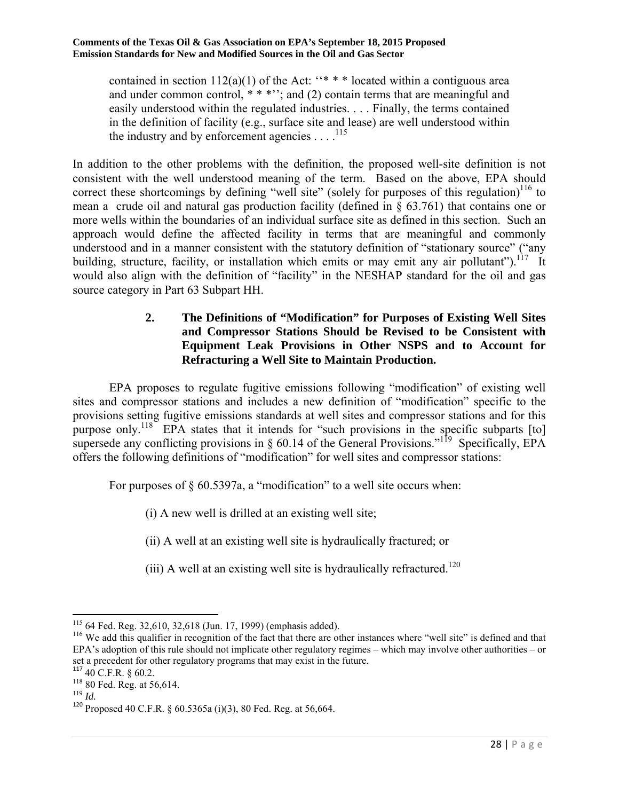contained in section  $112(a)(1)$  of the Act: ''\* \* \* located within a contiguous area and under common control,  $***$ ; and (2) contain terms that are meaningful and easily understood within the regulated industries. . . . Finally, the terms contained in the definition of facility (e.g., surface site and lease) are well understood within the industry and by enforcement agencies  $\dots$ <sup>115</sup>

In addition to the other problems with the definition, the proposed well-site definition is not consistent with the well understood meaning of the term. Based on the above, EPA should correct these shortcomings by defining "well site" (solely for purposes of this regulation) $116$  to mean a crude oil and natural gas production facility (defined in § 63.761) that contains one or more wells within the boundaries of an individual surface site as defined in this section. Such an approach would define the affected facility in terms that are meaningful and commonly understood and in a manner consistent with the statutory definition of "stationary source" ("any building, structure, facility, or installation which emits or may emit any air pollutant").<sup>117</sup> It would also align with the definition of "facility" in the NESHAP standard for the oil and gas source category in Part 63 Subpart HH.

#### **2. The Definitions of "Modification" for Purposes of Existing Well Sites and Compressor Stations Should be Revised to be Consistent with Equipment Leak Provisions in Other NSPS and to Account for Refracturing a Well Site to Maintain Production.**

 EPA proposes to regulate fugitive emissions following "modification" of existing well sites and compressor stations and includes a new definition of "modification" specific to the provisions setting fugitive emissions standards at well sites and compressor stations and for this purpose only.<sup>118</sup> EPA states that it intends for "such provisions in the specific subparts [to] supersede any conflicting provisions in  $\S$  60.14 of the General Provisions."<sup>119</sup> Specifically, EPA offers the following definitions of "modification" for well sites and compressor stations:

For purposes of  $\S 60.5397a$ , a "modification" to a well site occurs when:

(i) A new well is drilled at an existing well site;

(ii) A well at an existing well site is hydraulically fractured; or

(iii) A well at an existing well site is hydraulically refractured.<sup>120</sup>

 $115$  64 Fed. Reg. 32,610, 32,618 (Jun. 17, 1999) (emphasis added).

<sup>&</sup>lt;sup>116</sup> We add this qualifier in recognition of the fact that there are other instances where "well site" is defined and that EPA's adoption of this rule should not implicate other regulatory regimes – which may involve other authorities – or set a precedent for other regulatory programs that may exist in the future.

 $117$  40 C.F.R. § 60.2.

<sup>118 80</sup> Fed. Reg. at 56,614. 119 *Id.*

<sup>120</sup> Proposed 40 C.F.R. § 60.5365a (i)(3), 80 Fed. Reg. at 56,664.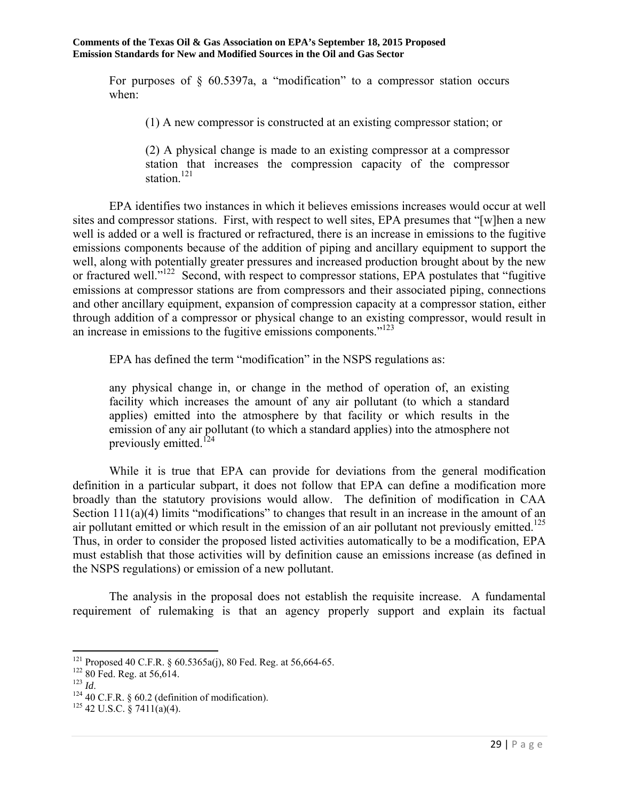For purposes of  $\frac{1}{2}$  60.5397a, a "modification" to a compressor station occurs when:

(1) A new compressor is constructed at an existing compressor station; or

(2) A physical change is made to an existing compressor at a compressor station that increases the compression capacity of the compressor station.<sup>121</sup>

 EPA identifies two instances in which it believes emissions increases would occur at well sites and compressor stations. First, with respect to well sites, EPA presumes that "[w]hen a new well is added or a well is fractured or refractured, there is an increase in emissions to the fugitive emissions components because of the addition of piping and ancillary equipment to support the well, along with potentially greater pressures and increased production brought about by the new or fractured well."<sup>122</sup> Second, with respect to compressor stations, EPA postulates that "fugitive emissions at compressor stations are from compressors and their associated piping, connections and other ancillary equipment, expansion of compression capacity at a compressor station, either through addition of a compressor or physical change to an existing compressor, would result in an increase in emissions to the fugitive emissions components."<sup>123</sup>

EPA has defined the term "modification" in the NSPS regulations as:

any physical change in, or change in the method of operation of, an existing facility which increases the amount of any air pollutant (to which a standard applies) emitted into the atmosphere by that facility or which results in the emission of any air pollutant (to which a standard applies) into the atmosphere not previously emitted.<sup>124</sup>

 While it is true that EPA can provide for deviations from the general modification definition in a particular subpart, it does not follow that EPA can define a modification more broadly than the statutory provisions would allow. The definition of modification in CAA Section  $111(a)(4)$  limits "modifications" to changes that result in an increase in the amount of an air pollutant emitted or which result in the emission of an air pollutant not previously emitted.<sup>125</sup> Thus, in order to consider the proposed listed activities automatically to be a modification, EPA must establish that those activities will by definition cause an emissions increase (as defined in the NSPS regulations) or emission of a new pollutant.

 The analysis in the proposal does not establish the requisite increase. A fundamental requirement of rulemaking is that an agency properly support and explain its factual

 $\overline{a}$ <sup>121</sup> Proposed 40 C.F.R. § 60.5365a(j), 80 Fed. Reg. at 56,664-65.<br><sup>122</sup> 80 Fed. Reg. at 56,614.<br><sup>123</sup> *Id.* 124 40 C.F.R. § 60.2 (definition of modification). <sup>125</sup> 42 U.S.C. § 7411(a)(4).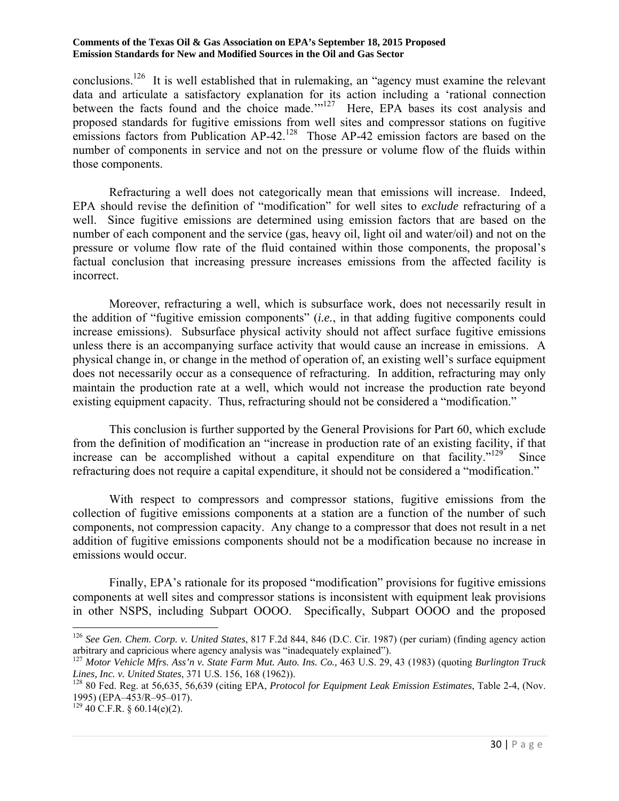conclusions.<sup>126</sup> It is well established that in rulemaking, an "agency must examine the relevant data and articulate a satisfactory explanation for its action including a 'rational connection between the facts found and the choice made."<sup>127</sup> Here, EPA bases its cost analysis and proposed standards for fugitive emissions from well sites and compressor stations on fugitive emissions factors from Publication  $AP-42$ <sup>128</sup> Those  $AP-42$  emission factors are based on the number of components in service and not on the pressure or volume flow of the fluids within those components.

 Refracturing a well does not categorically mean that emissions will increase. Indeed, EPA should revise the definition of "modification" for well sites to *exclude* refracturing of a well. Since fugitive emissions are determined using emission factors that are based on the number of each component and the service (gas, heavy oil, light oil and water/oil) and not on the pressure or volume flow rate of the fluid contained within those components, the proposal's factual conclusion that increasing pressure increases emissions from the affected facility is incorrect.

 Moreover, refracturing a well, which is subsurface work, does not necessarily result in the addition of "fugitive emission components" (*i.e.*, in that adding fugitive components could increase emissions). Subsurface physical activity should not affect surface fugitive emissions unless there is an accompanying surface activity that would cause an increase in emissions. A physical change in, or change in the method of operation of, an existing well's surface equipment does not necessarily occur as a consequence of refracturing. In addition, refracturing may only maintain the production rate at a well, which would not increase the production rate beyond existing equipment capacity. Thus, refracturing should not be considered a "modification."

 This conclusion is further supported by the General Provisions for Part 60, which exclude from the definition of modification an "increase in production rate of an existing facility, if that increase can be accomplished without a capital expenditure on that facility. $129$  Since refracturing does not require a capital expenditure, it should not be considered a "modification."

 With respect to compressors and compressor stations, fugitive emissions from the collection of fugitive emissions components at a station are a function of the number of such components, not compression capacity. Any change to a compressor that does not result in a net addition of fugitive emissions components should not be a modification because no increase in emissions would occur.

 Finally, EPA's rationale for its proposed "modification" provisions for fugitive emissions components at well sites and compressor stations is inconsistent with equipment leak provisions in other NSPS, including Subpart OOOO. Specifically, Subpart OOOO and the proposed

<sup>&</sup>lt;sup>126</sup> *See Gen. Chem. Corp. v. United States*, 817 F.2d 844, 846 (D.C. Cir. 1987) (per curiam) (finding agency action arbitrary and capricious where agency analysis was "inadequately explained").

<sup>&</sup>lt;sup>127</sup> Motor Vehicle Mfrs. Ass'n v. State Farm Mut. Auto. Ins. Co., 463 U.S. 29, 43 (1983) (quoting *Burlington Truck Lines, Inc. v. United States, 371 U.S. 156, 168 (1962)).* 

<sup>&</sup>lt;sup>128</sup> 80 Fed. Reg. at 56,635, 56,639 (citing EPA, *Protocol for Equipment Leak Emission Estimates*, Table 2-4, (Nov. 1995) (EPA–453/R–95–017).

 $129$  40 C.F.R. § 60.14(e)(2).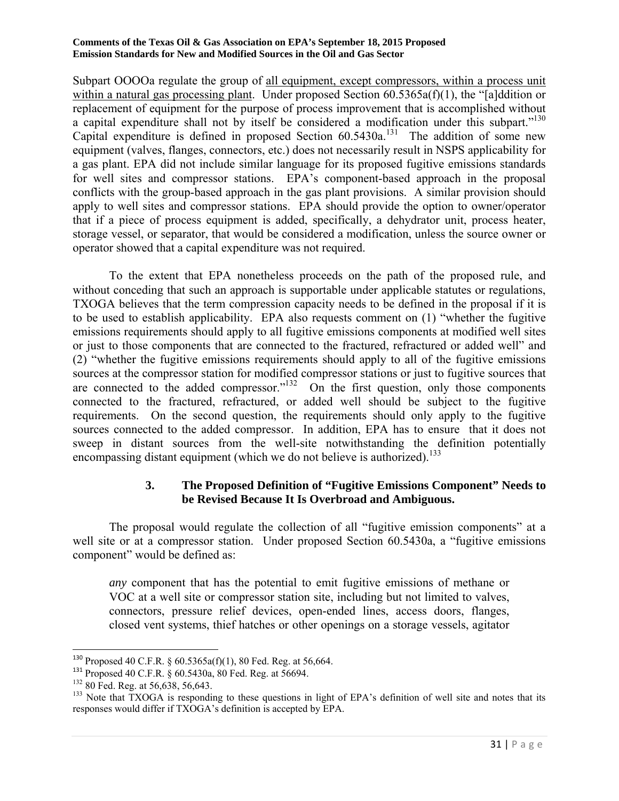Subpart OOOOa regulate the group of all equipment, except compressors, within a process unit within a natural gas processing plant. Under proposed Section 60.5365a(f)(1), the "[a]ddition or replacement of equipment for the purpose of process improvement that is accomplished without a capital expenditure shall not by itself be considered a modification under this subpart."<sup>130</sup> Capital expenditure is defined in proposed Section  $60.5430a$ <sup>131</sup>. The addition of some new equipment (valves, flanges, connectors, etc.) does not necessarily result in NSPS applicability for a gas plant. EPA did not include similar language for its proposed fugitive emissions standards for well sites and compressor stations. EPA's component-based approach in the proposal conflicts with the group-based approach in the gas plant provisions. A similar provision should apply to well sites and compressor stations. EPA should provide the option to owner/operator that if a piece of process equipment is added, specifically, a dehydrator unit, process heater, storage vessel, or separator, that would be considered a modification, unless the source owner or operator showed that a capital expenditure was not required.

 To the extent that EPA nonetheless proceeds on the path of the proposed rule, and without conceding that such an approach is supportable under applicable statutes or regulations, TXOGA believes that the term compression capacity needs to be defined in the proposal if it is to be used to establish applicability. EPA also requests comment on (1) "whether the fugitive emissions requirements should apply to all fugitive emissions components at modified well sites or just to those components that are connected to the fractured, refractured or added well" and (2) "whether the fugitive emissions requirements should apply to all of the fugitive emissions sources at the compressor station for modified compressor stations or just to fugitive sources that are connected to the added compressor." $132$  On the first question, only those components connected to the fractured, refractured, or added well should be subject to the fugitive requirements. On the second question, the requirements should only apply to the fugitive sources connected to the added compressor. In addition, EPA has to ensure that it does not sweep in distant sources from the well-site notwithstanding the definition potentially encompassing distant equipment (which we do not believe is authorized).<sup>133</sup>

#### **3. The Proposed Definition of "Fugitive Emissions Component" Needs to be Revised Because It Is Overbroad and Ambiguous.**

 The proposal would regulate the collection of all "fugitive emission components" at a well site or at a compressor station. Under proposed Section 60.5430a, a "fugitive emissions" component" would be defined as:

*any* component that has the potential to emit fugitive emissions of methane or VOC at a well site or compressor station site, including but not limited to valves, connectors, pressure relief devices, open-ended lines, access doors, flanges, closed vent systems, thief hatches or other openings on a storage vessels, agitator

<sup>130</sup> Proposed 40 C.F.R. § 60.5365a(f)(1), 80 Fed. Reg. at 56,664.

<sup>&</sup>lt;sup>131</sup> Proposed 40 C.F.R. § 60.5430a, 80 Fed. Reg. at 56694.<br><sup>132</sup> 80 Fed. Reg. at 56.638, 56.643.

<sup>&</sup>lt;sup>133</sup> Note that TXOGA is responding to these questions in light of EPA's definition of well site and notes that its responses would differ if TXOGA's definition is accepted by EPA.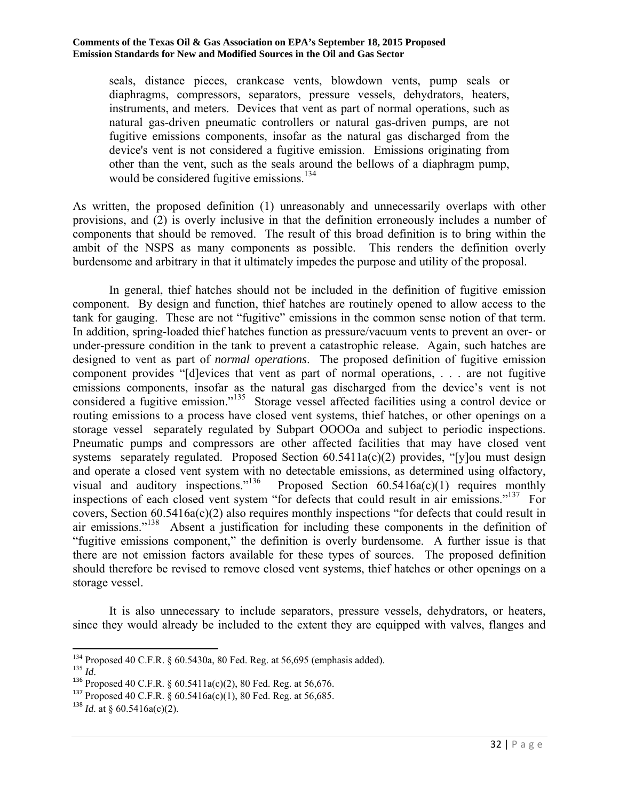seals, distance pieces, crankcase vents, blowdown vents, pump seals or diaphragms, compressors, separators, pressure vessels, dehydrators, heaters, instruments, and meters. Devices that vent as part of normal operations, such as natural gas-driven pneumatic controllers or natural gas-driven pumps, are not fugitive emissions components, insofar as the natural gas discharged from the device's vent is not considered a fugitive emission. Emissions originating from other than the vent, such as the seals around the bellows of a diaphragm pump, would be considered fugitive emissions.<sup>134</sup>

As written, the proposed definition (1) unreasonably and unnecessarily overlaps with other provisions, and (2) is overly inclusive in that the definition erroneously includes a number of components that should be removed. The result of this broad definition is to bring within the ambit of the NSPS as many components as possible. This renders the definition overly burdensome and arbitrary in that it ultimately impedes the purpose and utility of the proposal.

 In general, thief hatches should not be included in the definition of fugitive emission component. By design and function, thief hatches are routinely opened to allow access to the tank for gauging. These are not "fugitive" emissions in the common sense notion of that term. In addition, spring-loaded thief hatches function as pressure/vacuum vents to prevent an over- or under-pressure condition in the tank to prevent a catastrophic release. Again, such hatches are designed to vent as part of *normal operations*. The proposed definition of fugitive emission component provides "[d]evices that vent as part of normal operations, . . . are not fugitive emissions components, insofar as the natural gas discharged from the device's vent is not considered a fugitive emission."135 Storage vessel affected facilities using a control device or routing emissions to a process have closed vent systems, thief hatches, or other openings on a storage vessel separately regulated by Subpart OOOOa and subject to periodic inspections. Pneumatic pumps and compressors are other affected facilities that may have closed vent systems separately regulated. Proposed Section 60.5411a(c)(2) provides, "[y]ou must design and operate a closed vent system with no detectable emissions, as determined using olfactory, visual and auditory inspections."<sup>136</sup> Proposed Section  $60.5416a(c)(1)$  requires monthly inspections of each closed vent system "for defects that could result in air emissions."<sup>137</sup> For covers, Section 60.5416a(c)(2) also requires monthly inspections "for defects that could result in air emissions."<sup>138</sup> Absent a justification for including these components in the definition of "fugitive emissions component," the definition is overly burdensome. A further issue is that there are not emission factors available for these types of sources. The proposed definition should therefore be revised to remove closed vent systems, thief hatches or other openings on a storage vessel.

 It is also unnecessary to include separators, pressure vessels, dehydrators, or heaters, since they would already be included to the extent they are equipped with valves, flanges and

<sup>134</sup> Proposed 40 C.F.R. § 60.5430a, 80 Fed. Reg. at 56,695 (emphasis added). 135 *Id*.

<sup>136</sup> Proposed 40 C.F.R. § 60.5411a(c)(2), 80 Fed. Reg. at 56,676.

<sup>137</sup> Proposed 40 C.F.R. § 60.5416a(c)(1), 80 Fed. Reg. at 56,685.

<sup>&</sup>lt;sup>138</sup> *Id.* at § 60.5416a(c)(2).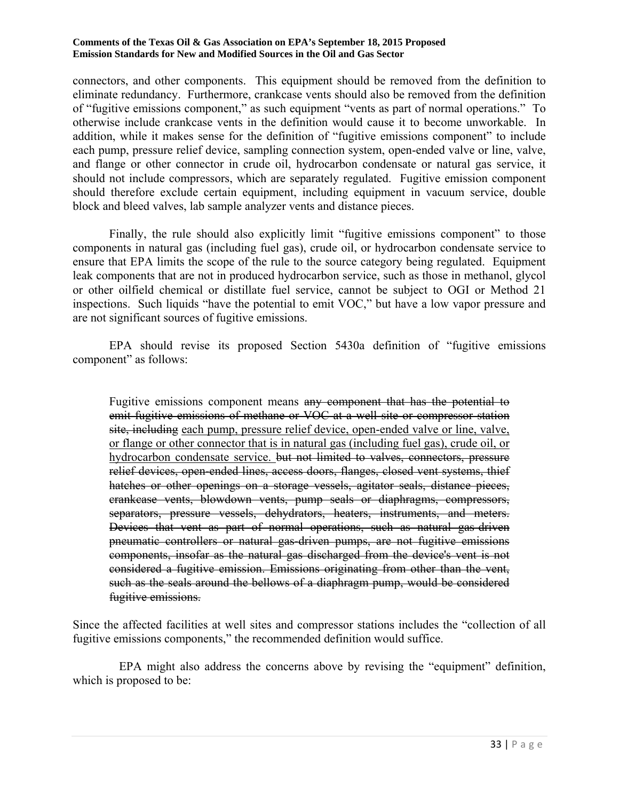connectors, and other components. This equipment should be removed from the definition to eliminate redundancy. Furthermore, crankcase vents should also be removed from the definition of "fugitive emissions component," as such equipment "vents as part of normal operations." To otherwise include crankcase vents in the definition would cause it to become unworkable. In addition, while it makes sense for the definition of "fugitive emissions component" to include each pump, pressure relief device, sampling connection system, open-ended valve or line, valve, and flange or other connector in crude oil, hydrocarbon condensate or natural gas service, it should not include compressors, which are separately regulated. Fugitive emission component should therefore exclude certain equipment, including equipment in vacuum service, double block and bleed valves, lab sample analyzer vents and distance pieces.

 Finally, the rule should also explicitly limit "fugitive emissions component" to those components in natural gas (including fuel gas), crude oil, or hydrocarbon condensate service to ensure that EPA limits the scope of the rule to the source category being regulated. Equipment leak components that are not in produced hydrocarbon service, such as those in methanol, glycol or other oilfield chemical or distillate fuel service, cannot be subject to OGI or Method 21 inspections. Such liquids "have the potential to emit VOC," but have a low vapor pressure and are not significant sources of fugitive emissions.

 EPA should revise its proposed Section 5430a definition of "fugitive emissions component" as follows:

Fugitive emissions component means any component that has the potential to emit fugitive emissions of methane or VOC at a well site or compressor station site, including each pump, pressure relief device, open-ended valve or line, valve, or flange or other connector that is in natural gas (including fuel gas), crude oil, or hydrocarbon condensate service. <del>but not limited to valves, connectors, pressure</del> relief devices, open-ended lines, access doors, flanges, closed vent systems, thief hatches or other openings on a storage vessels, agitator seals, distance pieces, crankcase vents, blowdown vents, pump seals or diaphragms, compressors, separators, pressure vessels, dehydrators, heaters, instruments, and meters. Devices that vent as part of normal operations, such as natural gas-driven pneumatic controllers or natural gas-driven pumps, are not fugitive emissions components, insofar as the natural gas discharged from the device's vent is not considered a fugitive emission. Emissions originating from other than the vent, such as the seals around the bellows of a diaphragm pump, would be considered fugitive emissions.

Since the affected facilities at well sites and compressor stations includes the "collection of all fugitive emissions components," the recommended definition would suffice.

 EPA might also address the concerns above by revising the "equipment" definition, which is proposed to be: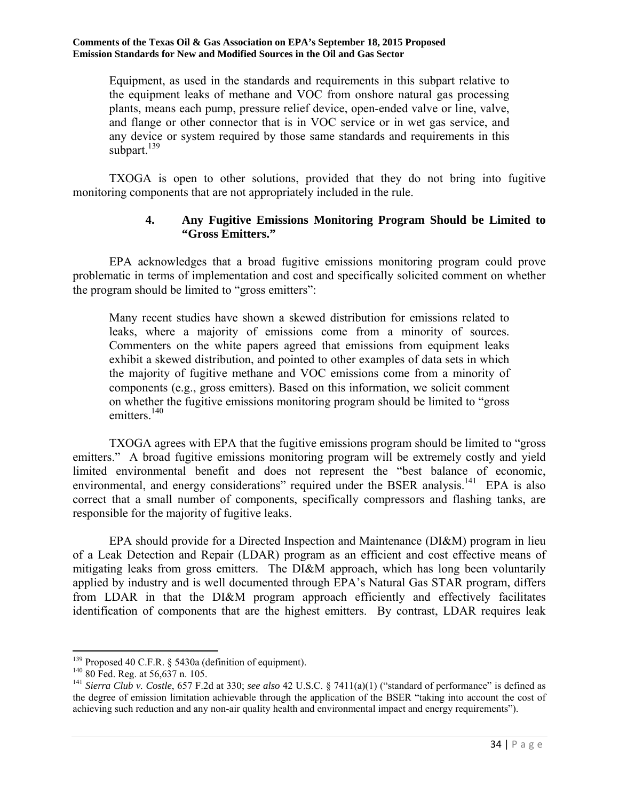Equipment, as used in the standards and requirements in this subpart relative to the equipment leaks of methane and VOC from onshore natural gas processing plants, means each pump, pressure relief device, open-ended valve or line, valve, and flange or other connector that is in VOC service or in wet gas service, and any device or system required by those same standards and requirements in this subpart.<sup>139</sup>

 TXOGA is open to other solutions, provided that they do not bring into fugitive monitoring components that are not appropriately included in the rule.

## **4. Any Fugitive Emissions Monitoring Program Should be Limited to "Gross Emitters."**

 EPA acknowledges that a broad fugitive emissions monitoring program could prove problematic in terms of implementation and cost and specifically solicited comment on whether the program should be limited to "gross emitters":

Many recent studies have shown a skewed distribution for emissions related to leaks, where a majority of emissions come from a minority of sources. Commenters on the white papers agreed that emissions from equipment leaks exhibit a skewed distribution, and pointed to other examples of data sets in which the majority of fugitive methane and VOC emissions come from a minority of components (e.g., gross emitters). Based on this information, we solicit comment on whether the fugitive emissions monitoring program should be limited to "gross emitters.<sup>140</sup>

 TXOGA agrees with EPA that the fugitive emissions program should be limited to "gross emitters." A broad fugitive emissions monitoring program will be extremely costly and yield limited environmental benefit and does not represent the "best balance of economic, environmental, and energy considerations" required under the BSER analysis.<sup>141</sup> EPA is also correct that a small number of components, specifically compressors and flashing tanks, are responsible for the majority of fugitive leaks.

 EPA should provide for a Directed Inspection and Maintenance (DI&M) program in lieu of a Leak Detection and Repair (LDAR) program as an efficient and cost effective means of mitigating leaks from gross emitters. The DI&M approach, which has long been voluntarily applied by industry and is well documented through EPA's Natural Gas STAR program, differs from LDAR in that the DI&M program approach efficiently and effectively facilitates identification of components that are the highest emitters. By contrast, LDAR requires leak

 $\overline{a}$ 

<sup>&</sup>lt;sup>139</sup> Proposed 40 C.F.R. § 5430a (definition of equipment).<br><sup>140</sup> 80 Fed. Reg. at 56,637 n. 105.<br><sup>141</sup> *Sierra Club v. Costle*, 657 F.2d at 330; *see also* 42 U.S.C. § 7411(a)(1) ("standard of performance" is defined as the degree of emission limitation achievable through the application of the BSER "taking into account the cost of achieving such reduction and any non-air quality health and environmental impact and energy requirements").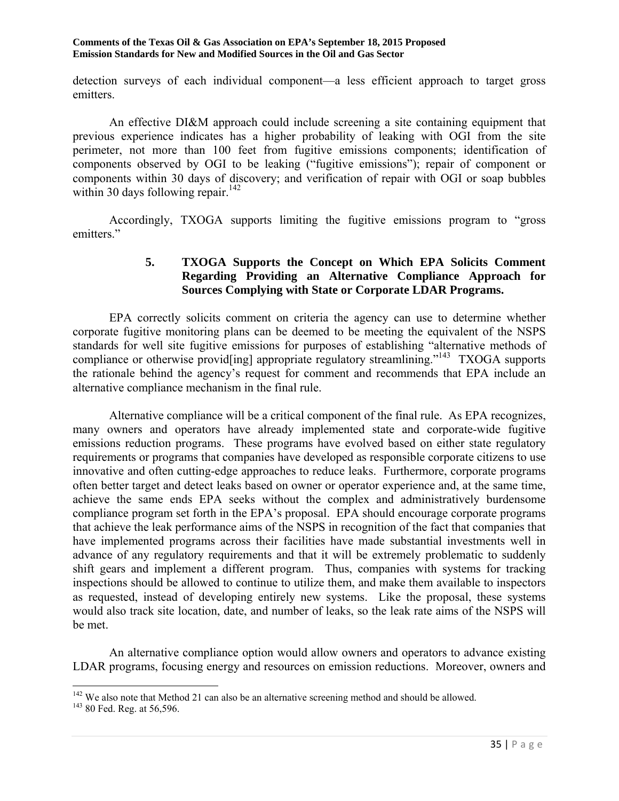detection surveys of each individual component—a less efficient approach to target gross emitters.

 An effective DI&M approach could include screening a site containing equipment that previous experience indicates has a higher probability of leaking with OGI from the site perimeter, not more than 100 feet from fugitive emissions components; identification of components observed by OGI to be leaking ("fugitive emissions"); repair of component or components within 30 days of discovery; and verification of repair with OGI or soap bubbles within 30 days following repair.<sup>142</sup>

 Accordingly, TXOGA supports limiting the fugitive emissions program to "gross emitters."

### **5. TXOGA Supports the Concept on Which EPA Solicits Comment Regarding Providing an Alternative Compliance Approach for Sources Complying with State or Corporate LDAR Programs.**

 EPA correctly solicits comment on criteria the agency can use to determine whether corporate fugitive monitoring plans can be deemed to be meeting the equivalent of the NSPS standards for well site fugitive emissions for purposes of establishing "alternative methods of compliance or otherwise provide in appropriate regulatory streamlining."<sup>143</sup> TXOGA supports the rationale behind the agency's request for comment and recommends that EPA include an alternative compliance mechanism in the final rule.

 Alternative compliance will be a critical component of the final rule. As EPA recognizes, many owners and operators have already implemented state and corporate-wide fugitive emissions reduction programs. These programs have evolved based on either state regulatory requirements or programs that companies have developed as responsible corporate citizens to use innovative and often cutting-edge approaches to reduce leaks. Furthermore, corporate programs often better target and detect leaks based on owner or operator experience and, at the same time, achieve the same ends EPA seeks without the complex and administratively burdensome compliance program set forth in the EPA's proposal. EPA should encourage corporate programs that achieve the leak performance aims of the NSPS in recognition of the fact that companies that have implemented programs across their facilities have made substantial investments well in advance of any regulatory requirements and that it will be extremely problematic to suddenly shift gears and implement a different program. Thus, companies with systems for tracking inspections should be allowed to continue to utilize them, and make them available to inspectors as requested, instead of developing entirely new systems. Like the proposal, these systems would also track site location, date, and number of leaks, so the leak rate aims of the NSPS will be met.

 An alternative compliance option would allow owners and operators to advance existing LDAR programs, focusing energy and resources on emission reductions. Moreover, owners and

 $\overline{a}$ 

<sup>&</sup>lt;sup>142</sup> We also note that Method 21 can also be an alternative screening method and should be allowed. <sup>143</sup> 80 Fed. Reg. at 56,596.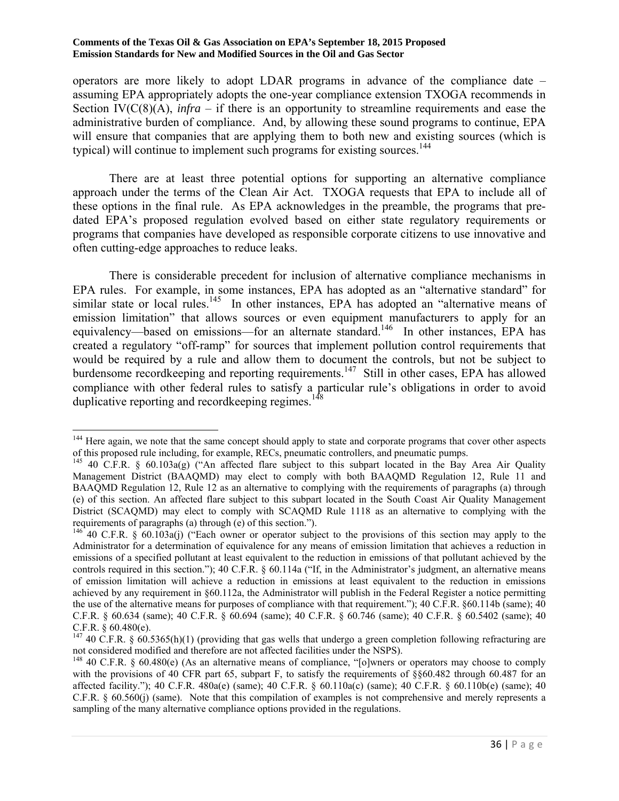operators are more likely to adopt LDAR programs in advance of the compliance date – assuming EPA appropriately adopts the one-year compliance extension TXOGA recommends in Section IV( $C(8)(A)$ , *infra* – if there is an opportunity to streamline requirements and ease the administrative burden of compliance. And, by allowing these sound programs to continue, EPA will ensure that companies that are applying them to both new and existing sources (which is typical) will continue to implement such programs for existing sources.<sup>144</sup>

 There are at least three potential options for supporting an alternative compliance approach under the terms of the Clean Air Act. TXOGA requests that EPA to include all of these options in the final rule. As EPA acknowledges in the preamble, the programs that predated EPA's proposed regulation evolved based on either state regulatory requirements or programs that companies have developed as responsible corporate citizens to use innovative and often cutting-edge approaches to reduce leaks.

There is considerable precedent for inclusion of alternative compliance mechanisms in EPA rules. For example, in some instances, EPA has adopted as an "alternative standard" for similar state or local rules.<sup>145</sup> In other instances, EPA has adopted an "alternative means of emission limitation" that allows sources or even equipment manufacturers to apply for an equivalency—based on emissions—for an alternate standard.<sup>146</sup> In other instances, EPA has created a regulatory "off-ramp" for sources that implement pollution control requirements that would be required by a rule and allow them to document the controls, but not be subject to burdensome recordkeeping and reporting requirements.<sup>147</sup> Still in other cases, EPA has allowed compliance with other federal rules to satisfy a particular rule's obligations in order to avoid duplicative reporting and record keeping regimes.<sup>148</sup>

 $\overline{\phantom{a}}$ <sup>144</sup> Here again, we note that the same concept should apply to state and corporate programs that cover other aspects of this proposed rule including, for example, RECs, pneumatic controllers, and pneumatic pumps.

<sup>&</sup>lt;sup>145</sup> 40 C.F.R. § 60.103a(g) ("An affected flare subject to this subpart located in the Bay Area Air Quality Management District (BAAQMD) may elect to comply with both BAAQMD Regulation 12, Rule 11 and BAAQMD Regulation 12, Rule 12 as an alternative to complying with the requirements of paragraphs (a) through (e) of this section. An affected flare subject to this subpart located in the South Coast Air Quality Management District (SCAQMD) may elect to comply with SCAQMD Rule 1118 as an alternative to complying with the requirements of paragraphs (a) through (e) of this section.").

 $^{146}$  40 C.F.R. § 60.103a(j) ("Each owner or operator subject to the provisions of this section may apply to the Administrator for a determination of equivalence for any means of emission limitation that achieves a reduction in emissions of a specified pollutant at least equivalent to the reduction in emissions of that pollutant achieved by the controls required in this section.");  $40 \text{ C.F.R. }$  §  $60.114a$  ("If, in the Administrator's judgment, an alternative means of emission limitation will achieve a reduction in emissions at least equivalent to the reduction in emissions achieved by any requirement in §60.112a, the Administrator will publish in the Federal Register a notice permitting the use of the alternative means for purposes of compliance with that requirement."); 40 C.F.R. §60.114b (same); 40 C.F.R. § 60.634 (same); 40 C.F.R. § 60.694 (same); 40 C.F.R. § 60.746 (same); 40 C.F.R. § 60.5402 (same); 40 C.F.R. § 60.480(e).

<sup>&</sup>lt;sup>147</sup> 40 C.F.R. § 60.5365(h)(1) (providing that gas wells that undergo a green completion following refracturing are not considered modified and therefore are not affected facilities under the NSPS).<br><sup>148</sup> 40 C.F.R. § 60.480(e) (As an alternative means of compliance, "[o]wners or operators may choose to comply

with the provisions of 40 CFR part 65, subpart F, to satisfy the requirements of §§60.482 through 60.487 for an affected facility."); 40 C.F.R. 480a(e) (same); 40 C.F.R. § 60.110a(c) (same); 40 C.F.R. § 60.110b(e) (same); 40 C.F.R. § 60.560(j) (same). Note that this compilation of examples is not comprehensive and merely represents a sampling of the many alternative compliance options provided in the regulations.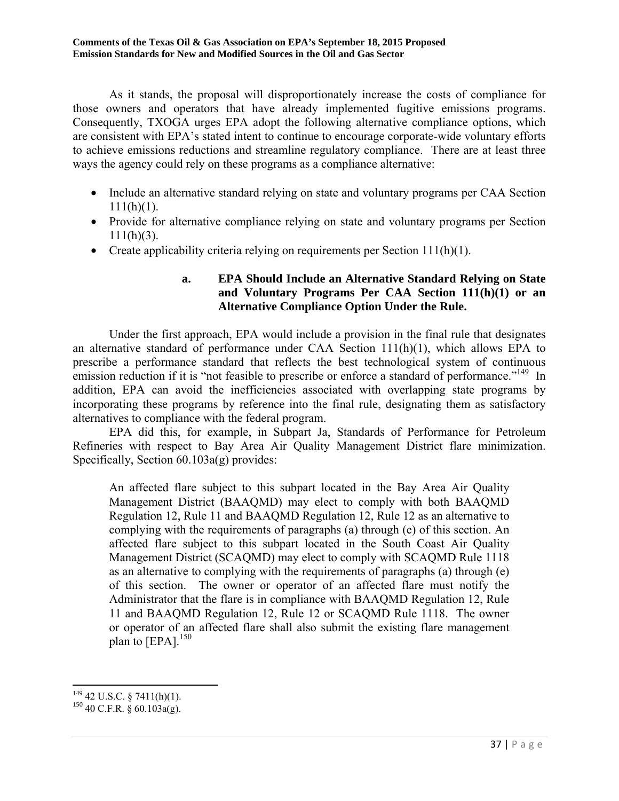As it stands, the proposal will disproportionately increase the costs of compliance for those owners and operators that have already implemented fugitive emissions programs. Consequently, TXOGA urges EPA adopt the following alternative compliance options, which are consistent with EPA's stated intent to continue to encourage corporate-wide voluntary efforts to achieve emissions reductions and streamline regulatory compliance. There are at least three ways the agency could rely on these programs as a compliance alternative:

- Include an alternative standard relying on state and voluntary programs per CAA Section  $111(h)(1)$ .
- Provide for alternative compliance relying on state and voluntary programs per Section  $111(h)(3)$ .
- Create applicability criteria relying on requirements per Section 111(h)(1).

## **a. EPA Should Include an Alternative Standard Relying on State and Voluntary Programs Per CAA Section 111(h)(1) or an Alternative Compliance Option Under the Rule.**

 Under the first approach, EPA would include a provision in the final rule that designates an alternative standard of performance under CAA Section 111(h)(1), which allows EPA to prescribe a performance standard that reflects the best technological system of continuous emission reduction if it is "not feasible to prescribe or enforce a standard of performance."<sup>149</sup> In addition, EPA can avoid the inefficiencies associated with overlapping state programs by incorporating these programs by reference into the final rule, designating them as satisfactory alternatives to compliance with the federal program.

 EPA did this, for example, in Subpart Ja, Standards of Performance for Petroleum Refineries with respect to Bay Area Air Quality Management District flare minimization. Specifically, Section 60.103a(g) provides:

An affected flare subject to this subpart located in the Bay Area Air Quality Management District (BAAQMD) may elect to comply with both BAAQMD Regulation 12, Rule 11 and BAAQMD Regulation 12, Rule 12 as an alternative to complying with the requirements of paragraphs (a) through (e) of this section. An affected flare subject to this subpart located in the South Coast Air Quality Management District (SCAQMD) may elect to comply with SCAQMD Rule 1118 as an alternative to complying with the requirements of paragraphs (a) through (e) of this section. The owner or operator of an affected flare must notify the Administrator that the flare is in compliance with BAAQMD Regulation 12, Rule 11 and BAAQMD Regulation 12, Rule 12 or SCAQMD Rule 1118. The owner or operator of an affected flare shall also submit the existing flare management plan to  $[EPA]$ <sup>150</sup>

 $\overline{\phantom{a}}$  $149$  42 U.S.C. § 7411(h)(1).

 $150$  40 C.F.R. § 60.103a(g).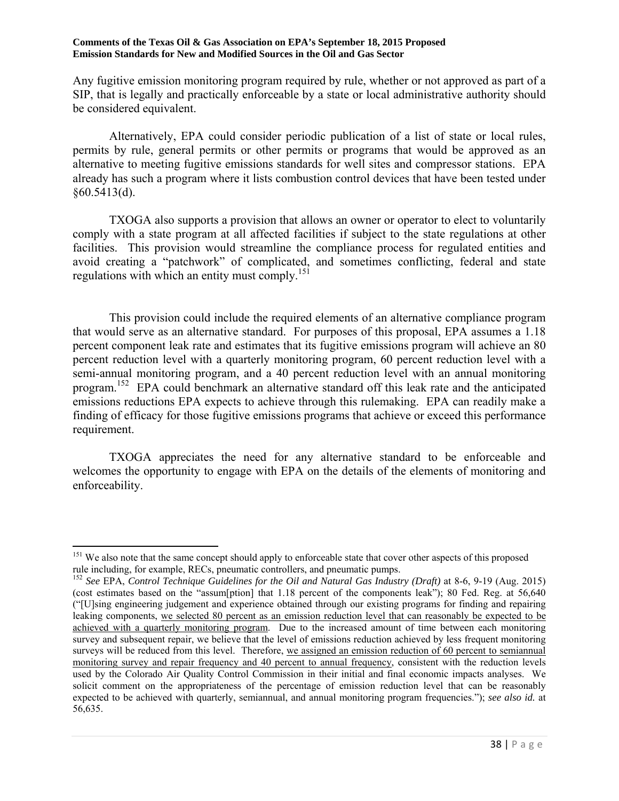Any fugitive emission monitoring program required by rule, whether or not approved as part of a SIP, that is legally and practically enforceable by a state or local administrative authority should be considered equivalent.

 Alternatively, EPA could consider periodic publication of a list of state or local rules, permits by rule, general permits or other permits or programs that would be approved as an alternative to meeting fugitive emissions standards for well sites and compressor stations. EPA already has such a program where it lists combustion control devices that have been tested under §60.5413(d).

 TXOGA also supports a provision that allows an owner or operator to elect to voluntarily comply with a state program at all affected facilities if subject to the state regulations at other facilities. This provision would streamline the compliance process for regulated entities and avoid creating a "patchwork" of complicated, and sometimes conflicting, federal and state regulations with which an entity must comply.<sup>151</sup>

 This provision could include the required elements of an alternative compliance program that would serve as an alternative standard. For purposes of this proposal, EPA assumes a 1.18 percent component leak rate and estimates that its fugitive emissions program will achieve an 80 percent reduction level with a quarterly monitoring program, 60 percent reduction level with a semi-annual monitoring program, and a 40 percent reduction level with an annual monitoring program.<sup>152</sup> EPA could benchmark an alternative standard off this leak rate and the anticipated emissions reductions EPA expects to achieve through this rulemaking. EPA can readily make a finding of efficacy for those fugitive emissions programs that achieve or exceed this performance requirement.

 TXOGA appreciates the need for any alternative standard to be enforceable and welcomes the opportunity to engage with EPA on the details of the elements of monitoring and enforceability.

 $\overline{a}$ <sup>151</sup> We also note that the same concept should apply to enforceable state that cover other aspects of this proposed rule including, for example, RECs, pneumatic controllers, and pneumatic pumps.

<sup>152</sup> *See* EPA, *Control Technique Guidelines for the Oil and Natural Gas Industry (Draft)* at 8-6, 9-19 (Aug. 2015) (cost estimates based on the "assum[ption] that 1.18 percent of the components leak"); 80 Fed. Reg. at 56,640 ("[U]sing engineering judgement and experience obtained through our existing programs for finding and repairing leaking components, we selected 80 percent as an emission reduction level that can reasonably be expected to be achieved with a quarterly monitoring program. Due to the increased amount of time between each monitoring survey and subsequent repair, we believe that the level of emissions reduction achieved by less frequent monitoring surveys will be reduced from this level. Therefore, we assigned an emission reduction of 60 percent to semiannual monitoring survey and repair frequency and 40 percent to annual frequency, consistent with the reduction levels used by the Colorado Air Quality Control Commission in their initial and final economic impacts analyses. We solicit comment on the appropriateness of the percentage of emission reduction level that can be reasonably expected to be achieved with quarterly, semiannual, and annual monitoring program frequencies."); *see also id.* at 56,635.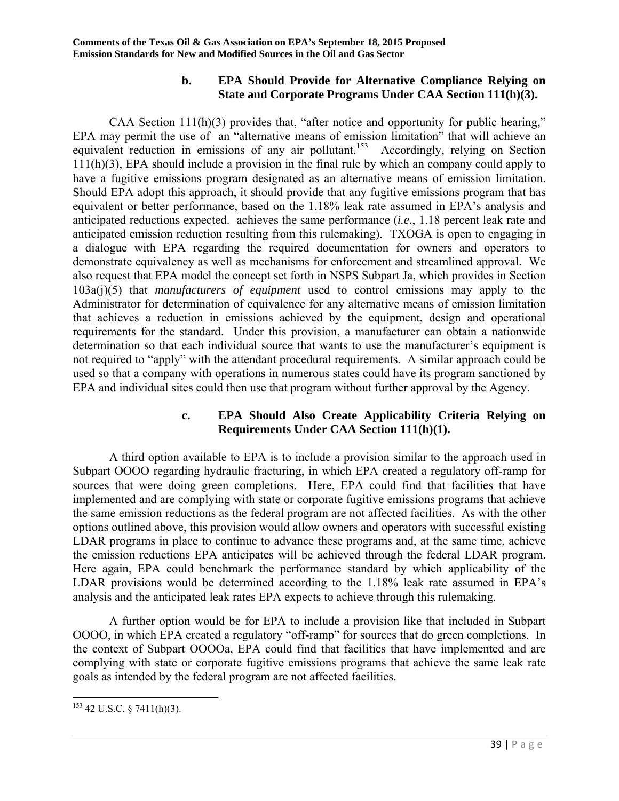### **b. EPA Should Provide for Alternative Compliance Relying on State and Corporate Programs Under CAA Section 111(h)(3).**

 CAA Section 111(h)(3) provides that, "after notice and opportunity for public hearing," EPA may permit the use of an "alternative means of emission limitation" that will achieve an equivalent reduction in emissions of any air pollutant.<sup>153</sup> Accordingly, relying on Section 111(h)(3), EPA should include a provision in the final rule by which an company could apply to have a fugitive emissions program designated as an alternative means of emission limitation. Should EPA adopt this approach, it should provide that any fugitive emissions program that has equivalent or better performance, based on the 1.18% leak rate assumed in EPA's analysis and anticipated reductions expected. achieves the same performance (*i.e.*, 1.18 percent leak rate and anticipated emission reduction resulting from this rulemaking). TXOGA is open to engaging in a dialogue with EPA regarding the required documentation for owners and operators to demonstrate equivalency as well as mechanisms for enforcement and streamlined approval. We also request that EPA model the concept set forth in NSPS Subpart Ja, which provides in Section 103a(j)(5) that *manufacturers of equipment* used to control emissions may apply to the Administrator for determination of equivalence for any alternative means of emission limitation that achieves a reduction in emissions achieved by the equipment, design and operational requirements for the standard. Under this provision, a manufacturer can obtain a nationwide determination so that each individual source that wants to use the manufacturer's equipment is not required to "apply" with the attendant procedural requirements. A similar approach could be used so that a company with operations in numerous states could have its program sanctioned by EPA and individual sites could then use that program without further approval by the Agency.

### **c. EPA Should Also Create Applicability Criteria Relying on Requirements Under CAA Section 111(h)(1).**

A third option available to EPA is to include a provision similar to the approach used in Subpart OOOO regarding hydraulic fracturing, in which EPA created a regulatory off-ramp for sources that were doing green completions. Here, EPA could find that facilities that have implemented and are complying with state or corporate fugitive emissions programs that achieve the same emission reductions as the federal program are not affected facilities. As with the other options outlined above, this provision would allow owners and operators with successful existing LDAR programs in place to continue to advance these programs and, at the same time, achieve the emission reductions EPA anticipates will be achieved through the federal LDAR program. Here again, EPA could benchmark the performance standard by which applicability of the LDAR provisions would be determined according to the 1.18% leak rate assumed in EPA's analysis and the anticipated leak rates EPA expects to achieve through this rulemaking.

 A further option would be for EPA to include a provision like that included in Subpart OOOO, in which EPA created a regulatory "off-ramp" for sources that do green completions. In the context of Subpart OOOOa, EPA could find that facilities that have implemented and are complying with state or corporate fugitive emissions programs that achieve the same leak rate goals as intended by the federal program are not affected facilities.

 $\overline{\phantom{a}}$  $153$  42 U.S.C. § 7411(h)(3).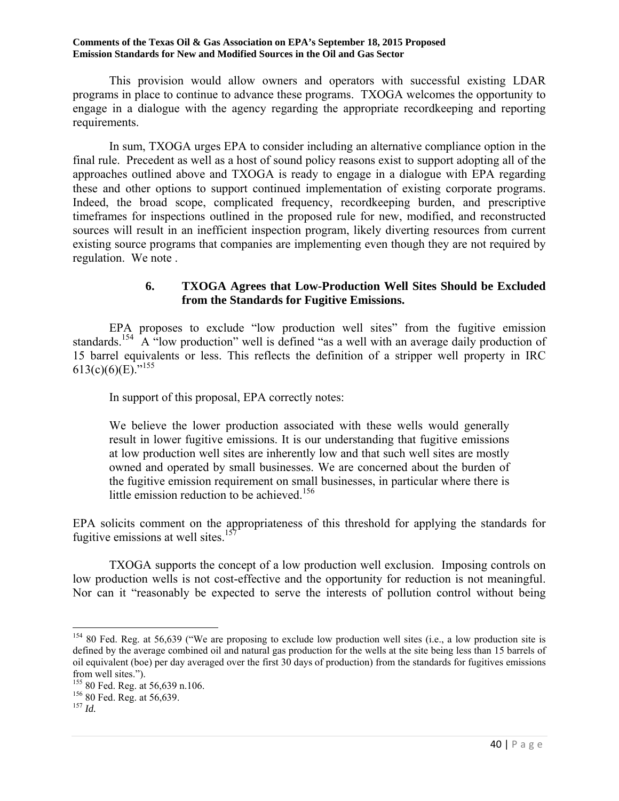This provision would allow owners and operators with successful existing LDAR programs in place to continue to advance these programs. TXOGA welcomes the opportunity to engage in a dialogue with the agency regarding the appropriate recordkeeping and reporting requirements.

 In sum, TXOGA urges EPA to consider including an alternative compliance option in the final rule. Precedent as well as a host of sound policy reasons exist to support adopting all of the approaches outlined above and TXOGA is ready to engage in a dialogue with EPA regarding these and other options to support continued implementation of existing corporate programs. Indeed, the broad scope, complicated frequency, recordkeeping burden, and prescriptive timeframes for inspections outlined in the proposed rule for new, modified, and reconstructed sources will result in an inefficient inspection program, likely diverting resources from current existing source programs that companies are implementing even though they are not required by regulation. We note .

## **6. TXOGA Agrees that Low-Production Well Sites Should be Excluded from the Standards for Fugitive Emissions.**

 EPA proposes to exclude "low production well sites" from the fugitive emission standards.<sup>154</sup> A "low production" well is defined "as a well with an average daily production of 15 barrel equivalents or less. This reflects the definition of a stripper well property in IRC 613(c)(6)(E)."<sup>155</sup>

In support of this proposal, EPA correctly notes:

We believe the lower production associated with these wells would generally result in lower fugitive emissions. It is our understanding that fugitive emissions at low production well sites are inherently low and that such well sites are mostly owned and operated by small businesses. We are concerned about the burden of the fugitive emission requirement on small businesses, in particular where there is little emission reduction to be achieved.<sup>156</sup>

EPA solicits comment on the appropriateness of this threshold for applying the standards for fugitive emissions at well sites.<sup>157</sup>

 TXOGA supports the concept of a low production well exclusion. Imposing controls on low production wells is not cost-effective and the opportunity for reduction is not meaningful. Nor can it "reasonably be expected to serve the interests of pollution control without being

 $154$  80 Fed. Reg. at 56,639 ("We are proposing to exclude low production well sites (i.e., a low production site is defined by the average combined oil and natural gas production for the wells at the site being less than 15 barrels of oil equivalent (boe) per day averaged over the first 30 days of production) from the standards for fugitives emissions from well sites.").

<sup>155 80</sup> Fed. Reg. at 56,639 n.106. 156 80 Fed. Reg. at 56,639. 157 *Id.*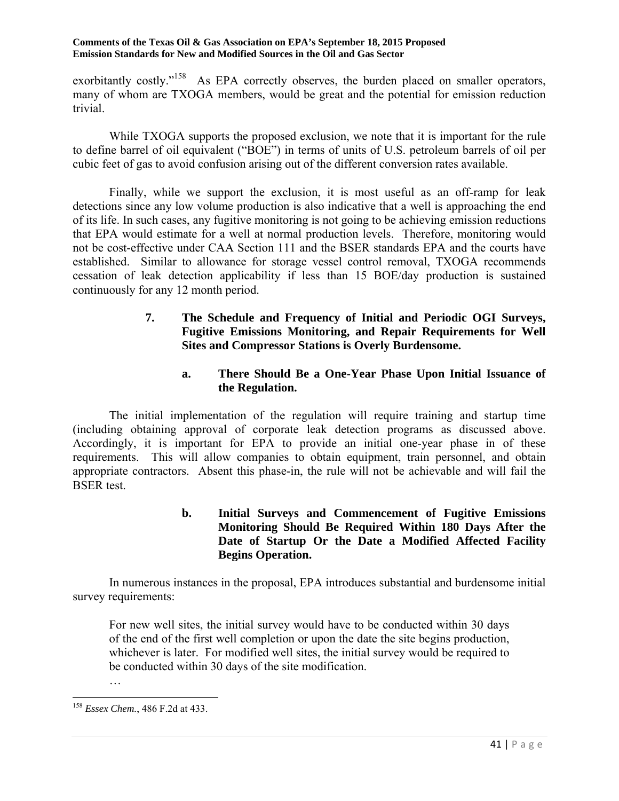exorbitantly costly."<sup>158</sup> As EPA correctly observes, the burden placed on smaller operators, many of whom are TXOGA members, would be great and the potential for emission reduction trivial.

 While TXOGA supports the proposed exclusion, we note that it is important for the rule to define barrel of oil equivalent ("BOE") in terms of units of U.S. petroleum barrels of oil per cubic feet of gas to avoid confusion arising out of the different conversion rates available.

 Finally, while we support the exclusion, it is most useful as an off-ramp for leak detections since any low volume production is also indicative that a well is approaching the end of its life. In such cases, any fugitive monitoring is not going to be achieving emission reductions that EPA would estimate for a well at normal production levels. Therefore, monitoring would not be cost-effective under CAA Section 111 and the BSER standards EPA and the courts have established. Similar to allowance for storage vessel control removal, TXOGA recommends cessation of leak detection applicability if less than 15 BOE/day production is sustained continuously for any 12 month period.

## **7. The Schedule and Frequency of Initial and Periodic OGI Surveys, Fugitive Emissions Monitoring, and Repair Requirements for Well Sites and Compressor Stations is Overly Burdensome.**

## **a. There Should Be a One-Year Phase Upon Initial Issuance of the Regulation.**

 The initial implementation of the regulation will require training and startup time (including obtaining approval of corporate leak detection programs as discussed above. Accordingly, it is important for EPA to provide an initial one-year phase in of these requirements. This will allow companies to obtain equipment, train personnel, and obtain appropriate contractors. Absent this phase-in, the rule will not be achievable and will fail the BSER test.

## **b. Initial Surveys and Commencement of Fugitive Emissions Monitoring Should Be Required Within 180 Days After the Date of Startup Or the Date a Modified Affected Facility Begins Operation.**

 In numerous instances in the proposal, EPA introduces substantial and burdensome initial survey requirements:

For new well sites, the initial survey would have to be conducted within 30 days of the end of the first well completion or upon the date the site begins production, whichever is later. For modified well sites, the initial survey would be required to be conducted within 30 days of the site modification.

…

 $\overline{\phantom{a}}$ <sup>158</sup> *Essex Chem.*, 486 F.2d at 433.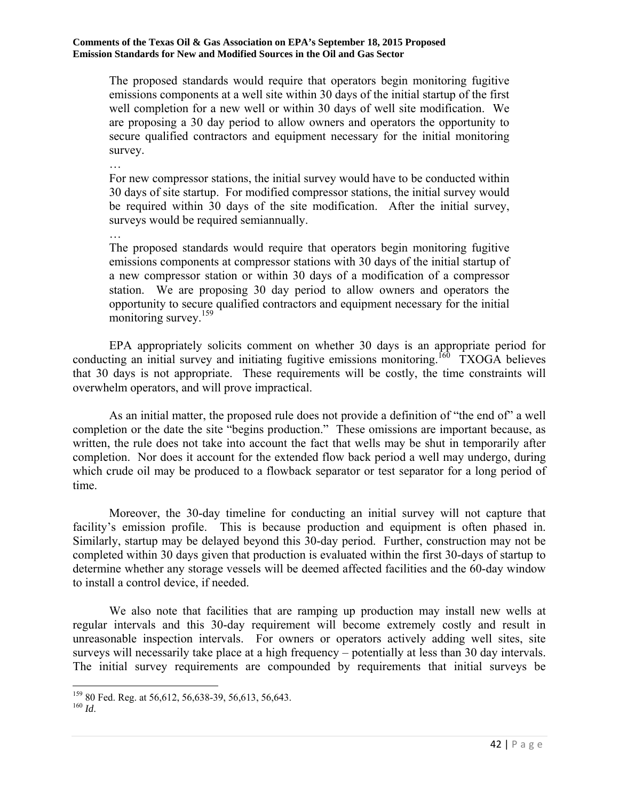The proposed standards would require that operators begin monitoring fugitive emissions components at a well site within 30 days of the initial startup of the first well completion for a new well or within 30 days of well site modification. We are proposing a 30 day period to allow owners and operators the opportunity to secure qualified contractors and equipment necessary for the initial monitoring survey.

For new compressor stations, the initial survey would have to be conducted within 30 days of site startup. For modified compressor stations, the initial survey would be required within 30 days of the site modification. After the initial survey, surveys would be required semiannually.

… The proposed standards would require that operators begin monitoring fugitive emissions components at compressor stations with 30 days of the initial startup of a new compressor station or within 30 days of a modification of a compressor station. We are proposing 30 day period to allow owners and operators the opportunity to secure qualified contractors and equipment necessary for the initial monitoring survey.<sup>159</sup>

 EPA appropriately solicits comment on whether 30 days is an appropriate period for conducting an initial survey and initiating fugitive emissions monitoring.<sup>160</sup> TXOGA believes that 30 days is not appropriate. These requirements will be costly, the time constraints will overwhelm operators, and will prove impractical.

 As an initial matter, the proposed rule does not provide a definition of "the end of" a well completion or the date the site "begins production." These omissions are important because, as written, the rule does not take into account the fact that wells may be shut in temporarily after completion. Nor does it account for the extended flow back period a well may undergo, during which crude oil may be produced to a flowback separator or test separator for a long period of time.

 Moreover, the 30-day timeline for conducting an initial survey will not capture that facility's emission profile. This is because production and equipment is often phased in. Similarly, startup may be delayed beyond this 30-day period. Further, construction may not be completed within 30 days given that production is evaluated within the first 30-days of startup to determine whether any storage vessels will be deemed affected facilities and the 60-day window to install a control device, if needed.

 We also note that facilities that are ramping up production may install new wells at regular intervals and this 30-day requirement will become extremely costly and result in unreasonable inspection intervals. For owners or operators actively adding well sites, site surveys will necessarily take place at a high frequency – potentially at less than 30 day intervals. The initial survey requirements are compounded by requirements that initial surveys be

…

 $\overline{a}$ <sup>159</sup> 80 Fed. Reg. at 56,612, 56,638-39, 56,613, 56,643.<br><sup>160</sup> *Id.*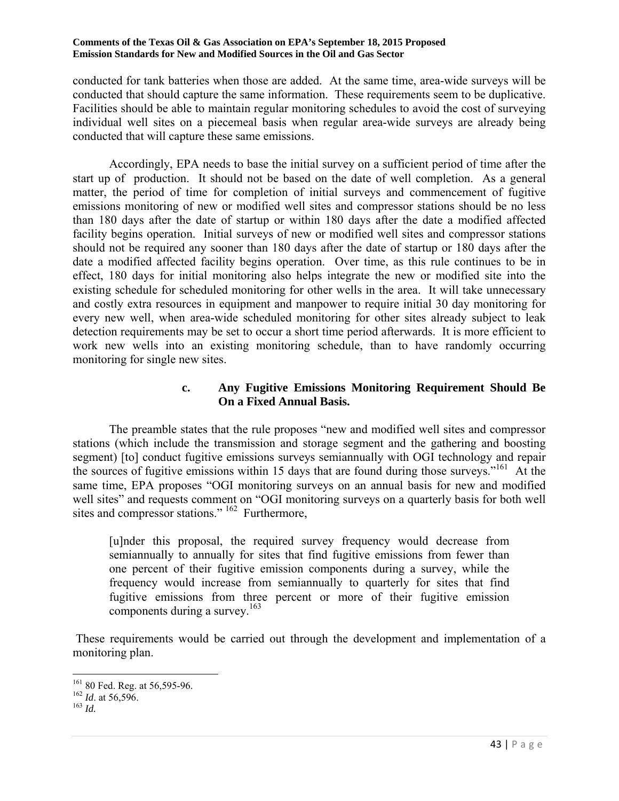conducted for tank batteries when those are added. At the same time, area-wide surveys will be conducted that should capture the same information. These requirements seem to be duplicative. Facilities should be able to maintain regular monitoring schedules to avoid the cost of surveying individual well sites on a piecemeal basis when regular area-wide surveys are already being conducted that will capture these same emissions.

Accordingly, EPA needs to base the initial survey on a sufficient period of time after the start up of production. It should not be based on the date of well completion. As a general matter, the period of time for completion of initial surveys and commencement of fugitive emissions monitoring of new or modified well sites and compressor stations should be no less than 180 days after the date of startup or within 180 days after the date a modified affected facility begins operation. Initial surveys of new or modified well sites and compressor stations should not be required any sooner than 180 days after the date of startup or 180 days after the date a modified affected facility begins operation. Over time, as this rule continues to be in effect, 180 days for initial monitoring also helps integrate the new or modified site into the existing schedule for scheduled monitoring for other wells in the area. It will take unnecessary and costly extra resources in equipment and manpower to require initial 30 day monitoring for every new well, when area-wide scheduled monitoring for other sites already subject to leak detection requirements may be set to occur a short time period afterwards. It is more efficient to work new wells into an existing monitoring schedule, than to have randomly occurring monitoring for single new sites.

### **c. Any Fugitive Emissions Monitoring Requirement Should Be On a Fixed Annual Basis.**

 The preamble states that the rule proposes "new and modified well sites and compressor stations (which include the transmission and storage segment and the gathering and boosting segment) [to] conduct fugitive emissions surveys semiannually with OGI technology and repair the sources of fugitive emissions within 15 days that are found during those surveys."<sup>161</sup> At the same time, EPA proposes "OGI monitoring surveys on an annual basis for new and modified well sites" and requests comment on "OGI monitoring surveys on a quarterly basis for both well sites and compressor stations." <sup>162</sup> Furthermore,

[u]nder this proposal, the required survey frequency would decrease from semiannually to annually for sites that find fugitive emissions from fewer than one percent of their fugitive emission components during a survey, while the frequency would increase from semiannually to quarterly for sites that find fugitive emissions from three percent or more of their fugitive emission components during a survey.<sup>163</sup>

 These requirements would be carried out through the development and implementation of a monitoring plan.

<sup>161 80</sup> Fed. Reg. at 56,595-96. 162 *Id*. at 56,596. 163 *Id.*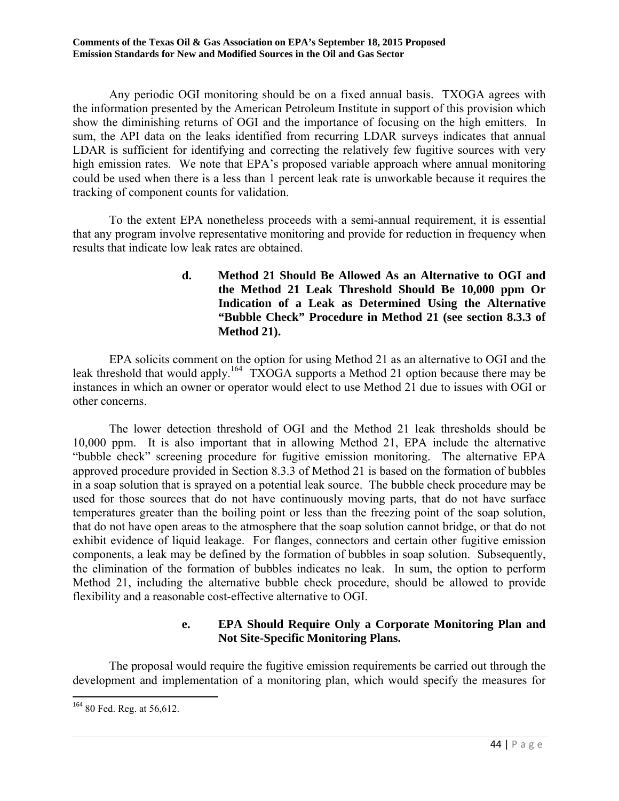Any periodic OGI monitoring should be on a fixed annual basis. TXOGA agrees with the information presented by the American Petroleum Institute in support of this provision which show the diminishing returns of OGI and the importance of focusing on the high emitters. In sum, the API data on the leaks identified from recurring LDAR surveys indicates that annual LDAR is sufficient for identifying and correcting the relatively few fugitive sources with very high emission rates. We note that EPA's proposed variable approach where annual monitoring could be used when there is a less than 1 percent leak rate is unworkable because it requires the tracking of component counts for validation.

 To the extent EPA nonetheless proceeds with a semi-annual requirement, it is essential that any program involve representative monitoring and provide for reduction in frequency when results that indicate low leak rates are obtained.

## **d. Method 21 Should Be Allowed As an Alternative to OGI and the Method 21 Leak Threshold Should Be 10,000 ppm Or Indication of a Leak as Determined Using the Alternative "Bubble Check" Procedure in Method 21 (see section 8.3.3 of Method 21).**

 EPA solicits comment on the option for using Method 21 as an alternative to OGI and the leak threshold that would apply.<sup>164</sup> TXOGA supports a Method 21 option because there may be instances in which an owner or operator would elect to use Method 21 due to issues with OGI or other concerns.

 The lower detection threshold of OGI and the Method 21 leak thresholds should be 10,000 ppm. It is also important that in allowing Method 21, EPA include the alternative "bubble check" screening procedure for fugitive emission monitoring. The alternative EPA approved procedure provided in Section 8.3.3 of Method 21 is based on the formation of bubbles in a soap solution that is sprayed on a potential leak source. The bubble check procedure may be used for those sources that do not have continuously moving parts, that do not have surface temperatures greater than the boiling point or less than the freezing point of the soap solution, that do not have open areas to the atmosphere that the soap solution cannot bridge, or that do not exhibit evidence of liquid leakage. For flanges, connectors and certain other fugitive emission components, a leak may be defined by the formation of bubbles in soap solution. Subsequently, the elimination of the formation of bubbles indicates no leak. In sum, the option to perform Method 21, including the alternative bubble check procedure, should be allowed to provide flexibility and a reasonable cost-effective alternative to OGI.

## **e. EPA Should Require Only a Corporate Monitoring Plan and Not Site-Specific Monitoring Plans.**

 The proposal would require the fugitive emission requirements be carried out through the development and implementation of a monitoring plan, which would specify the measures for

<sup>&</sup>lt;sup>164</sup> 80 Fed. Reg. at 56,612.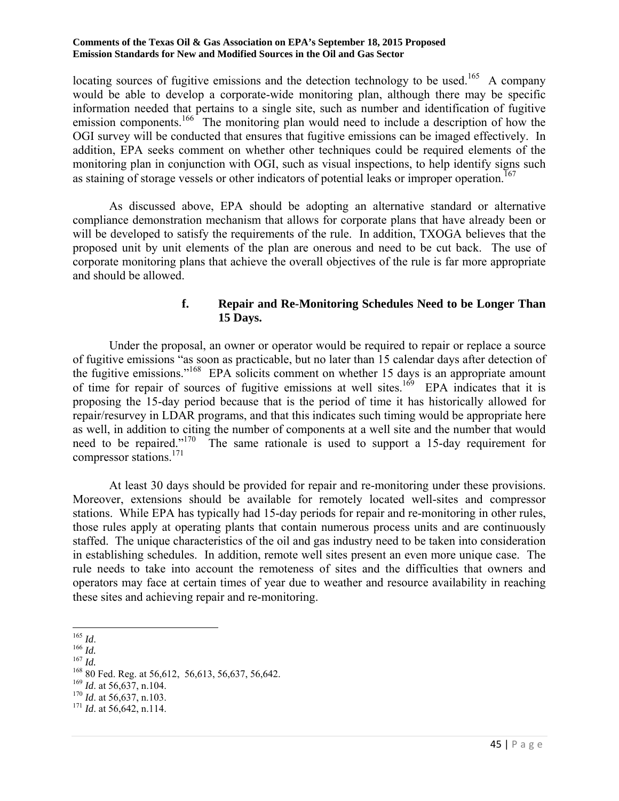locating sources of fugitive emissions and the detection technology to be used.<sup>165</sup> A company would be able to develop a corporate-wide monitoring plan, although there may be specific information needed that pertains to a single site, such as number and identification of fugitive emission components.<sup>166</sup> The monitoring plan would need to include a description of how the OGI survey will be conducted that ensures that fugitive emissions can be imaged effectively. In addition, EPA seeks comment on whether other techniques could be required elements of the monitoring plan in conjunction with OGI, such as visual inspections, to help identify signs such as staining of storage vessels or other indicators of potential leaks or improper operation.<sup>167</sup>

 As discussed above, EPA should be adopting an alternative standard or alternative compliance demonstration mechanism that allows for corporate plans that have already been or will be developed to satisfy the requirements of the rule. In addition, TXOGA believes that the proposed unit by unit elements of the plan are onerous and need to be cut back. The use of corporate monitoring plans that achieve the overall objectives of the rule is far more appropriate and should be allowed.

### **f. Repair and Re-Monitoring Schedules Need to be Longer Than 15 Days.**

 Under the proposal, an owner or operator would be required to repair or replace a source of fugitive emissions "as soon as practicable, but no later than 15 calendar days after detection of the fugitive emissions."168 EPA solicits comment on whether 15 days is an appropriate amount of time for repair of sources of fugitive emissions at well sites.<sup>169</sup> EPA indicates that it is proposing the 15-day period because that is the period of time it has historically allowed for repair/resurvey in LDAR programs, and that this indicates such timing would be appropriate here as well, in addition to citing the number of components at a well site and the number that would need to be repaired."170 The same rationale is used to support a 15-day requirement for compressor stations. $171$ 

 At least 30 days should be provided for repair and re-monitoring under these provisions. Moreover, extensions should be available for remotely located well-sites and compressor stations. While EPA has typically had 15-day periods for repair and re-monitoring in other rules, those rules apply at operating plants that contain numerous process units and are continuously staffed. The unique characteristics of the oil and gas industry need to be taken into consideration in establishing schedules. In addition, remote well sites present an even more unique case. The rule needs to take into account the remoteness of sites and the difficulties that owners and operators may face at certain times of year due to weather and resource availability in reaching these sites and achieving repair and re-monitoring.

 $^{165}\,$  Id.

*Ida.*<br>
<sup>166</sup> *Id.*<br>
<sup>167</sup> *Id.*<br>
<sup>168</sup> 80 Fed. Reg. at 56,612, 56,613, 56,637, 56,642.<br>
<sup>169</sup> *Id.* at 56,637, n.104.<br>
<sup>170</sup> *Id.* at 56,642, n.113.<br>
<sup>171</sup> *Id.* at 56,642, n.114.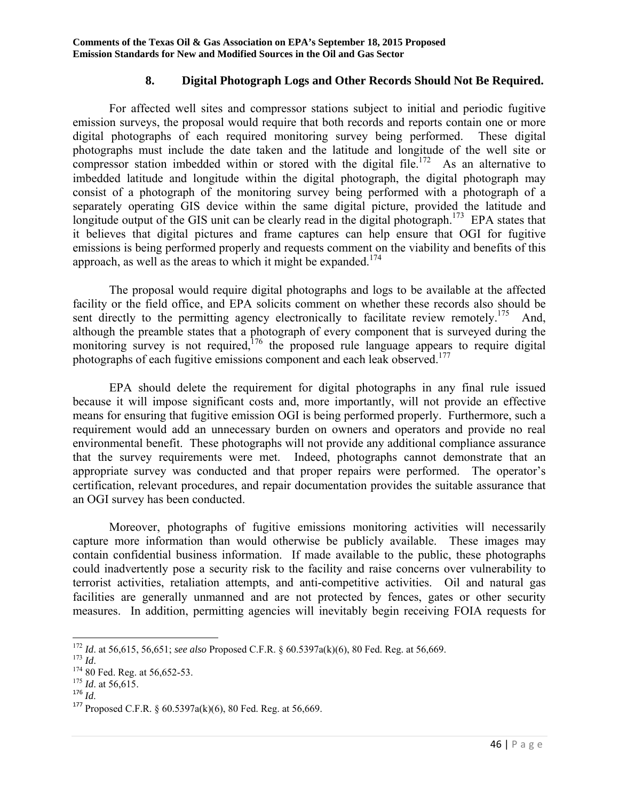### **8. Digital Photograph Logs and Other Records Should Not Be Required.**

 For affected well sites and compressor stations subject to initial and periodic fugitive emission surveys, the proposal would require that both records and reports contain one or more digital photographs of each required monitoring survey being performed. These digital photographs must include the date taken and the latitude and longitude of the well site or compressor station imbedded within or stored with the digital file.<sup>172</sup> As an alternative to imbedded latitude and longitude within the digital photograph, the digital photograph may consist of a photograph of the monitoring survey being performed with a photograph of a separately operating GIS device within the same digital picture, provided the latitude and longitude output of the GIS unit can be clearly read in the digital photograph.<sup>173</sup> EPA states that it believes that digital pictures and frame captures can help ensure that OGI for fugitive emissions is being performed properly and requests comment on the viability and benefits of this approach, as well as the areas to which it might be expanded.<sup>174</sup>

 The proposal would require digital photographs and logs to be available at the affected facility or the field office, and EPA solicits comment on whether these records also should be sent directly to the permitting agency electronically to facilitate review remotely.<sup>175</sup> And, although the preamble states that a photograph of every component that is surveyed during the monitoring survey is not required,<sup>176</sup> the proposed rule language appears to require digital photographs of each fugitive emissions component and each leak observed.<sup>177</sup>

 EPA should delete the requirement for digital photographs in any final rule issued because it will impose significant costs and, more importantly, will not provide an effective means for ensuring that fugitive emission OGI is being performed properly. Furthermore, such a requirement would add an unnecessary burden on owners and operators and provide no real environmental benefit. These photographs will not provide any additional compliance assurance that the survey requirements were met. Indeed, photographs cannot demonstrate that an appropriate survey was conducted and that proper repairs were performed. The operator's certification, relevant procedures, and repair documentation provides the suitable assurance that an OGI survey has been conducted.

 Moreover, photographs of fugitive emissions monitoring activities will necessarily capture more information than would otherwise be publicly available. These images may contain confidential business information. If made available to the public, these photographs could inadvertently pose a security risk to the facility and raise concerns over vulnerability to terrorist activities, retaliation attempts, and anti-competitive activities. Oil and natural gas facilities are generally unmanned and are not protected by fences, gates or other security measures. In addition, permitting agencies will inevitably begin receiving FOIA requests for

<sup>&</sup>lt;sup>172</sup> *Id.* at 56,615, 56,651; *see also* Proposed C.F.R. § 60.5397a(k)(6), 80 Fed. Reg. at 56,669. <sup>173</sup> *Id.* 174 80 Fed. Reg. at 56,652-53. <sup>175</sup> *Id.* at 56,615. <sup>175</sup> *Id.* at 56,615.

<sup>&</sup>lt;sup>177</sup> Proposed C.F.R.  $\frac{60.5397a(k)(6)}{80.5396(k)}$ . 80 Fed. Reg. at 56,669.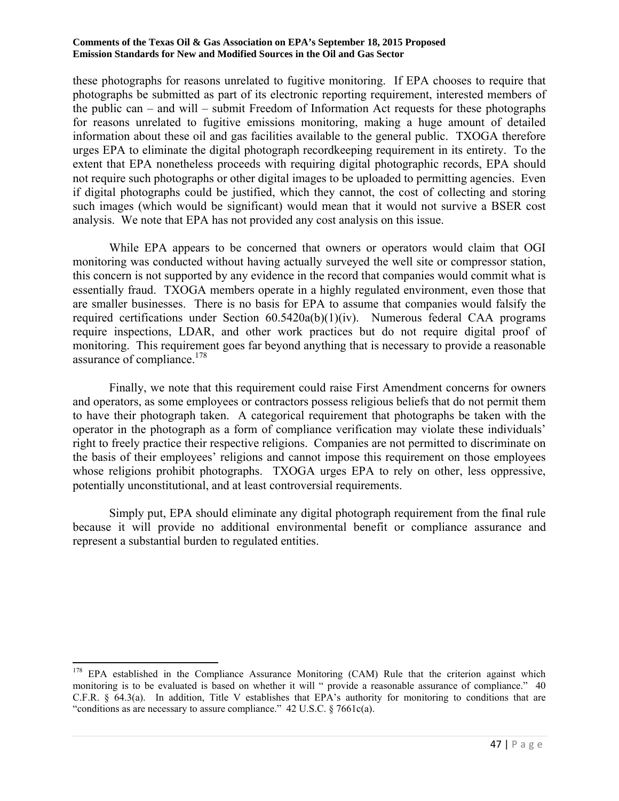these photographs for reasons unrelated to fugitive monitoring. If EPA chooses to require that photographs be submitted as part of its electronic reporting requirement, interested members of the public can – and will – submit Freedom of Information Act requests for these photographs for reasons unrelated to fugitive emissions monitoring, making a huge amount of detailed information about these oil and gas facilities available to the general public. TXOGA therefore urges EPA to eliminate the digital photograph recordkeeping requirement in its entirety. To the extent that EPA nonetheless proceeds with requiring digital photographic records, EPA should not require such photographs or other digital images to be uploaded to permitting agencies. Even if digital photographs could be justified, which they cannot, the cost of collecting and storing such images (which would be significant) would mean that it would not survive a BSER cost analysis. We note that EPA has not provided any cost analysis on this issue.

 While EPA appears to be concerned that owners or operators would claim that OGI monitoring was conducted without having actually surveyed the well site or compressor station, this concern is not supported by any evidence in the record that companies would commit what is essentially fraud. TXOGA members operate in a highly regulated environment, even those that are smaller businesses. There is no basis for EPA to assume that companies would falsify the required certifications under Section 60.5420a(b)(1)(iv). Numerous federal CAA programs require inspections, LDAR, and other work practices but do not require digital proof of monitoring. This requirement goes far beyond anything that is necessary to provide a reasonable assurance of compliance.<sup>178</sup>

 Finally, we note that this requirement could raise First Amendment concerns for owners and operators, as some employees or contractors possess religious beliefs that do not permit them to have their photograph taken. A categorical requirement that photographs be taken with the operator in the photograph as a form of compliance verification may violate these individuals' right to freely practice their respective religions. Companies are not permitted to discriminate on the basis of their employees' religions and cannot impose this requirement on those employees whose religions prohibit photographs. TXOGA urges EPA to rely on other, less oppressive, potentially unconstitutional, and at least controversial requirements.

 Simply put, EPA should eliminate any digital photograph requirement from the final rule because it will provide no additional environmental benefit or compliance assurance and represent a substantial burden to regulated entities.

 $\overline{\phantom{a}}$ <sup>178</sup> EPA established in the Compliance Assurance Monitoring (CAM) Rule that the criterion against which monitoring is to be evaluated is based on whether it will " provide a reasonable assurance of compliance." 40 C.F.R. § 64.3(a). In addition, Title V establishes that EPA's authority for monitoring to conditions that are "conditions as are necessary to assure compliance." 42 U.S.C. § 7661c(a).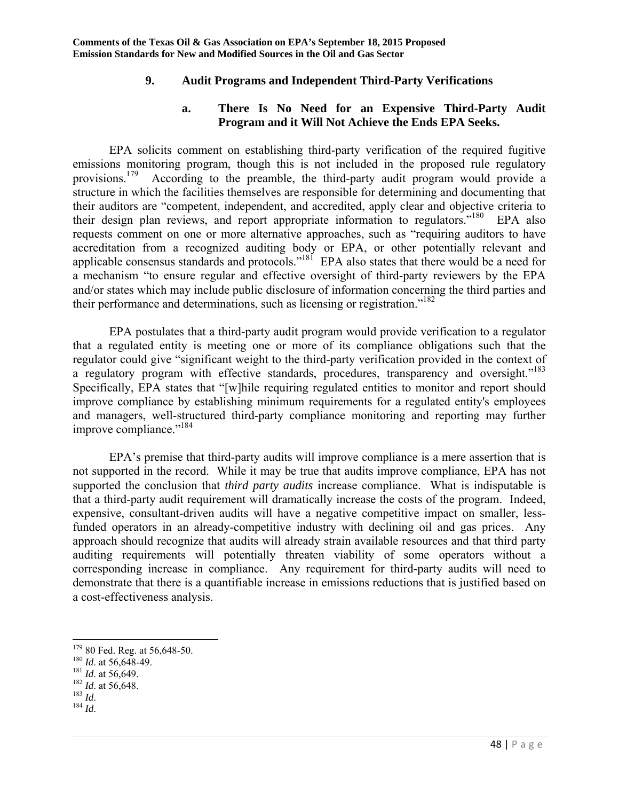## **9. Audit Programs and Independent Third-Party Verifications**

### **a. There Is No Need for an Expensive Third-Party Audit Program and it Will Not Achieve the Ends EPA Seeks.**

 EPA solicits comment on establishing third-party verification of the required fugitive emissions monitoring program, though this is not included in the proposed rule regulatory provisions.<sup>179</sup> According to the preamble, the third-party audit program would provide a structure in which the facilities themselves are responsible for determining and documenting that their auditors are "competent, independent, and accredited, apply clear and objective criteria to their design plan reviews, and report appropriate information to regulators.<sup>"180</sup> EPA also requests comment on one or more alternative approaches, such as "requiring auditors to have accreditation from a recognized auditing body or EPA, or other potentially relevant and applicable consensus standards and protocols."181 EPA also states that there would be a need for a mechanism "to ensure regular and effective oversight of third-party reviewers by the EPA and/or states which may include public disclosure of information concerning the third parties and their performance and determinations, such as licensing or registration.<sup> $182$ </sup>

 EPA postulates that a third-party audit program would provide verification to a regulator that a regulated entity is meeting one or more of its compliance obligations such that the regulator could give "significant weight to the third-party verification provided in the context of a regulatory program with effective standards, procedures, transparency and oversight."<sup>183</sup> Specifically, EPA states that "[w]hile requiring regulated entities to monitor and report should improve compliance by establishing minimum requirements for a regulated entity's employees and managers, well-structured third-party compliance monitoring and reporting may further improve compliance."<sup>184</sup>

 EPA's premise that third-party audits will improve compliance is a mere assertion that is not supported in the record. While it may be true that audits improve compliance, EPA has not supported the conclusion that *third party audits* increase compliance. What is indisputable is that a third-party audit requirement will dramatically increase the costs of the program. Indeed, expensive, consultant-driven audits will have a negative competitive impact on smaller, lessfunded operators in an already-competitive industry with declining oil and gas prices. Any approach should recognize that audits will already strain available resources and that third party auditing requirements will potentially threaten viability of some operators without a corresponding increase in compliance. Any requirement for third-party audits will need to demonstrate that there is a quantifiable increase in emissions reductions that is justified based on a cost-effectiveness analysis.

<sup>179 80</sup> Fed. Reg. at 56,648-50.<br>
<sup>180</sup> *Id.* at 56,648-49.<br>
<sup>181</sup> *Id.* at 56,649.<br>
<sup>182</sup> *Id.* at 56,648.<br>
<sup>183</sup> *Id.* 184 *Id.*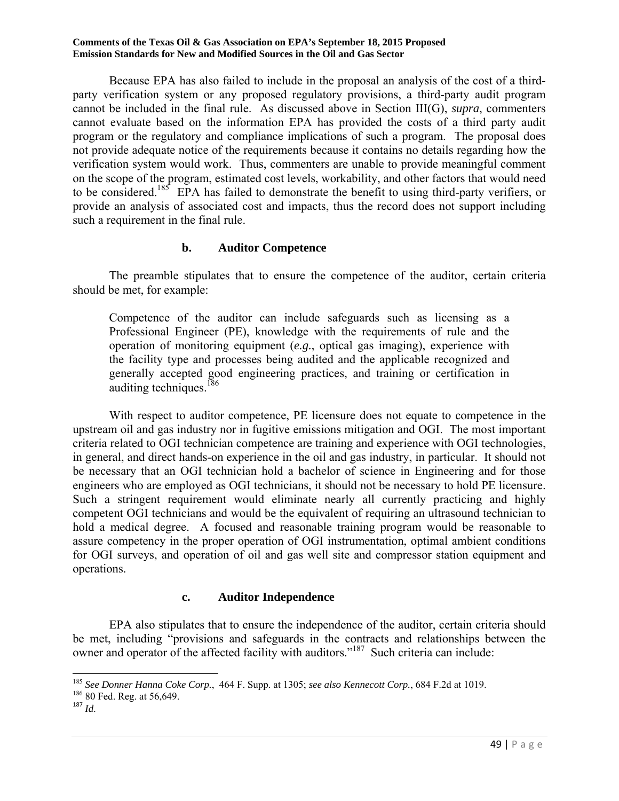Because EPA has also failed to include in the proposal an analysis of the cost of a thirdparty verification system or any proposed regulatory provisions, a third-party audit program cannot be included in the final rule. As discussed above in Section III(G), *supra*, commenters cannot evaluate based on the information EPA has provided the costs of a third party audit program or the regulatory and compliance implications of such a program. The proposal does not provide adequate notice of the requirements because it contains no details regarding how the verification system would work. Thus, commenters are unable to provide meaningful comment on the scope of the program, estimated cost levels, workability, and other factors that would need to be considered.<sup>185</sup> EPA has failed to demonstrate the benefit to using third-party verifiers, or provide an analysis of associated cost and impacts, thus the record does not support including such a requirement in the final rule.

### **b. Auditor Competence**

 The preamble stipulates that to ensure the competence of the auditor, certain criteria should be met, for example:

Competence of the auditor can include safeguards such as licensing as a Professional Engineer (PE), knowledge with the requirements of rule and the operation of monitoring equipment (*e.g.*, optical gas imaging), experience with the facility type and processes being audited and the applicable recognized and generally accepted good engineering practices, and training or certification in auditing techniques. $186$ 

 With respect to auditor competence, PE licensure does not equate to competence in the upstream oil and gas industry nor in fugitive emissions mitigation and OGI. The most important criteria related to OGI technician competence are training and experience with OGI technologies, in general, and direct hands-on experience in the oil and gas industry, in particular. It should not be necessary that an OGI technician hold a bachelor of science in Engineering and for those engineers who are employed as OGI technicians, it should not be necessary to hold PE licensure. Such a stringent requirement would eliminate nearly all currently practicing and highly competent OGI technicians and would be the equivalent of requiring an ultrasound technician to hold a medical degree. A focused and reasonable training program would be reasonable to assure competency in the proper operation of OGI instrumentation, optimal ambient conditions for OGI surveys, and operation of oil and gas well site and compressor station equipment and operations.

### **c. Auditor Independence**

 EPA also stipulates that to ensure the independence of the auditor, certain criteria should be met, including "provisions and safeguards in the contracts and relationships between the owner and operator of the affected facility with auditors."<sup>187</sup> Such criteria can include:

<sup>186</sup> 80 Fed. Reg. at 56,649.<br><sup>187</sup> *Id.* 

 $\overline{\phantom{a}}$ <sup>185</sup> *See Donner Hanna Coke Corp.*, 464 F. Supp. at 1305; *see also Kennecott Corp.*, 684 F.2d at 1019.<br><sup>186</sup> 80 Fed. Reg. at 56,649.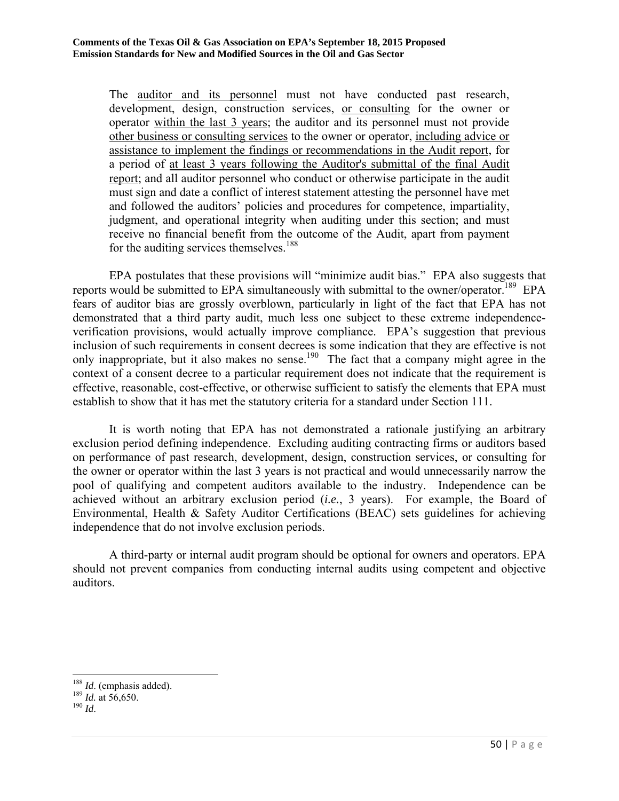The auditor and its personnel must not have conducted past research, development, design, construction services, or consulting for the owner or operator within the last 3 years; the auditor and its personnel must not provide other business or consulting services to the owner or operator, including advice or assistance to implement the findings or recommendations in the Audit report, for a period of at least 3 years following the Auditor's submittal of the final Audit report; and all auditor personnel who conduct or otherwise participate in the audit must sign and date a conflict of interest statement attesting the personnel have met and followed the auditors' policies and procedures for competence, impartiality, judgment, and operational integrity when auditing under this section; and must receive no financial benefit from the outcome of the Audit, apart from payment for the auditing services themselves.<sup>188</sup>

 EPA postulates that these provisions will "minimize audit bias." EPA also suggests that reports would be submitted to EPA simultaneously with submittal to the owner/operator.<sup>189</sup> EPA fears of auditor bias are grossly overblown, particularly in light of the fact that EPA has not demonstrated that a third party audit, much less one subject to these extreme independenceverification provisions, would actually improve compliance. EPA's suggestion that previous inclusion of such requirements in consent decrees is some indication that they are effective is not only inappropriate, but it also makes no sense.<sup>190</sup> The fact that a company might agree in the context of a consent decree to a particular requirement does not indicate that the requirement is effective, reasonable, cost-effective, or otherwise sufficient to satisfy the elements that EPA must establish to show that it has met the statutory criteria for a standard under Section 111.

 It is worth noting that EPA has not demonstrated a rationale justifying an arbitrary exclusion period defining independence. Excluding auditing contracting firms or auditors based on performance of past research, development, design, construction services, or consulting for the owner or operator within the last 3 years is not practical and would unnecessarily narrow the pool of qualifying and competent auditors available to the industry. Independence can be achieved without an arbitrary exclusion period (*i.e.*, 3 years). For example, the Board of Environmental, Health & Safety Auditor Certifications (BEAC) sets guidelines for achieving independence that do not involve exclusion periods.

 A third-party or internal audit program should be optional for owners and operators. EPA should not prevent companies from conducting internal audits using competent and objective auditors.

 $\overline{\phantom{a}}$ <sup>188</sup> *Id*. (emphasis added). 189 *Id.* at 56,650. 190 *Id*.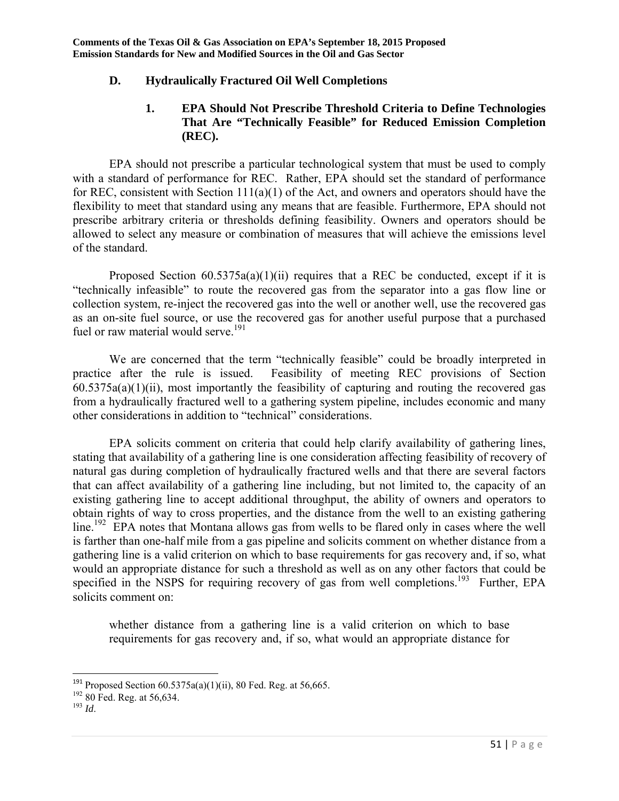## **D. Hydraulically Fractured Oil Well Completions**

## **1. EPA Should Not Prescribe Threshold Criteria to Define Technologies That Are "Technically Feasible" for Reduced Emission Completion (REC).**

 EPA should not prescribe a particular technological system that must be used to comply with a standard of performance for REC. Rather, EPA should set the standard of performance for REC, consistent with Section 111(a)(1) of the Act, and owners and operators should have the flexibility to meet that standard using any means that are feasible. Furthermore, EPA should not prescribe arbitrary criteria or thresholds defining feasibility. Owners and operators should be allowed to select any measure or combination of measures that will achieve the emissions level of the standard.

Proposed Section  $60.5375a(a)(1)(ii)$  requires that a REC be conducted, except if it is "technically infeasible" to route the recovered gas from the separator into a gas flow line or collection system, re-inject the recovered gas into the well or another well, use the recovered gas as an on-site fuel source, or use the recovered gas for another useful purpose that a purchased fuel or raw material would serve.<sup>191</sup>

 We are concerned that the term "technically feasible" could be broadly interpreted in practice after the rule is issued. Feasibility of meeting REC provisions of Section  $60.5375a(a)(1)(ii)$ , most importantly the feasibility of capturing and routing the recovered gas from a hydraulically fractured well to a gathering system pipeline, includes economic and many other considerations in addition to "technical" considerations.

 EPA solicits comment on criteria that could help clarify availability of gathering lines, stating that availability of a gathering line is one consideration affecting feasibility of recovery of natural gas during completion of hydraulically fractured wells and that there are several factors that can affect availability of a gathering line including, but not limited to, the capacity of an existing gathering line to accept additional throughput, the ability of owners and operators to obtain rights of way to cross properties, and the distance from the well to an existing gathering  $\lim_{n \to \infty}$  EPA notes that Montana allows gas from wells to be flared only in cases where the well is farther than one-half mile from a gas pipeline and solicits comment on whether distance from a gathering line is a valid criterion on which to base requirements for gas recovery and, if so, what would an appropriate distance for such a threshold as well as on any other factors that could be specified in the NSPS for requiring recovery of gas from well completions.<sup>193</sup> Further, EPA solicits comment on:

whether distance from a gathering line is a valid criterion on which to base requirements for gas recovery and, if so, what would an appropriate distance for

<sup>&</sup>lt;sup>191</sup> Proposed Section  $60.5375a(a)(1)(ii)$ , 80 Fed. Reg. at 56,665.

<sup>192 80</sup> Fed. Reg. at 56,634. 193 *Id*.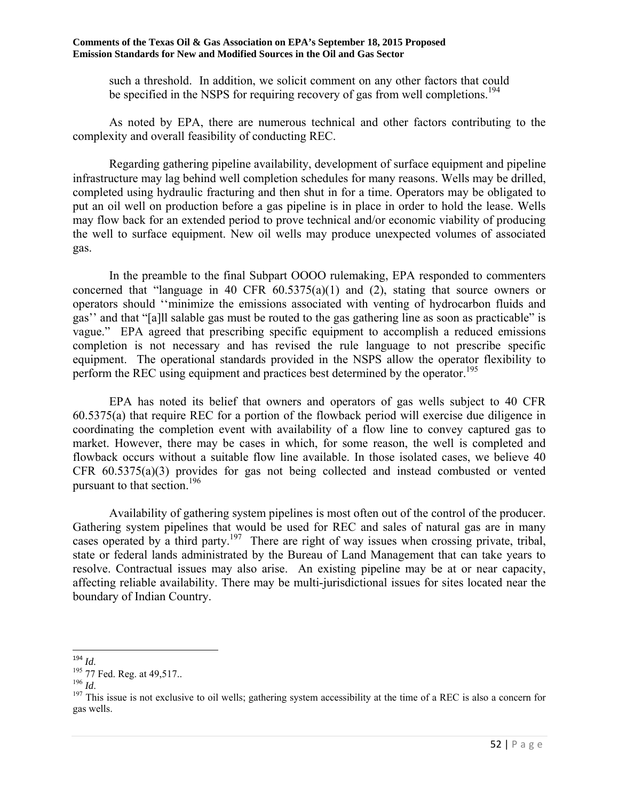such a threshold. In addition, we solicit comment on any other factors that could be specified in the NSPS for requiring recovery of gas from well completions.<sup>194</sup>

 As noted by EPA, there are numerous technical and other factors contributing to the complexity and overall feasibility of conducting REC.

 Regarding gathering pipeline availability, development of surface equipment and pipeline infrastructure may lag behind well completion schedules for many reasons. Wells may be drilled, completed using hydraulic fracturing and then shut in for a time. Operators may be obligated to put an oil well on production before a gas pipeline is in place in order to hold the lease. Wells may flow back for an extended period to prove technical and/or economic viability of producing the well to surface equipment. New oil wells may produce unexpected volumes of associated gas.

 In the preamble to the final Subpart OOOO rulemaking, EPA responded to commenters concerned that "language in 40 CFR  $60.5375(a)(1)$  and (2), stating that source owners or operators should ''minimize the emissions associated with venting of hydrocarbon fluids and gas'' and that "[a]ll salable gas must be routed to the gas gathering line as soon as practicable" is vague." EPA agreed that prescribing specific equipment to accomplish a reduced emissions completion is not necessary and has revised the rule language to not prescribe specific equipment. The operational standards provided in the NSPS allow the operator flexibility to perform the REC using equipment and practices best determined by the operator.<sup>195</sup>

 EPA has noted its belief that owners and operators of gas wells subject to 40 CFR 60.5375(a) that require REC for a portion of the flowback period will exercise due diligence in coordinating the completion event with availability of a flow line to convey captured gas to market. However, there may be cases in which, for some reason, the well is completed and flowback occurs without a suitable flow line available. In those isolated cases, we believe 40 CFR 60.5375(a)(3) provides for gas not being collected and instead combusted or vented pursuant to that section.<sup>196</sup>

 Availability of gathering system pipelines is most often out of the control of the producer. Gathering system pipelines that would be used for REC and sales of natural gas are in many cases operated by a third party.<sup>197</sup> There are right of way issues when crossing private, tribal, state or federal lands administrated by the Bureau of Land Management that can take years to resolve. Contractual issues may also arise. An existing pipeline may be at or near capacity, affecting reliable availability. There may be multi-jurisdictional issues for sites located near the boundary of Indian Country.

 $\overline{\phantom{a}}$ <sup>194</sup> *Id*.

<sup>&</sup>lt;sup>195</sup> 77 Fed. Reg. at 49,517..<br><sup>196</sup> *Id*. <sup>197</sup> This issue is not exclusive to oil wells; gathering system accessibility at the time of a REC is also a concern for gas wells.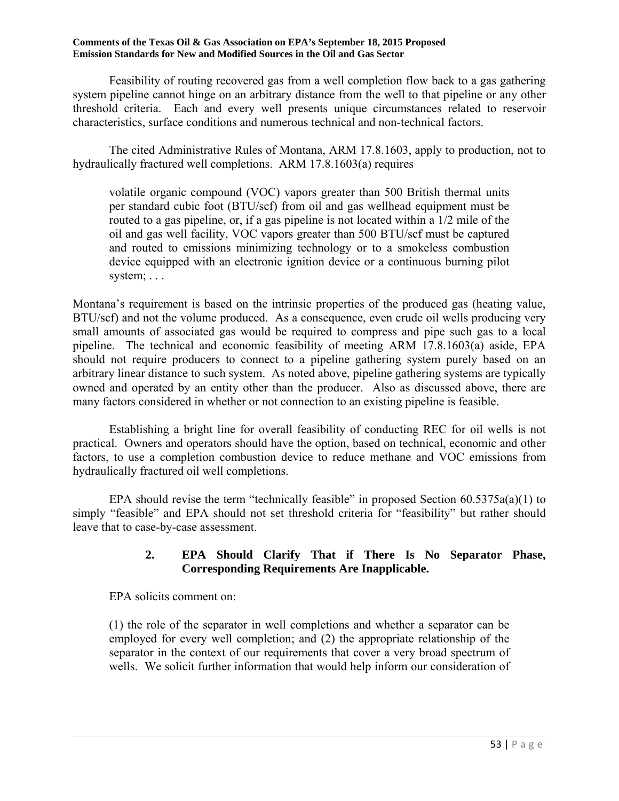Feasibility of routing recovered gas from a well completion flow back to a gas gathering system pipeline cannot hinge on an arbitrary distance from the well to that pipeline or any other threshold criteria. Each and every well presents unique circumstances related to reservoir characteristics, surface conditions and numerous technical and non-technical factors.

 The cited Administrative Rules of Montana, ARM 17.8.1603, apply to production, not to hydraulically fractured well completions. ARM 17.8.1603(a) requires

volatile organic compound (VOC) vapors greater than 500 British thermal units per standard cubic foot (BTU/scf) from oil and gas wellhead equipment must be routed to a gas pipeline, or, if a gas pipeline is not located within a 1/2 mile of the oil and gas well facility, VOC vapors greater than 500 BTU/scf must be captured and routed to emissions minimizing technology or to a smokeless combustion device equipped with an electronic ignition device or a continuous burning pilot system; . . .

Montana's requirement is based on the intrinsic properties of the produced gas (heating value, BTU/scf) and not the volume produced. As a consequence, even crude oil wells producing very small amounts of associated gas would be required to compress and pipe such gas to a local pipeline. The technical and economic feasibility of meeting ARM 17.8.1603(a) aside, EPA should not require producers to connect to a pipeline gathering system purely based on an arbitrary linear distance to such system. As noted above, pipeline gathering systems are typically owned and operated by an entity other than the producer. Also as discussed above, there are many factors considered in whether or not connection to an existing pipeline is feasible.

 Establishing a bright line for overall feasibility of conducting REC for oil wells is not practical. Owners and operators should have the option, based on technical, economic and other factors, to use a completion combustion device to reduce methane and VOC emissions from hydraulically fractured oil well completions.

EPA should revise the term "technically feasible" in proposed Section  $60.5375a(a)(1)$  to simply "feasible" and EPA should not set threshold criteria for "feasibility" but rather should leave that to case-by-case assessment.

## **2. EPA Should Clarify That if There Is No Separator Phase, Corresponding Requirements Are Inapplicable.**

EPA solicits comment on:

(1) the role of the separator in well completions and whether a separator can be employed for every well completion; and (2) the appropriate relationship of the separator in the context of our requirements that cover a very broad spectrum of wells. We solicit further information that would help inform our consideration of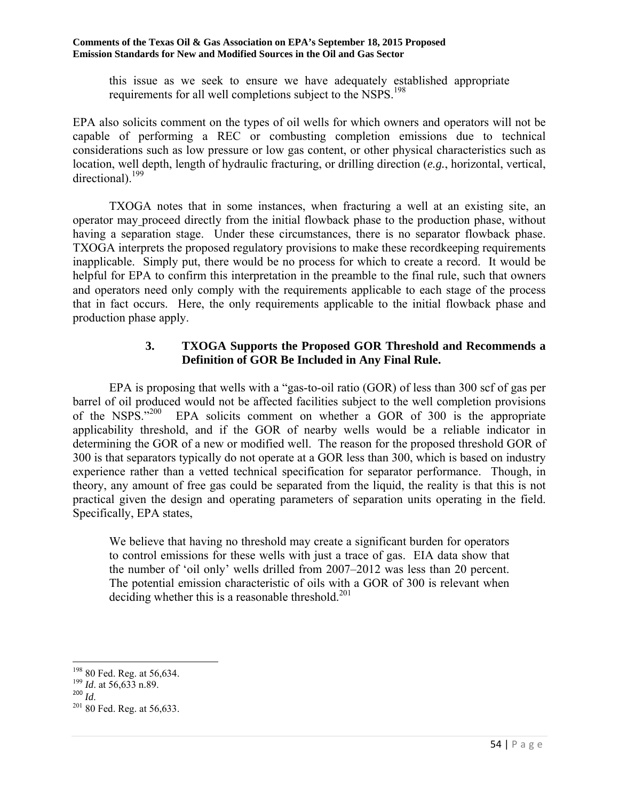this issue as we seek to ensure we have adequately established appropriate requirements for all well completions subject to the NSPS.<sup>198</sup>

EPA also solicits comment on the types of oil wells for which owners and operators will not be capable of performing a REC or combusting completion emissions due to technical considerations such as low pressure or low gas content, or other physical characteristics such as location, well depth, length of hydraulic fracturing, or drilling direction (*e.g.*, horizontal, vertical, directional).<sup>199</sup>

 TXOGA notes that in some instances, when fracturing a well at an existing site, an operator may proceed directly from the initial flowback phase to the production phase, without having a separation stage. Under these circumstances, there is no separator flowback phase. TXOGA interprets the proposed regulatory provisions to make these recordkeeping requirements inapplicable. Simply put, there would be no process for which to create a record. It would be helpful for EPA to confirm this interpretation in the preamble to the final rule, such that owners and operators need only comply with the requirements applicable to each stage of the process that in fact occurs. Here, the only requirements applicable to the initial flowback phase and production phase apply.

## **3. TXOGA Supports the Proposed GOR Threshold and Recommends a Definition of GOR Be Included in Any Final Rule.**

 EPA is proposing that wells with a "gas-to-oil ratio (GOR) of less than 300 scf of gas per barrel of oil produced would not be affected facilities subject to the well completion provisions of the NSPS. $1200$  EPA solicits comment on whether a GOR of 300 is the appropriate applicability threshold, and if the GOR of nearby wells would be a reliable indicator in determining the GOR of a new or modified well. The reason for the proposed threshold GOR of 300 is that separators typically do not operate at a GOR less than 300, which is based on industry experience rather than a vetted technical specification for separator performance. Though, in theory, any amount of free gas could be separated from the liquid, the reality is that this is not practical given the design and operating parameters of separation units operating in the field. Specifically, EPA states,

We believe that having no threshold may create a significant burden for operators to control emissions for these wells with just a trace of gas. EIA data show that the number of 'oil only' wells drilled from 2007–2012 was less than 20 percent. The potential emission characteristic of oils with a GOR of 300 is relevant when deciding whether this is a reasonable threshold. $201$ 

<sup>&</sup>lt;sup>198</sup> 80 Fed. Reg. at 56,634.

<sup>&</sup>lt;sup>199</sup> *Id.* at 56,633 n.89.

<sup>200</sup> *Id*.

 $201$  80 Fed. Reg. at 56,633.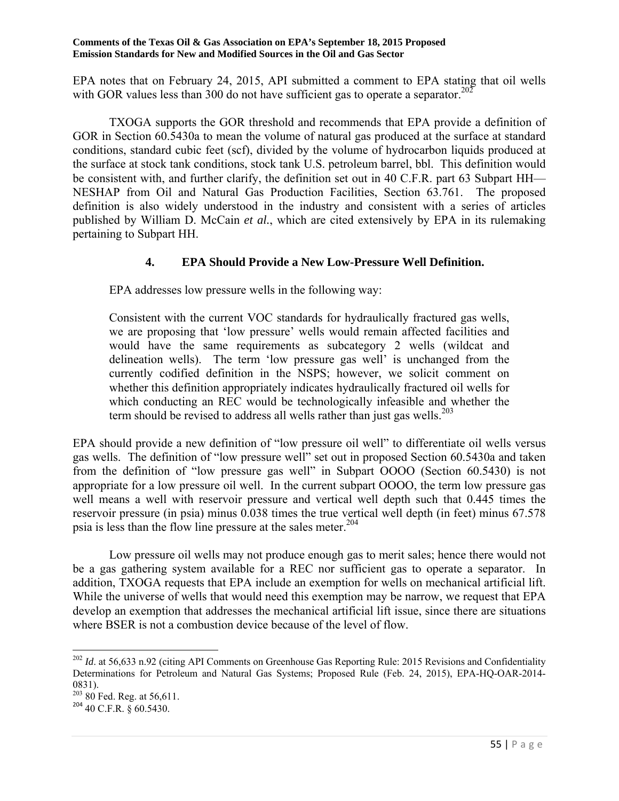EPA notes that on February 24, 2015, API submitted a comment to EPA stating that oil wells with GOR values less than 300 do not have sufficient gas to operate a separator.<sup>202</sup>

 TXOGA supports the GOR threshold and recommends that EPA provide a definition of GOR in Section 60.5430a to mean the volume of natural gas produced at the surface at standard conditions, standard cubic feet (scf), divided by the volume of hydrocarbon liquids produced at the surface at stock tank conditions, stock tank U.S. petroleum barrel, bbl. This definition would be consistent with, and further clarify, the definition set out in 40 C.F.R. part 63 Subpart HH— NESHAP from Oil and Natural Gas Production Facilities, Section 63.761. The proposed definition is also widely understood in the industry and consistent with a series of articles published by William D. McCain *et al.*, which are cited extensively by EPA in its rulemaking pertaining to Subpart HH.

## **4. EPA Should Provide a New Low-Pressure Well Definition.**

EPA addresses low pressure wells in the following way:

Consistent with the current VOC standards for hydraulically fractured gas wells, we are proposing that 'low pressure' wells would remain affected facilities and would have the same requirements as subcategory 2 wells (wildcat and delineation wells). The term 'low pressure gas well' is unchanged from the currently codified definition in the NSPS; however, we solicit comment on whether this definition appropriately indicates hydraulically fractured oil wells for which conducting an REC would be technologically infeasible and whether the term should be revised to address all wells rather than just gas wells.<sup>203</sup>

EPA should provide a new definition of "low pressure oil well" to differentiate oil wells versus gas wells. The definition of "low pressure well" set out in proposed Section 60.5430a and taken from the definition of "low pressure gas well" in Subpart OOOO (Section 60.5430) is not appropriate for a low pressure oil well. In the current subpart OOOO, the term low pressure gas well means a well with reservoir pressure and vertical well depth such that 0.445 times the reservoir pressure (in psia) minus 0.038 times the true vertical well depth (in feet) minus 67.578 psia is less than the flow line pressure at the sales meter.<sup>204</sup>

 Low pressure oil wells may not produce enough gas to merit sales; hence there would not be a gas gathering system available for a REC nor sufficient gas to operate a separator. In addition, TXOGA requests that EPA include an exemption for wells on mechanical artificial lift. While the universe of wells that would need this exemption may be narrow, we request that EPA develop an exemption that addresses the mechanical artificial lift issue, since there are situations where BSER is not a combustion device because of the level of flow.

<sup>&</sup>lt;sup>202</sup> *Id.* at 56,633 n.92 (citing API Comments on Greenhouse Gas Reporting Rule: 2015 Revisions and Confidentiality Determinations for Petroleum and Natural Gas Systems; Proposed Rule (Feb. 24, 2015), EPA-HQ-OAR-2014- 0831).

 $20380$  Fed. Reg. at 56,611.

<sup>204</sup> 40 C.F.R. § 60.5430.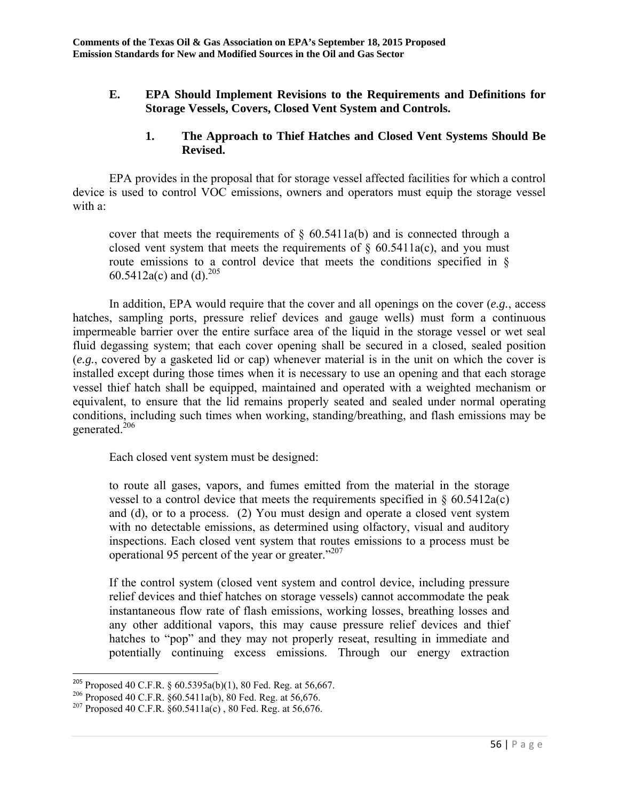## **E. EPA Should Implement Revisions to the Requirements and Definitions for Storage Vessels, Covers, Closed Vent System and Controls.**

### **1. The Approach to Thief Hatches and Closed Vent Systems Should Be Revised.**

 EPA provides in the proposal that for storage vessel affected facilities for which a control device is used to control VOC emissions, owners and operators must equip the storage vessel with a:

cover that meets the requirements of  $\S$  60.5411a(b) and is connected through a closed vent system that meets the requirements of  $\S$  60.5411a(c), and you must route emissions to a control device that meets the conditions specified in § 60.5412a(c) and (d).<sup>205</sup>

 In addition, EPA would require that the cover and all openings on the cover (*e.g.*, access hatches, sampling ports, pressure relief devices and gauge wells) must form a continuous impermeable barrier over the entire surface area of the liquid in the storage vessel or wet seal fluid degassing system; that each cover opening shall be secured in a closed, sealed position (*e.g.*, covered by a gasketed lid or cap) whenever material is in the unit on which the cover is installed except during those times when it is necessary to use an opening and that each storage vessel thief hatch shall be equipped, maintained and operated with a weighted mechanism or equivalent, to ensure that the lid remains properly seated and sealed under normal operating conditions, including such times when working, standing/breathing, and flash emissions may be generated.206

Each closed vent system must be designed:

to route all gases, vapors, and fumes emitted from the material in the storage vessel to a control device that meets the requirements specified in  $\S$  60.5412a(c) and (d), or to a process. (2) You must design and operate a closed vent system with no detectable emissions, as determined using olfactory, visual and auditory inspections. Each closed vent system that routes emissions to a process must be operational 95 percent of the year or greater."207

If the control system (closed vent system and control device, including pressure relief devices and thief hatches on storage vessels) cannot accommodate the peak instantaneous flow rate of flash emissions, working losses, breathing losses and any other additional vapors, this may cause pressure relief devices and thief hatches to "pop" and they may not properly reseat, resulting in immediate and potentially continuing excess emissions. Through our energy extraction

<sup>&</sup>lt;sup>205</sup> Proposed 40 C.F.R. § 60.5395a(b)(1), 80 Fed. Reg. at 56,667.

<sup>&</sup>lt;sup>206</sup> Proposed 40 C.F.R.  $\S 60.5411a(b)$ , 80 Fed. Reg. at 56,676.<br><sup>207</sup> Proposed 40 C.F.R.  $\S 60.5411a(c)$ , 80 Fed. Reg. at 56,676.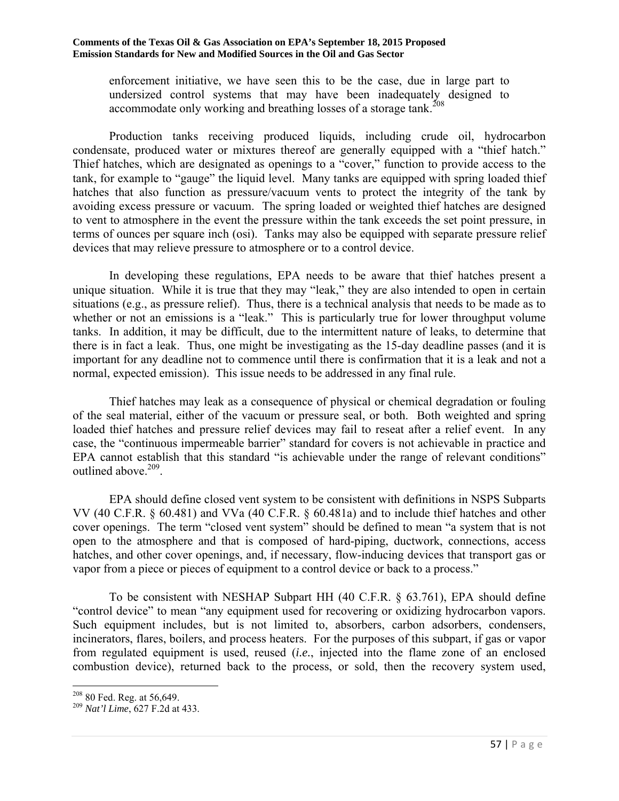enforcement initiative, we have seen this to be the case, due in large part to undersized control systems that may have been inadequately designed to accommodate only working and breathing losses of a storage tank.<sup>208</sup>

 Production tanks receiving produced liquids, including crude oil, hydrocarbon condensate, produced water or mixtures thereof are generally equipped with a "thief hatch." Thief hatches, which are designated as openings to a "cover," function to provide access to the tank, for example to "gauge" the liquid level. Many tanks are equipped with spring loaded thief hatches that also function as pressure/vacuum vents to protect the integrity of the tank by avoiding excess pressure or vacuum. The spring loaded or weighted thief hatches are designed to vent to atmosphere in the event the pressure within the tank exceeds the set point pressure, in terms of ounces per square inch (osi). Tanks may also be equipped with separate pressure relief devices that may relieve pressure to atmosphere or to a control device.

 In developing these regulations, EPA needs to be aware that thief hatches present a unique situation. While it is true that they may "leak," they are also intended to open in certain situations (e.g., as pressure relief). Thus, there is a technical analysis that needs to be made as to whether or not an emissions is a "leak." This is particularly true for lower throughput volume tanks. In addition, it may be difficult, due to the intermittent nature of leaks, to determine that there is in fact a leak. Thus, one might be investigating as the 15-day deadline passes (and it is important for any deadline not to commence until there is confirmation that it is a leak and not a normal, expected emission). This issue needs to be addressed in any final rule.

 Thief hatches may leak as a consequence of physical or chemical degradation or fouling of the seal material, either of the vacuum or pressure seal, or both. Both weighted and spring loaded thief hatches and pressure relief devices may fail to reseat after a relief event. In any case, the "continuous impermeable barrier" standard for covers is not achievable in practice and EPA cannot establish that this standard "is achievable under the range of relevant conditions" outlined above.<sup>209</sup>.

 EPA should define closed vent system to be consistent with definitions in NSPS Subparts VV (40 C.F.R. § 60.481) and VVa (40 C.F.R. § 60.481a) and to include thief hatches and other cover openings. The term "closed vent system" should be defined to mean "a system that is not open to the atmosphere and that is composed of hard-piping, ductwork, connections, access hatches, and other cover openings, and, if necessary, flow-inducing devices that transport gas or vapor from a piece or pieces of equipment to a control device or back to a process."

 To be consistent with NESHAP Subpart HH (40 C.F.R. § 63.761), EPA should define "control device" to mean "any equipment used for recovering or oxidizing hydrocarbon vapors. Such equipment includes, but is not limited to, absorbers, carbon adsorbers, condensers, incinerators, flares, boilers, and process heaters. For the purposes of this subpart, if gas or vapor from regulated equipment is used, reused (*i.e.*, injected into the flame zone of an enclosed combustion device), returned back to the process, or sold, then the recovery system used,

 $\overline{a}$ 

<sup>208 80</sup> Fed. Reg. at 56,649. 209 *Nat'l Lime*, 627 F.2d at 433.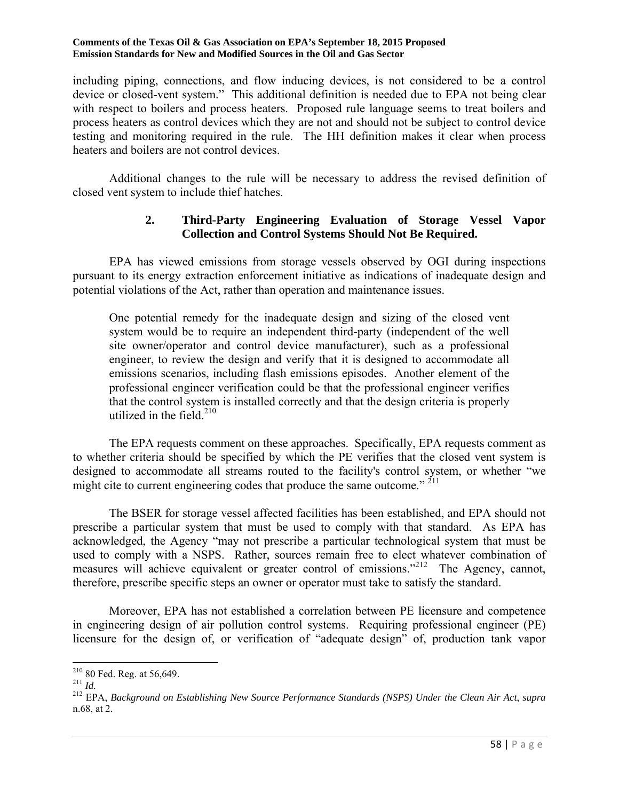including piping, connections, and flow inducing devices, is not considered to be a control device or closed-vent system." This additional definition is needed due to EPA not being clear with respect to boilers and process heaters. Proposed rule language seems to treat boilers and process heaters as control devices which they are not and should not be subject to control device testing and monitoring required in the rule. The HH definition makes it clear when process heaters and boilers are not control devices.

 Additional changes to the rule will be necessary to address the revised definition of closed vent system to include thief hatches.

## **2. Third-Party Engineering Evaluation of Storage Vessel Vapor Collection and Control Systems Should Not Be Required.**

 EPA has viewed emissions from storage vessels observed by OGI during inspections pursuant to its energy extraction enforcement initiative as indications of inadequate design and potential violations of the Act, rather than operation and maintenance issues.

One potential remedy for the inadequate design and sizing of the closed vent system would be to require an independent third-party (independent of the well site owner/operator and control device manufacturer), such as a professional engineer, to review the design and verify that it is designed to accommodate all emissions scenarios, including flash emissions episodes. Another element of the professional engineer verification could be that the professional engineer verifies that the control system is installed correctly and that the design criteria is properly utilized in the field. $210$ 

 The EPA requests comment on these approaches. Specifically, EPA requests comment as to whether criteria should be specified by which the PE verifies that the closed vent system is designed to accommodate all streams routed to the facility's control system, or whether "we might cite to current engineering codes that produce the same outcome."  $^{211}$ 

 The BSER for storage vessel affected facilities has been established, and EPA should not prescribe a particular system that must be used to comply with that standard. As EPA has acknowledged, the Agency "may not prescribe a particular technological system that must be used to comply with a NSPS. Rather, sources remain free to elect whatever combination of measures will achieve equivalent or greater control of emissions."<sup>212</sup> The Agency, cannot, therefore, prescribe specific steps an owner or operator must take to satisfy the standard.

 Moreover, EPA has not established a correlation between PE licensure and competence in engineering design of air pollution control systems. Requiring professional engineer (PE) licensure for the design of, or verification of "adequate design" of, production tank vapor

 $210$  80 Fed. Reg. at 56,649.

<sup>210 80</sup> Fed. Reg. at 56,649. 211 *Id.* 212 EPA, *Background on Establishing New Source Performance Standards (NSPS) Under the Clean Air Act*, *supra* n.68, at 2.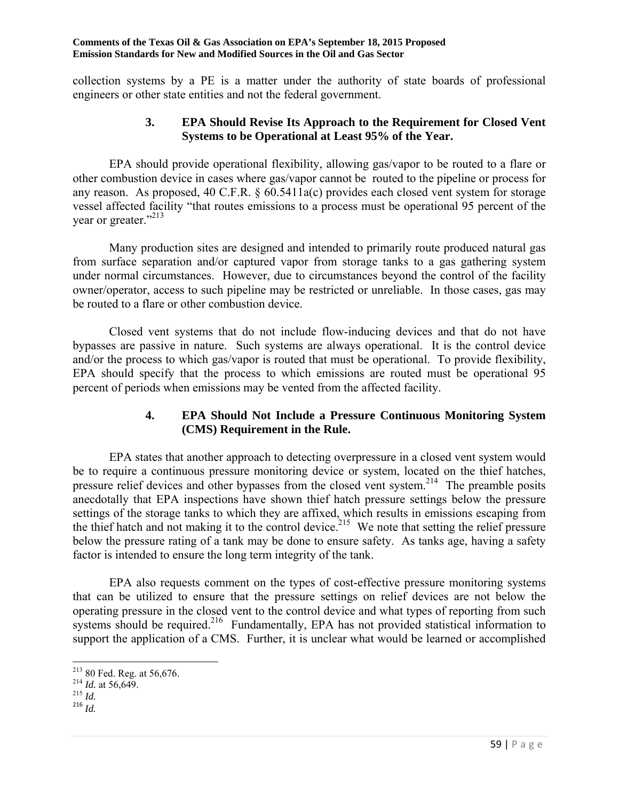collection systems by a PE is a matter under the authority of state boards of professional engineers or other state entities and not the federal government.

### **3. EPA Should Revise Its Approach to the Requirement for Closed Vent Systems to be Operational at Least 95% of the Year.**

 EPA should provide operational flexibility, allowing gas/vapor to be routed to a flare or other combustion device in cases where gas/vapor cannot be routed to the pipeline or process for any reason. As proposed, 40 C.F.R. § 60.5411a(c) provides each closed vent system for storage vessel affected facility "that routes emissions to a process must be operational 95 percent of the year or greater."<sup>213</sup>

 Many production sites are designed and intended to primarily route produced natural gas from surface separation and/or captured vapor from storage tanks to a gas gathering system under normal circumstances. However, due to circumstances beyond the control of the facility owner/operator, access to such pipeline may be restricted or unreliable. In those cases, gas may be routed to a flare or other combustion device.

 Closed vent systems that do not include flow-inducing devices and that do not have bypasses are passive in nature. Such systems are always operational. It is the control device and/or the process to which gas/vapor is routed that must be operational. To provide flexibility, EPA should specify that the process to which emissions are routed must be operational 95 percent of periods when emissions may be vented from the affected facility.

## **4. EPA Should Not Include a Pressure Continuous Monitoring System (CMS) Requirement in the Rule.**

 EPA states that another approach to detecting overpressure in a closed vent system would be to require a continuous pressure monitoring device or system, located on the thief hatches, pressure relief devices and other bypasses from the closed vent system.<sup>214</sup> The preamble posits anecdotally that EPA inspections have shown thief hatch pressure settings below the pressure settings of the storage tanks to which they are affixed, which results in emissions escaping from the thief hatch and not making it to the control device.<sup>215</sup> We note that setting the relief pressure below the pressure rating of a tank may be done to ensure safety. As tanks age, having a safety factor is intended to ensure the long term integrity of the tank.

 EPA also requests comment on the types of cost-effective pressure monitoring systems that can be utilized to ensure that the pressure settings on relief devices are not below the operating pressure in the closed vent to the control device and what types of reporting from such systems should be required.<sup>216</sup> Fundamentally, EPA has not provided statistical information to support the application of a CMS. Further, it is unclear what would be learned or accomplished

<sup>213 80</sup> Fed. Reg. at 56,676. 214 *Id.* at 56,649. 215 *Id.*

<sup>216</sup> *Id.*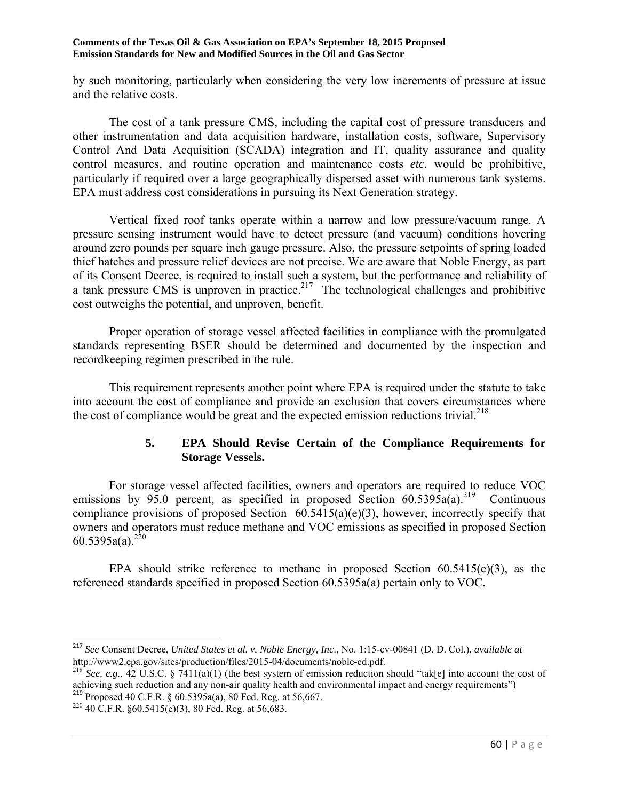by such monitoring, particularly when considering the very low increments of pressure at issue and the relative costs.

 The cost of a tank pressure CMS, including the capital cost of pressure transducers and other instrumentation and data acquisition hardware, installation costs, software, Supervisory Control And Data Acquisition (SCADA) integration and IT, quality assurance and quality control measures, and routine operation and maintenance costs *etc.* would be prohibitive, particularly if required over a large geographically dispersed asset with numerous tank systems. EPA must address cost considerations in pursuing its Next Generation strategy.

 Vertical fixed roof tanks operate within a narrow and low pressure/vacuum range. A pressure sensing instrument would have to detect pressure (and vacuum) conditions hovering around zero pounds per square inch gauge pressure. Also, the pressure setpoints of spring loaded thief hatches and pressure relief devices are not precise. We are aware that Noble Energy, as part of its Consent Decree, is required to install such a system, but the performance and reliability of a tank pressure CMS is unproven in practice.<sup>217</sup> The technological challenges and prohibitive cost outweighs the potential, and unproven, benefit.

 Proper operation of storage vessel affected facilities in compliance with the promulgated standards representing BSER should be determined and documented by the inspection and recordkeeping regimen prescribed in the rule.

 This requirement represents another point where EPA is required under the statute to take into account the cost of compliance and provide an exclusion that covers circumstances where the cost of compliance would be great and the expected emission reductions trivial.<sup>218</sup>

## **5. EPA Should Revise Certain of the Compliance Requirements for Storage Vessels.**

 For storage vessel affected facilities, owners and operators are required to reduce VOC emissions by 95.0 percent, as specified in proposed Section  $60.5395a(a)^{219}$  Continuous compliance provisions of proposed Section 60.5415(a)(e)(3), however, incorrectly specify that owners and operators must reduce methane and VOC emissions as specified in proposed Section  $60.5395a(a)^{220}$ 

EPA should strike reference to methane in proposed Section  $60.5415(e)(3)$ , as the referenced standards specified in proposed Section 60.5395a(a) pertain only to VOC.

<sup>217</sup> *See* Consent Decree, *United States et al. v. Noble Energy, Inc*., No. 1:15-cv-00841 (D. D. Col.), *available at* http://www2.epa.gov/sites/production/files/2015-04/documents/noble-cd.pdf.<br><sup>218</sup> *See, e.g.*, 42 U.S.C. § 7411(a)(1) (the best system of emission reduction should "tak[e] into account the cost of

achieving such reduction and any non-air quality health and environmental impact and energy requirements") <sup>219</sup> Proposed 40 C.F.R. § 60.5395a(a), 80 Fed. Reg. at 56,667.

<sup>&</sup>lt;sup>220</sup> 40 C.F.R.  $§60.5415(e)(3)$ , 80 Fed. Reg. at 56,683.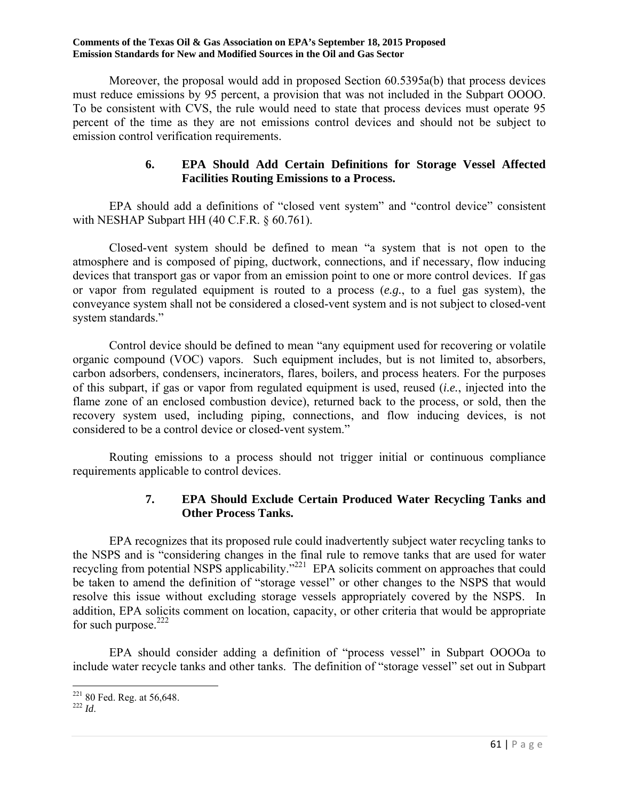Moreover, the proposal would add in proposed Section 60.5395a(b) that process devices must reduce emissions by 95 percent, a provision that was not included in the Subpart OOOO. To be consistent with CVS, the rule would need to state that process devices must operate 95 percent of the time as they are not emissions control devices and should not be subject to emission control verification requirements.

## **6. EPA Should Add Certain Definitions for Storage Vessel Affected Facilities Routing Emissions to a Process.**

 EPA should add a definitions of "closed vent system" and "control device" consistent with NESHAP Subpart HH (40 C.F.R. § 60.761).

 Closed-vent system should be defined to mean "a system that is not open to the atmosphere and is composed of piping, ductwork, connections, and if necessary, flow inducing devices that transport gas or vapor from an emission point to one or more control devices. If gas or vapor from regulated equipment is routed to a process (*e.g.*, to a fuel gas system), the conveyance system shall not be considered a closed-vent system and is not subject to closed-vent system standards."

 Control device should be defined to mean "any equipment used for recovering or volatile organic compound (VOC) vapors. Such equipment includes, but is not limited to, absorbers, carbon adsorbers, condensers, incinerators, flares, boilers, and process heaters. For the purposes of this subpart, if gas or vapor from regulated equipment is used, reused (*i.e.*, injected into the flame zone of an enclosed combustion device), returned back to the process, or sold, then the recovery system used, including piping, connections, and flow inducing devices, is not considered to be a control device or closed-vent system."

 Routing emissions to a process should not trigger initial or continuous compliance requirements applicable to control devices.

## **7. EPA Should Exclude Certain Produced Water Recycling Tanks and Other Process Tanks.**

 EPA recognizes that its proposed rule could inadvertently subject water recycling tanks to the NSPS and is "considering changes in the final rule to remove tanks that are used for water recycling from potential NSPS applicability."<sup>221</sup> EPA solicits comment on approaches that could be taken to amend the definition of "storage vessel" or other changes to the NSPS that would resolve this issue without excluding storage vessels appropriately covered by the NSPS. In addition, EPA solicits comment on location, capacity, or other criteria that would be appropriate for such purpose. $222$ 

 EPA should consider adding a definition of "process vessel" in Subpart OOOOa to include water recycle tanks and other tanks. The definition of "storage vessel" set out in Subpart

 $\overline{a}$ 221 80 Fed. Reg. at 56,648. 222 *Id*.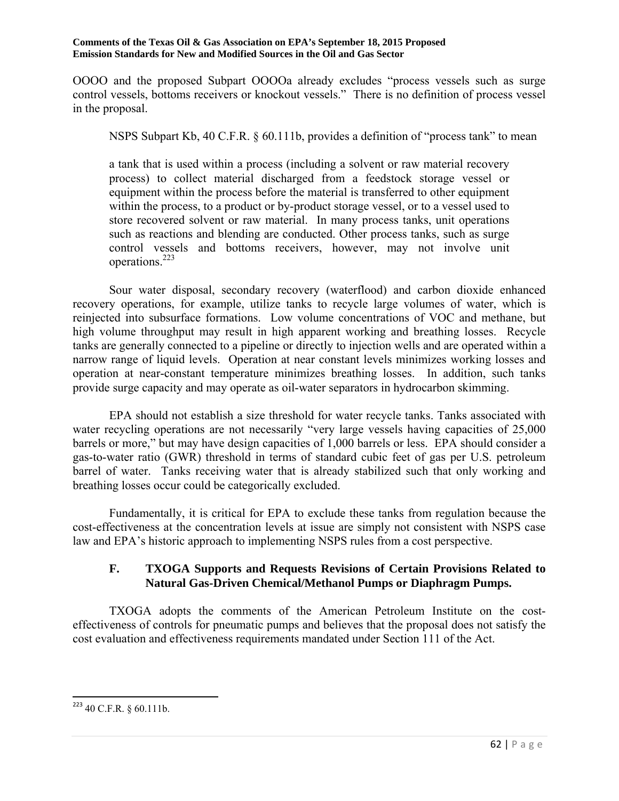OOOO and the proposed Subpart OOOOa already excludes "process vessels such as surge control vessels, bottoms receivers or knockout vessels." There is no definition of process vessel in the proposal.

NSPS Subpart Kb, 40 C.F.R. § 60.111b, provides a definition of "process tank" to mean

a tank that is used within a process (including a solvent or raw material recovery process) to collect material discharged from a feedstock storage vessel or equipment within the process before the material is transferred to other equipment within the process, to a product or by-product storage vessel, or to a vessel used to store recovered solvent or raw material. In many process tanks, unit operations such as reactions and blending are conducted. Other process tanks, such as surge control vessels and bottoms receivers, however, may not involve unit operations.223

 Sour water disposal, secondary recovery (waterflood) and carbon dioxide enhanced recovery operations, for example, utilize tanks to recycle large volumes of water, which is reinjected into subsurface formations. Low volume concentrations of VOC and methane, but high volume throughput may result in high apparent working and breathing losses. Recycle tanks are generally connected to a pipeline or directly to injection wells and are operated within a narrow range of liquid levels. Operation at near constant levels minimizes working losses and operation at near-constant temperature minimizes breathing losses. In addition, such tanks provide surge capacity and may operate as oil-water separators in hydrocarbon skimming.

 EPA should not establish a size threshold for water recycle tanks. Tanks associated with water recycling operations are not necessarily "very large vessels having capacities of 25,000 barrels or more," but may have design capacities of 1,000 barrels or less. EPA should consider a gas-to-water ratio (GWR) threshold in terms of standard cubic feet of gas per U.S. petroleum barrel of water. Tanks receiving water that is already stabilized such that only working and breathing losses occur could be categorically excluded.

 Fundamentally, it is critical for EPA to exclude these tanks from regulation because the cost-effectiveness at the concentration levels at issue are simply not consistent with NSPS case law and EPA's historic approach to implementing NSPS rules from a cost perspective.

## **F. TXOGA Supports and Requests Revisions of Certain Provisions Related to Natural Gas-Driven Chemical/Methanol Pumps or Diaphragm Pumps.**

 TXOGA adopts the comments of the American Petroleum Institute on the costeffectiveness of controls for pneumatic pumps and believes that the proposal does not satisfy the cost evaluation and effectiveness requirements mandated under Section 111 of the Act.

 $223$  40 C.F.R. § 60.111b.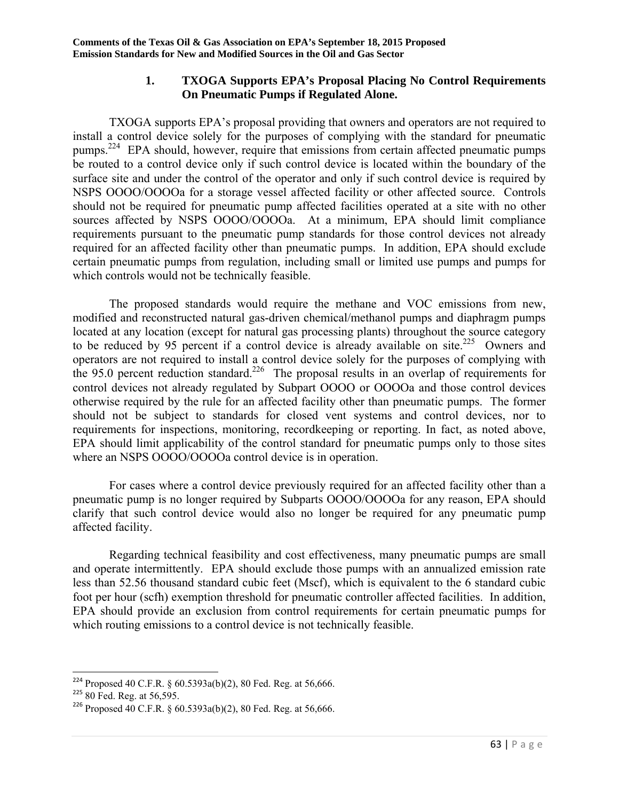## **1. TXOGA Supports EPA's Proposal Placing No Control Requirements On Pneumatic Pumps if Regulated Alone.**

 TXOGA supports EPA's proposal providing that owners and operators are not required to install a control device solely for the purposes of complying with the standard for pneumatic pumps.<sup>224</sup> EPA should, however, require that emissions from certain affected pneumatic pumps be routed to a control device only if such control device is located within the boundary of the surface site and under the control of the operator and only if such control device is required by NSPS OOOO/OOOOa for a storage vessel affected facility or other affected source. Controls should not be required for pneumatic pump affected facilities operated at a site with no other sources affected by NSPS OOOO/OOOOa. At a minimum, EPA should limit compliance requirements pursuant to the pneumatic pump standards for those control devices not already required for an affected facility other than pneumatic pumps. In addition, EPA should exclude certain pneumatic pumps from regulation, including small or limited use pumps and pumps for which controls would not be technically feasible.

 The proposed standards would require the methane and VOC emissions from new, modified and reconstructed natural gas-driven chemical/methanol pumps and diaphragm pumps located at any location (except for natural gas processing plants) throughout the source category to be reduced by 95 percent if a control device is already available on site.<sup>225</sup> Owners and operators are not required to install a control device solely for the purposes of complying with the 95.0 percent reduction standard.<sup>226</sup> The proposal results in an overlap of requirements for control devices not already regulated by Subpart OOOO or OOOOa and those control devices otherwise required by the rule for an affected facility other than pneumatic pumps. The former should not be subject to standards for closed vent systems and control devices, nor to requirements for inspections, monitoring, recordkeeping or reporting. In fact, as noted above, EPA should limit applicability of the control standard for pneumatic pumps only to those sites where an NSPS OOOO/OOOOa control device is in operation.

 For cases where a control device previously required for an affected facility other than a pneumatic pump is no longer required by Subparts OOOO/OOOOa for any reason, EPA should clarify that such control device would also no longer be required for any pneumatic pump affected facility.

 Regarding technical feasibility and cost effectiveness, many pneumatic pumps are small and operate intermittently. EPA should exclude those pumps with an annualized emission rate less than 52.56 thousand standard cubic feet (Mscf), which is equivalent to the 6 standard cubic foot per hour (scfh) exemption threshold for pneumatic controller affected facilities. In addition, EPA should provide an exclusion from control requirements for certain pneumatic pumps for which routing emissions to a control device is not technically feasible.

<sup>&</sup>lt;sup>224</sup> Proposed 40 C.F.R. §  $60.5393a(b)(2)$ , 80 Fed. Reg. at 56,666.

 $225$  80 Fed. Reg. at 56,595.

<sup>226</sup> Proposed 40 C.F.R. § 60.5393a(b)(2), 80 Fed. Reg. at 56,666.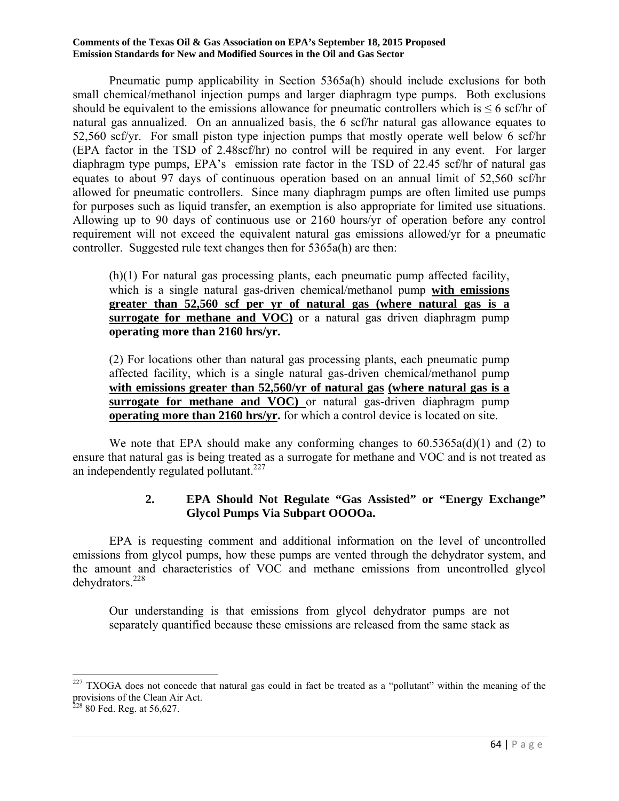Pneumatic pump applicability in Section 5365a(h) should include exclusions for both small chemical/methanol injection pumps and larger diaphragm type pumps. Both exclusions should be equivalent to the emissions allowance for pneumatic controllers which is  $\leq 6$  scf/hr of natural gas annualized. On an annualized basis, the 6 scf/hr natural gas allowance equates to 52,560 scf/yr. For small piston type injection pumps that mostly operate well below 6 scf/hr (EPA factor in the TSD of 2.48scf/hr) no control will be required in any event. For larger diaphragm type pumps, EPA's emission rate factor in the TSD of 22.45 scf/hr of natural gas equates to about 97 days of continuous operation based on an annual limit of 52,560 scf/hr allowed for pneumatic controllers. Since many diaphragm pumps are often limited use pumps for purposes such as liquid transfer, an exemption is also appropriate for limited use situations. Allowing up to 90 days of continuous use or 2160 hours/yr of operation before any control requirement will not exceed the equivalent natural gas emissions allowed/yr for a pneumatic controller. Suggested rule text changes then for 5365a(h) are then:

(h)(1) For natural gas processing plants, each pneumatic pump affected facility, which is a single natural gas-driven chemical/methanol pump **with emissions greater than 52,560 scf per yr of natural gas (where natural gas is a surrogate for methane and VOC**) or a natural gas driven diaphragm pump **operating more than 2160 hrs/yr.**

(2) For locations other than natural gas processing plants, each pneumatic pump affected facility, which is a single natural gas-driven chemical/methanol pump **with emissions greater than 52,560/yr of natural gas (where natural gas is a surrogate for methane and VOC)** or natural gas-driven diaphragm pump **operating more than 2160 hrs/yr.** for which a control device is located on site.

We note that EPA should make any conforming changes to  $60.5365a(d)(1)$  and (2) to ensure that natural gas is being treated as a surrogate for methane and VOC and is not treated as an independently regulated pollutant.<sup>227</sup>

## **2. EPA Should Not Regulate "Gas Assisted" or "Energy Exchange" Glycol Pumps Via Subpart OOOOa.**

 EPA is requesting comment and additional information on the level of uncontrolled emissions from glycol pumps, how these pumps are vented through the dehydrator system, and the amount and characteristics of VOC and methane emissions from uncontrolled glycol dehydrators.228

Our understanding is that emissions from glycol dehydrator pumps are not separately quantified because these emissions are released from the same stack as

 $\overline{\phantom{a}}$  $227$  TXOGA does not concede that natural gas could in fact be treated as a "pollutant" within the meaning of the provisions of the Clean Air Act.

 $22880$  Fed. Reg. at 56,627.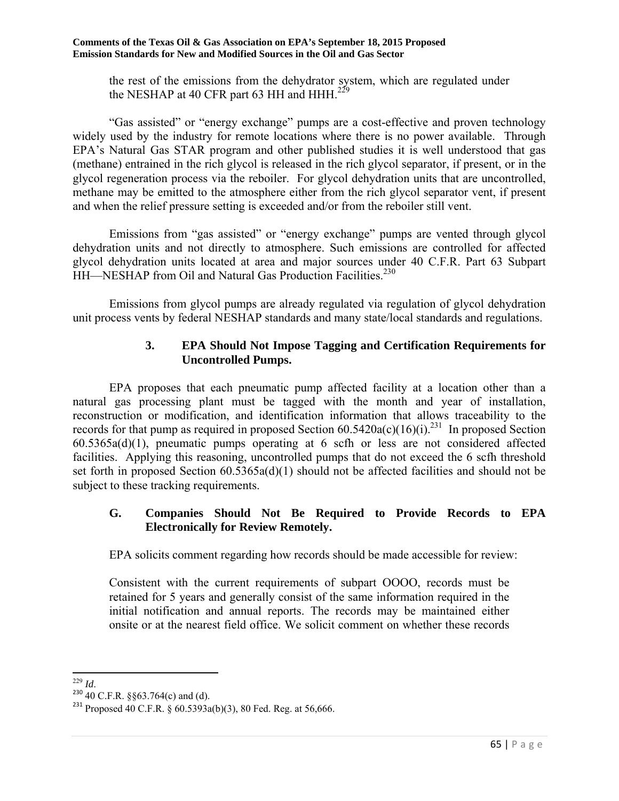the rest of the emissions from the dehydrator system, which are regulated under the NESHAP at 40 CFR part 63 HH and HHH.<sup>229</sup>

 "Gas assisted" or "energy exchange" pumps are a cost-effective and proven technology widely used by the industry for remote locations where there is no power available. Through EPA's Natural Gas STAR program and other published studies it is well understood that gas (methane) entrained in the rich glycol is released in the rich glycol separator, if present, or in the glycol regeneration process via the reboiler. For glycol dehydration units that are uncontrolled, methane may be emitted to the atmosphere either from the rich glycol separator vent, if present and when the relief pressure setting is exceeded and/or from the reboiler still vent.

 Emissions from "gas assisted" or "energy exchange" pumps are vented through glycol dehydration units and not directly to atmosphere. Such emissions are controlled for affected glycol dehydration units located at area and major sources under 40 C.F.R. Part 63 Subpart HH—NESHAP from Oil and Natural Gas Production Facilities.<sup>230</sup>

 Emissions from glycol pumps are already regulated via regulation of glycol dehydration unit process vents by federal NESHAP standards and many state/local standards and regulations.

## **3. EPA Should Not Impose Tagging and Certification Requirements for Uncontrolled Pumps.**

 EPA proposes that each pneumatic pump affected facility at a location other than a natural gas processing plant must be tagged with the month and year of installation, reconstruction or modification, and identification information that allows traceability to the records for that pump as required in proposed Section  $60.5420a(c)(16)(i).^{231}$  In proposed Section 60.5365a(d)(1), pneumatic pumps operating at 6 scfh or less are not considered affected facilities. Applying this reasoning, uncontrolled pumps that do not exceed the 6 scfh threshold set forth in proposed Section 60.5365a(d)(1) should not be affected facilities and should not be subject to these tracking requirements.

### **G. Companies Should Not Be Required to Provide Records to EPA Electronically for Review Remotely.**

EPA solicits comment regarding how records should be made accessible for review:

Consistent with the current requirements of subpart OOOO, records must be retained for 5 years and generally consist of the same information required in the initial notification and annual reports. The records may be maintained either onsite or at the nearest field office. We solicit comment on whether these records

 $^{229}$  *Id.* 

<sup>&</sup>lt;sup>230</sup> 40 C.F.R. §§63.764(c) and (d).

<sup>&</sup>lt;sup>231</sup> Proposed 40 C.F.R. § 60.5393a(b)(3), 80 Fed. Reg. at 56,666.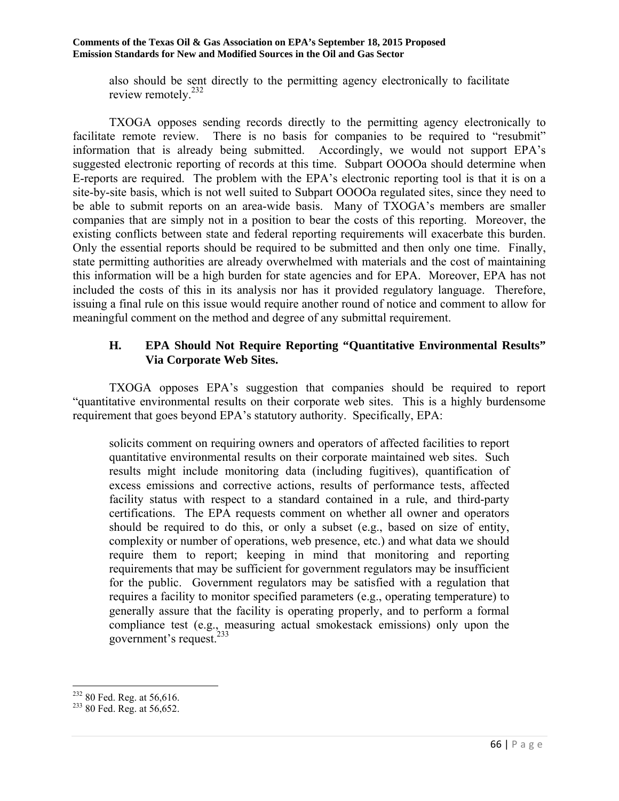also should be sent directly to the permitting agency electronically to facilitate review remotely.232

 TXOGA opposes sending records directly to the permitting agency electronically to facilitate remote review. There is no basis for companies to be required to "resubmit" information that is already being submitted. Accordingly, we would not support EPA's suggested electronic reporting of records at this time. Subpart OOOOa should determine when E-reports are required. The problem with the EPA's electronic reporting tool is that it is on a site-by-site basis, which is not well suited to Subpart OOOOa regulated sites, since they need to be able to submit reports on an area-wide basis. Many of TXOGA's members are smaller companies that are simply not in a position to bear the costs of this reporting. Moreover, the existing conflicts between state and federal reporting requirements will exacerbate this burden. Only the essential reports should be required to be submitted and then only one time. Finally, state permitting authorities are already overwhelmed with materials and the cost of maintaining this information will be a high burden for state agencies and for EPA. Moreover, EPA has not included the costs of this in its analysis nor has it provided regulatory language. Therefore, issuing a final rule on this issue would require another round of notice and comment to allow for meaningful comment on the method and degree of any submittal requirement.

### **H. EPA Should Not Require Reporting "Quantitative Environmental Results" Via Corporate Web Sites.**

 TXOGA opposes EPA's suggestion that companies should be required to report "quantitative environmental results on their corporate web sites. This is a highly burdensome requirement that goes beyond EPA's statutory authority. Specifically, EPA:

solicits comment on requiring owners and operators of affected facilities to report quantitative environmental results on their corporate maintained web sites. Such results might include monitoring data (including fugitives), quantification of excess emissions and corrective actions, results of performance tests, affected facility status with respect to a standard contained in a rule, and third-party certifications. The EPA requests comment on whether all owner and operators should be required to do this, or only a subset (e.g., based on size of entity, complexity or number of operations, web presence, etc.) and what data we should require them to report; keeping in mind that monitoring and reporting requirements that may be sufficient for government regulators may be insufficient for the public. Government regulators may be satisfied with a regulation that requires a facility to monitor specified parameters (e.g., operating temperature) to generally assure that the facility is operating properly, and to perform a formal compliance test (e.g., measuring actual smokestack emissions) only upon the government's request. $^{233}$ 

 $\overline{a}$  $^{232}$  80 Fed. Reg. at 56,616.<br> $^{233}$  80 Fed. Reg. at 56,652.